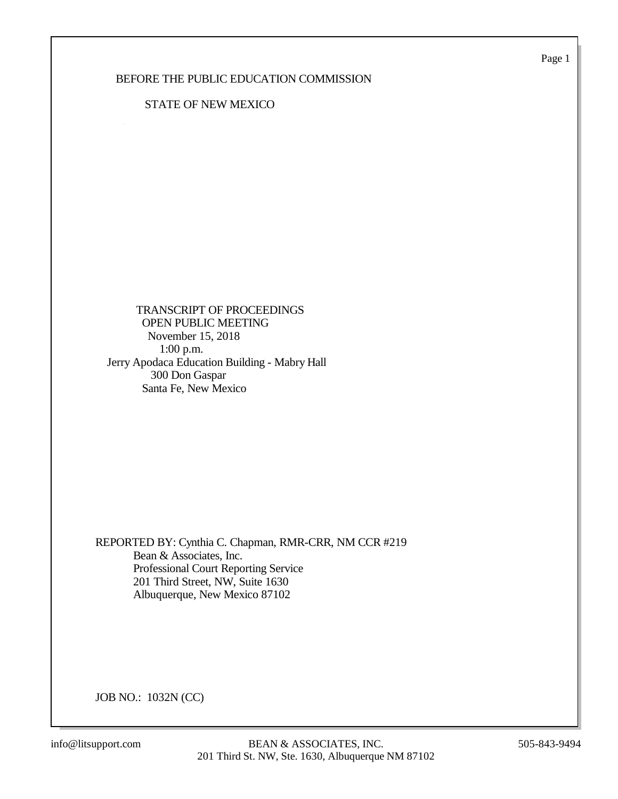Page 1

## BEFORE THE PUBLIC EDUCATION COMMISSION

## STATE OF NEW MEXICO

 TRANSCRIPT OF PROCEEDINGS OPEN PUBLIC MEETING November 15, 2018 1:00 p.m. Jerry Apodaca Education Building - Mabry Hall 300 Don Gaspar Santa Fe, New Mexico

REPORTED BY: Cynthia C. Chapman, RMR-CRR, NM CCR #219 Bean & Associates, Inc. Professional Court Reporting Service 201 Third Street, NW, Suite 1630 Albuquerque, New Mexico 87102

JOB NO.: 1032N (CC)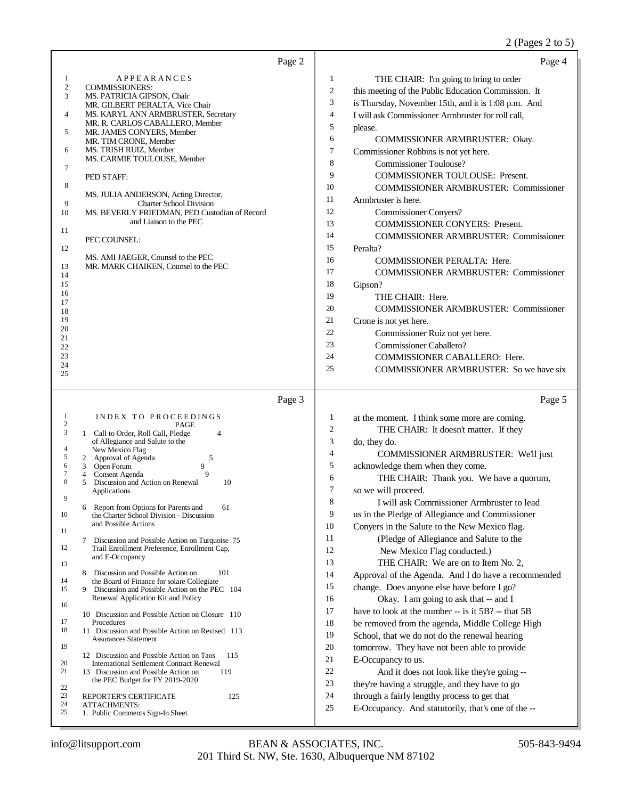## 2 (Pages 2 to 5)

|                                                                                                                                                                                                                                                                                                                                                  |                                                                                                                                                                                                                                                                                                                                                                                                                                                                                                                                                                                                                                                                                                                                                                                                                                                                | Page 2 |                                                                                                                                                | Page 4                                                                                                                                                                                                                                                                                                                                                                                                                                                                                                                                                                                                                                                                                                                                                                                                                                                                                                                                                                                              |
|--------------------------------------------------------------------------------------------------------------------------------------------------------------------------------------------------------------------------------------------------------------------------------------------------------------------------------------------------|----------------------------------------------------------------------------------------------------------------------------------------------------------------------------------------------------------------------------------------------------------------------------------------------------------------------------------------------------------------------------------------------------------------------------------------------------------------------------------------------------------------------------------------------------------------------------------------------------------------------------------------------------------------------------------------------------------------------------------------------------------------------------------------------------------------------------------------------------------------|--------|------------------------------------------------------------------------------------------------------------------------------------------------|-----------------------------------------------------------------------------------------------------------------------------------------------------------------------------------------------------------------------------------------------------------------------------------------------------------------------------------------------------------------------------------------------------------------------------------------------------------------------------------------------------------------------------------------------------------------------------------------------------------------------------------------------------------------------------------------------------------------------------------------------------------------------------------------------------------------------------------------------------------------------------------------------------------------------------------------------------------------------------------------------------|
| 1<br>$\sqrt{2}$<br><b>COMMISSIONERS:</b><br>3<br>4<br>5<br>MR. TIM CRONE, Member<br>MS. TRISH RUIZ, Member<br>6<br>7<br>PED STAFF:<br>8<br>9<br>10<br>11<br>PEC COUNSEL:<br>12<br>13<br>14<br>15<br>16<br>17<br>18<br>19<br>20<br>21<br>22<br>23<br>24                                                                                           | APPEARANCES<br>MS. PATRICIA GIPSON, Chair<br>MR. GILBERT PERALTA, Vice Chair<br>MS. KARYL ANN ARMBRUSTER, Secretary<br>MR. R. CARLOS CABALLERO, Member<br>MR. JAMES CONYERS, Member<br>MS. CARMIE TOULOUSE, Member<br>MS. JULIA ANDERSON, Acting Director,<br><b>Charter School Division</b><br>MS. BEVERLY FRIEDMAN, PED Custodian of Record<br>and Liaison to the PEC<br>MS. AMI JAEGER, Counsel to the PEC<br>MR. MARK CHAIKEN, Counsel to the PEC                                                                                                                                                                                                                                                                                                                                                                                                          |        | 1<br>2<br>3<br>4<br>5<br>6<br>7<br>8<br>9<br>10<br>11<br>12<br>13<br>14<br>15<br>16<br>17<br>18<br>19<br>20<br>21<br>22<br>23<br>24            | THE CHAIR: I'm going to bring to order<br>this meeting of the Public Education Commission. It<br>is Thursday, November 15th, and it is 1:08 p.m. And<br>I will ask Commissioner Armbruster for roll call,<br>please.<br>COMMISSIONER ARMBRUSTER: Okay.<br>Commissioner Robbins is not yet here.<br><b>Commissioner Toulouse?</b><br>COMMISSIONER TOULOUSE: Present.<br><b>COMMISSIONER ARMBRUSTER: Commissioner</b><br>Armbruster is here.<br><b>Commissioner Conyers?</b><br>COMMISSIONER CONYERS: Present.<br><b>COMMISSIONER ARMBRUSTER: Commissioner</b><br>Peralta?<br>COMMISSIONER PERALTA: Here.<br>COMMISSIONER ARMBRUSTER: Commissioner<br>Gipson?<br>THE CHAIR: Here.<br><b>COMMISSIONER ARMBRUSTER: Commissioner</b><br>Crone is not yet here.<br>Commissioner Ruiz not yet here.<br>Commissioner Caballero?<br><b>COMMISSIONER CABALLERO: Here.</b>                                                                                                                                     |
| 25                                                                                                                                                                                                                                                                                                                                               |                                                                                                                                                                                                                                                                                                                                                                                                                                                                                                                                                                                                                                                                                                                                                                                                                                                                |        | 25                                                                                                                                             | COMMISSIONER ARMBRUSTER: So we have six                                                                                                                                                                                                                                                                                                                                                                                                                                                                                                                                                                                                                                                                                                                                                                                                                                                                                                                                                             |
|                                                                                                                                                                                                                                                                                                                                                  |                                                                                                                                                                                                                                                                                                                                                                                                                                                                                                                                                                                                                                                                                                                                                                                                                                                                | Page 3 |                                                                                                                                                | Page 5                                                                                                                                                                                                                                                                                                                                                                                                                                                                                                                                                                                                                                                                                                                                                                                                                                                                                                                                                                                              |
| 1<br>$\boldsymbol{2}$<br>3<br>4<br>New Mexico Flag<br>5<br>2 Approval of Agenda<br>6<br>3 Open Forum<br>7<br>4 Consent Agenda<br>8<br>5<br>Applications<br>9<br>6<br>10<br>and Possible Actions<br>11<br>7<br>12<br>and E-Occupancy<br>13<br>8<br>14<br>15<br>9<br>16<br>17<br>Procedures<br>18<br><b>Assurances Statement</b><br>19<br>20<br>21 | INDEX TO PROCEEDINGS<br>PAGE<br>1 Call to Order, Roll Call, Pledge<br>$\overline{4}$<br>of Allegiance and Salute to the<br>5<br>9<br>9<br>Discussion and Action on Renewal<br>10<br>Report from Options for Parents and<br>61<br>the Charter School Division - Discussion<br>Discussion and Possible Action on Turquoise 75<br>Trail Enrollment Preference, Enrollment Cap,<br>Discussion and Possible Action on<br>101<br>the Board of Finance for solare Collegiate<br>Discussion and Possible Action on the PEC 104<br>Renewal Application Kit and Policy<br>10 Discussion and Possible Action on Closure 110<br>11 Discussion and Possible Action on Revised 113<br>12 Discussion and Possible Action on Taos<br>115<br><b>International Settlement Contract Renewal</b><br>13 Discussion and Possible Action on<br>119<br>the PEC Budget for FY 2019-2020 |        | 1<br>$\overline{c}$<br>3<br>4<br>5<br>6<br>7<br>8<br>9<br>10<br>11<br>12<br>13<br>14<br>15<br>16<br>17<br>18<br>19<br>20<br>21<br>$22\,$<br>23 | at the moment. I think some more are coming.<br>THE CHAIR: It doesn't matter. If they<br>do, they do.<br>COMMISSIONER ARMBRUSTER: We'll just<br>acknowledge them when they come.<br>THE CHAIR: Thank you. We have a quorum,<br>so we will proceed.<br>I will ask Commissioner Armbruster to lead<br>us in the Pledge of Allegiance and Commissioner<br>Convers in the Salute to the New Mexico flag.<br>(Pledge of Allegiance and Salute to the<br>New Mexico Flag conducted.)<br>THE CHAIR: We are on to Item No. 2,<br>Approval of the Agenda. And I do have a recommended<br>change. Does anyone else have before I go?<br>Okay. I am going to ask that -- and I<br>have to look at the number -- is it 5B? -- that 5B<br>be removed from the agenda, Middle College High<br>School, that we do not do the renewal hearing<br>tomorrow. They have not been able to provide<br>E-Occupancy to us.<br>And it does not look like they're going --<br>they're having a struggle, and they have to go |
| 22<br>23<br>REPORTER'S CERTIFICATE<br>24<br><b>ATTACHMENTS:</b><br>25<br>1. Public Comments Sign-In Sheet                                                                                                                                                                                                                                        | 125                                                                                                                                                                                                                                                                                                                                                                                                                                                                                                                                                                                                                                                                                                                                                                                                                                                            |        | 24<br>25                                                                                                                                       | through a fairly lengthy process to get that<br>E-Occupancy. And statutorily, that's one of the --                                                                                                                                                                                                                                                                                                                                                                                                                                                                                                                                                                                                                                                                                                                                                                                                                                                                                                  |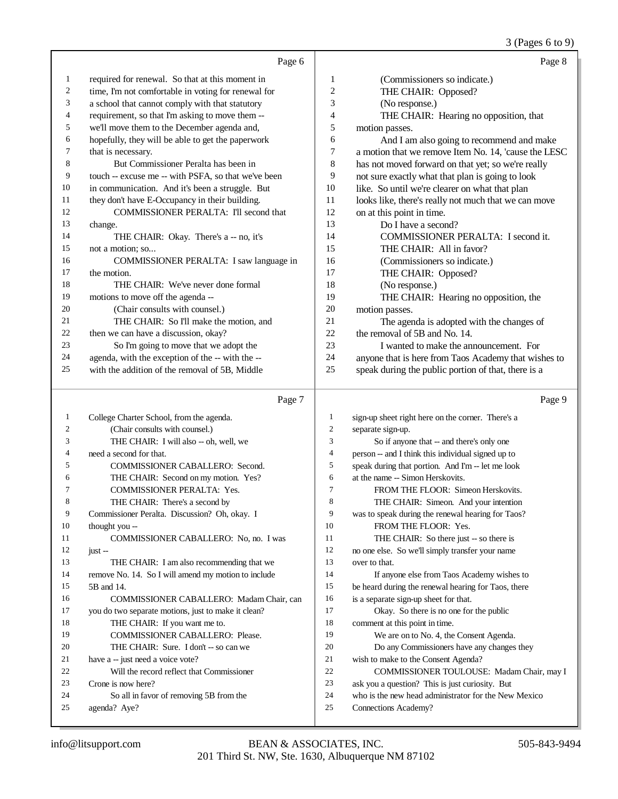## 3 (Pages 6 to 9)

|    | Page 6                                              |    | Page 8                                                |
|----|-----------------------------------------------------|----|-------------------------------------------------------|
| 1  | required for renewal. So that at this moment in     | 1  | (Commissioners so indicate.)                          |
| 2  | time, I'm not comfortable in voting for renewal for | 2  | THE CHAIR: Opposed?                                   |
| 3  | a school that cannot comply with that statutory     | 3  | (No response.)                                        |
| 4  | requirement, so that I'm asking to move them --     | 4  | THE CHAIR: Hearing no opposition, that                |
| 5  | we'll move them to the December agenda and,         | 5  | motion passes.                                        |
| 6  | hopefully, they will be able to get the paperwork   | 6  | And I am also going to recommend and make             |
| 7  | that is necessary.                                  | 7  | a motion that we remove Item No. 14, 'cause the LESC' |
| 8  | But Commissioner Peralta has been in                | 8  | has not moved forward on that yet; so we're really    |
| 9  | touch -- excuse me -- with PSFA, so that we've been | 9  | not sure exactly what that plan is going to look      |
| 10 | in communication. And it's been a struggle. But     | 10 | like. So until we're clearer on what that plan        |
| 11 | they don't have E-Occupancy in their building.      | 11 | looks like, there's really not much that we can move  |
| 12 | COMMISSIONER PERALTA: I'll second that              | 12 | on at this point in time.                             |
| 13 | change.                                             | 13 | Do I have a second?                                   |
| 14 | THE CHAIR: Okay. There's a -- no, it's              | 14 | COMMISSIONER PERALTA: I second it.                    |
| 15 | not a motion: so                                    | 15 | THE CHAIR: All in favor?                              |
| 16 | COMMISSIONER PERALTA: I saw language in             | 16 | (Commissioners so indicate.)                          |
| 17 | the motion.                                         | 17 | THE CHAIR: Opposed?                                   |
| 18 | THE CHAIR: We've never done formal                  | 18 | (No response.)                                        |
| 19 | motions to move off the agenda --                   | 19 | THE CHAIR: Hearing no opposition, the                 |
| 20 | (Chair consults with counsel.)                      | 20 | motion passes.                                        |
| 21 | THE CHAIR: So I'll make the motion, and             | 21 | The agenda is adopted with the changes of             |
| 22 | then we can have a discussion, okay?                | 22 | the removal of 5B and No. 14.                         |
| 23 | So I'm going to move that we adopt the              | 23 | I wanted to make the announcement. For                |
| 24 | agenda, with the exception of the -- with the --    | 24 | anyone that is here from Taos Academy that wishes to  |
| 25 | with the addition of the removal of 5B, Middle      | 25 | speak during the public portion of that, there is a   |

# Page 7

|    | Page 7                                              |                | Page 9                                               |
|----|-----------------------------------------------------|----------------|------------------------------------------------------|
| 1  | College Charter School, from the agenda.            | 1              | sign-up sheet right here on the corner. There's a    |
| 2  | (Chair consults with counsel.)                      | $\overline{2}$ | separate sign-up.                                    |
| 3  | THE CHAIR: I will also -- oh, well, we              | 3              | So if anyone that -- and there's only one            |
| 4  | need a second for that.                             | $\overline{4}$ | person -- and I think this individual signed up to   |
| 5  | <b>COMMISSIONER CABALLERO: Second.</b>              | 5              | speak during that portion. And I'm -- let me look    |
| 6  | THE CHAIR: Second on my motion. Yes?                | 6              | at the name -- Simon Herskovits.                     |
| 7  | <b>COMMISSIONER PERALTA: Yes.</b>                   | $\overline{7}$ | FROM THE FLOOR: Simeon Herskovits.                   |
| 8  | THE CHAIR: There's a second by                      | 8              | THE CHAIR: Simeon. And your intention                |
| 9  | Commissioner Peralta. Discussion? Oh, okay. I       | 9              | was to speak during the renewal hearing for Taos?    |
| 10 | thought you --                                      | 10             | FROM THE FLOOR: Yes.                                 |
| 11 | COMMISSIONER CABALLERO: No, no. I was               | 11             | THE CHAIR: So there just -- so there is              |
| 12 | $just -$                                            | 12             | no one else. So we'll simply transfer your name      |
| 13 | THE CHAIR: I am also recommending that we           | 13             | over to that.                                        |
| 14 | remove No. 14. So I will amend my motion to include | 14             | If anyone else from Taos Academy wishes to           |
| 15 | 5B and 14.                                          | 15             | be heard during the renewal hearing for Taos, there  |
| 16 | COMMISSIONER CABALLERO: Madam Chair, can            | 16             | is a separate sign-up sheet for that.                |
| 17 | you do two separate motions, just to make it clean? | 17             | Okay. So there is no one for the public              |
| 18 | THE CHAIR: If you want me to.                       | 18             | comment at this point in time.                       |
| 19 | <b>COMMISSIONER CABALLERO: Please.</b>              | 19             | We are on to No. 4, the Consent Agenda.              |
| 20 | THE CHAIR: Sure. I don't -- so can we               | 20             | Do any Commissioners have any changes they           |
| 21 | have a -- just need a voice vote?                   | 21             | wish to make to the Consent Agenda?                  |
| 22 | Will the record reflect that Commissioner           | 22             | COMMISSIONER TOULOUSE: Madam Chair, may I            |
| 23 | Crone is now here?                                  | 23             | ask you a question? This is just curiosity. But      |
| 24 | So all in favor of removing 5B from the             | 24             | who is the new head administrator for the New Mexico |
| 25 | agenda? Aye?                                        | 25             | Connections Academy?                                 |
|    |                                                     |                |                                                      |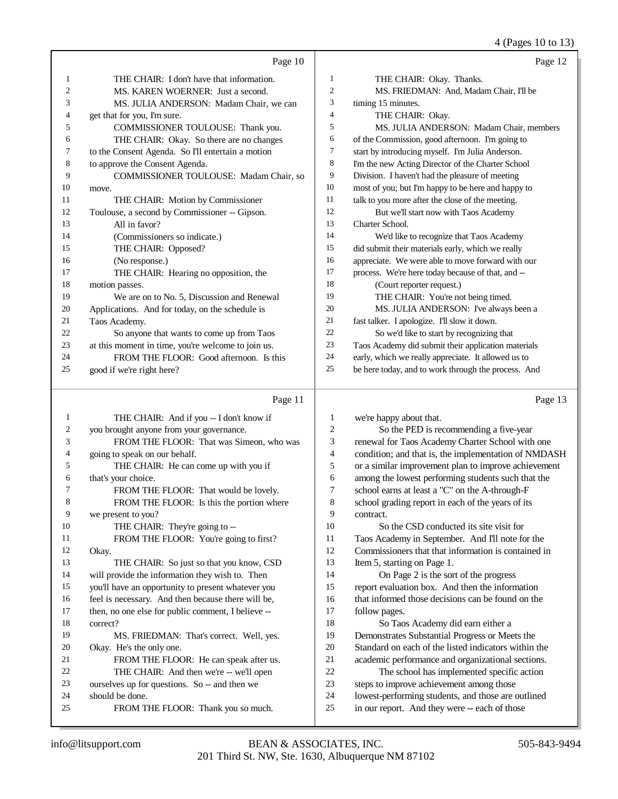4 (Pages 10 to 13)

|    |                                                          |                | $\neg$ (1 agos 10 to 10)                            |
|----|----------------------------------------------------------|----------------|-----------------------------------------------------|
|    | Page 10                                                  |                | Page 12                                             |
| 1  | THE CHAIR: I don't have that information.                | 1              | THE CHAIR: Okay. Thanks.                            |
| 2  | MS. KAREN WOERNER: Just a second.                        | 2              | MS. FRIEDMAN: And, Madam Chair, I'll be             |
| 3  | MS. JULIA ANDERSON: Madam Chair, we can                  | 3              | timing 15 minutes.                                  |
| 4  | get that for you, I'm sure.                              | $\overline{4}$ | THE CHAIR: Okay.                                    |
| 5  | COMMISSIONER TOULOUSE: Thank you.                        | 5              | MS. JULIA ANDERSON: Madam Chair, members            |
| 6  | THE CHAIR: Okay. So there are no changes                 | 6              | of the Commission, good afternoon. I'm going to     |
| 7  | to the Consent Agenda. So I'll entertain a motion        | 7              | start by introducing myself. I'm Julia Anderson.    |
| 8  | to approve the Consent Agenda.                           | 8              | I'm the new Acting Director of the Charter School   |
| 9  | COMMISSIONER TOULOUSE: Madam Chair, so                   | 9              | Division. I haven't had the pleasure of meeting     |
| 10 | move.                                                    | 10             | most of you; but I'm happy to be here and happy to  |
| 11 | THE CHAIR: Motion by Commissioner                        | 11             | talk to you more after the close of the meeting.    |
| 12 | Toulouse, a second by Commissioner -- Gipson.            | 12             | But we'll start now with Taos Academy               |
| 13 | All in favor?                                            | 13             | Charter School.                                     |
| 14 | (Commissioners so indicate.)                             | 14             | We'd like to recognize that Taos Academy            |
| 15 | THE CHAIR: Opposed?                                      | 15             | did submit their materials early, which we really   |
| 16 | (No response.)                                           | 16             | appreciate. We were able to move forward with our   |
| 17 | THE CHAIR: Hearing no opposition, the                    | 17             | process. We're here today because of that, and --   |
| 18 | motion passes.                                           | 18             | (Court reporter request.)                           |
| 19 | We are on to No. 5, Discussion and Renewal               | 19             | THE CHAIR: You're not being timed.                  |
| 20 | Applications. And for today, on the schedule is          | 20             | MS. JULIA ANDERSON: I've always been a              |
| 21 | Taos Academy.                                            | 21             | fast talker. I apologize. I'll slow it down.        |
| 22 | So anyone that wants to come up from Taos                | 22             | So we'd like to start by recognizing that           |
| 23 | at this moment in time, you're welcome to join us.       | 23             | Taos Academy did submit their application materials |
| 24 | FROM THE FLOOR: Good afternoon. Is this                  | 24             | early, which we really appreciate. It allowed us to |
| 25 | good if we're right here?                                | 25             | be here today, and to work through the process. And |
|    | Page 11                                                  |                | Page 13                                             |
|    | $THFCH\Delta IR$ $\cdot$ And if you $\pm$ Ldon't know if | $\mathbf{1}$   | we're hanny about that                              |

| -1     | THE CHAIR: And if you -- I don't know if           | 1      | we're happy about that.                              |
|--------|----------------------------------------------------|--------|------------------------------------------------------|
| 2      | you brought anyone from your governance.           | 2      | So the PED is recommending a five-year               |
| 3      | FROM THE FLOOR: That was Simeon, who was           | 3      | renewal for Taos Academy Charter School with one     |
| 4      | going to speak on our behalf.                      | 4      | condition; and that is, the implementation of NMDASH |
| 5      | THE CHAIR: He can come up with you if              | 5      | or a similar improvement plan to improve achievement |
| 6      | that's your choice.                                | 6      | among the lowest performing students such that the   |
| $\tau$ | FROM THE FLOOR: That would be lovely.              | $\tau$ | school earns at least a "C" on the A-through-F       |
| 8      | FROM THE FLOOR: Is this the portion where          | 8      | school grading report in each of the years of its    |
| 9      | we present to you?                                 | 9      | contract.                                            |
| 10     | THE CHAIR: They're going to --                     | 10     | So the CSD conducted its site visit for              |
| 11     | FROM THE FLOOR: You're going to first?             | 11     | Taos Academy in September. And I'll note for the     |
| 12     | Okay.                                              | 12     | Commissioners that that information is contained in  |
| 13     | THE CHAIR: So just so that you know, CSD           | 13     | Item 5, starting on Page 1.                          |
| 14     | will provide the information they wish to. Then    | 14     | On Page 2 is the sort of the progress                |
| 15     | you'll have an opportunity to present whatever you | 15     | report evaluation box. And then the information      |
| 16     | feel is necessary. And then because there will be, | 16     | that informed those decisions can be found on the    |
| 17     | then, no one else for public comment, I believe -- | 17     | follow pages.                                        |
| 18     | correct?                                           | 18     | So Taos Academy did earn either a                    |
| 19     | MS. FRIEDMAN: That's correct. Well, yes.           | 19     | Demonstrates Substantial Progress or Meets the       |
| 20     | Okay. He's the only one.                           | 20     | Standard on each of the listed indicators within the |
| 21     | FROM THE FLOOR: He can speak after us.             | 21     | academic performance and organizational sections.    |
| 22     | THE CHAIR: And then we're -- we'll open            | 22     | The school has implemented specific action           |
| 23     | ourselves up for questions. So -- and then we      | 23     | steps to improve achievement among those             |
| 24     | should be done.                                    | 24     | lowest-performing students, and those are outlined   |
| 25     | FROM THE FLOOR: Thank you so much.                 | 25     | in our report. And they were -- each of those        |
|        |                                                    |        |                                                      |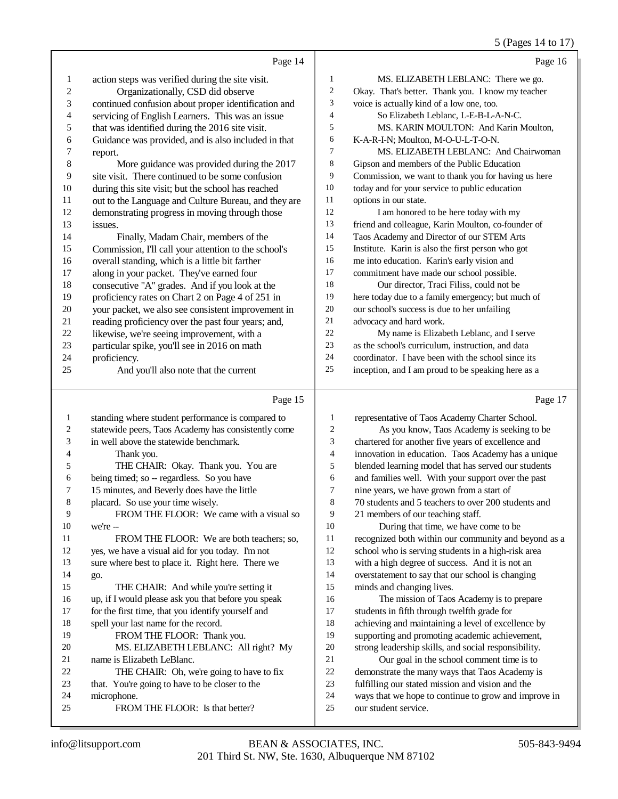## 5 (Pages 14 to 17)

|                | Page 14                                              |                | Page 16                                             |
|----------------|------------------------------------------------------|----------------|-----------------------------------------------------|
| 1              | action steps was verified during the site visit.     | 1              | MS. ELIZABETH LEBLANC: There we go.                 |
| 2              | Organizationally, CSD did observe                    | $\overline{c}$ | Okay. That's better. Thank you. I know my teacher   |
| 3              | continued confusion about proper identification and  | 3              | voice is actually kind of a low one, too.           |
| $\overline{4}$ | servicing of English Learners. This was an issue     | 4              | So Elizabeth Leblanc, L-E-B-L-A-N-C.                |
| 5              | that was identified during the 2016 site visit.      | 5              | MS. KARIN MOULTON: And Karin Moulton,               |
| 6              | Guidance was provided, and is also included in that  | 6              | K-A-R-I-N; Moulton, M-O-U-L-T-O-N.                  |
| 7              | report.                                              | $\overline{7}$ | MS. ELIZABETH LEBLANC: And Chairwoman               |
| $\,$ 8 $\,$    | More guidance was provided during the 2017           | 8              | Gipson and members of the Public Education          |
| 9              | site visit. There continued to be some confusion     | 9              | Commission, we want to thank you for having us here |
| 10             | during this site visit; but the school has reached   | 10             | today and for your service to public education      |
| 11             | out to the Language and Culture Bureau, and they are | 11             | options in our state.                               |
| 12             | demonstrating progress in moving through those       | 12             | I am honored to be here today with my               |
| 13             | issues.                                              | 13             | friend and colleague, Karin Moulton, co-founder of  |
| 14             | Finally, Madam Chair, members of the                 | 14             | Taos Academy and Director of our STEM Arts          |
| 15             | Commission, I'll call your attention to the school's | 15             | Institute. Karin is also the first person who got   |
| 16             | overall standing, which is a little bit farther      | 16             | me into education. Karin's early vision and         |
| 17             | along in your packet. They've earned four            | 17             | commitment have made our school possible.           |
| 18             | consecutive "A" grades. And if you look at the       | 18             | Our director, Traci Filiss, could not be            |
| 19             | proficiency rates on Chart 2 on Page 4 of 251 in     | 19             | here today due to a family emergency; but much of   |
| 20             | your packet, we also see consistent improvement in   | 20             | our school's success is due to her unfailing        |
| 21             | reading proficiency over the past four years; and,   | 21             | advocacy and hard work.                             |
| 22             | likewise, we're seeing improvement, with a           | 22             | My name is Elizabeth Leblanc, and I serve           |
| 23             | particular spike, you'll see in 2016 on math         | 23             | as the school's curriculum, instruction, and data   |
| 24             | proficiency.                                         | 24             | coordinator. I have been with the school since its  |
| 25             | And you'll also note that the current                | 25             | inception, and I am proud to be speaking here as a  |
|                | $\sim$<br>$\mathbf{r}$                               |                |                                                     |

# Page 15 |

| 1              | standing where student performance is compared to   | $\mathbf{1}$   |
|----------------|-----------------------------------------------------|----------------|
| $\overline{c}$ | statewide peers, Taos Academy has consistently come | $\overline{c}$ |
| 3              | in well above the statewide benchmark.              | 3              |
| 4              | Thank you.                                          | $\overline{4}$ |
| 5              | THE CHAIR: Okay. Thank you. You are                 | 5              |
| 6              | being timed; so -- regardless. So you have          | 6              |
| 7              | 15 minutes, and Beverly does have the little        | 7              |
| 8              | placard. So use your time wisely.                   | 8              |
| 9              | FROM THE FLOOR: We came with a visual so            | 9              |
| 10             | we're --                                            | 10             |
| 11             | FROM THE FLOOR: We are both teachers; so,           | 11             |
| 12             | yes, we have a visual aid for you today. I'm not    | 12             |
| 13             | sure where best to place it. Right here. There we   | 13             |
| 14             | go.                                                 | 14             |
| 15             | THE CHAIR: And while you're setting it              | 15             |
| 16             | up, if I would please ask you that before you speak | 16             |
| 17             | for the first time, that you identify yourself and  | 17             |
| 18             | spell your last name for the record.                | 18             |
| 19             | FROM THE FLOOR: Thank you.                          | 19             |
| 20             | MS. ELIZABETH LEBLANC: All right? My                | 20             |
| 21             | name is Elizabeth LeBlanc.                          | 21             |
| 22             | THE CHAIR: Oh, we're going to have to fix           | 22             |
| 23             | that. You're going to have to be closer to the      | 23             |
| 24             | microphone.                                         | 24             |
| 25             | FROM THE FLOOR: Is that better?                     | 25             |
|                |                                                     |                |

Page 17

| 1              | representative of Taos Academy Charter School.       |
|----------------|------------------------------------------------------|
| $\overline{2}$ | As you know, Taos Academy is seeking to be           |
| 3              | chartered for another five years of excellence and   |
| $\overline{4}$ | innovation in education. Taos Academy has a unique   |
| 5              | blended learning model that has served our students  |
| 6              | and families well. With your support over the past   |
| 7              | nine years, we have grown from a start of            |
| 8              | 70 students and 5 teachers to over 200 students and  |
| 9              | 21 members of our teaching staff.                    |
| 10             | During that time, we have come to be                 |
| 11             | recognized both within our community and beyond as a |
| 12             | school who is serving students in a high-risk area   |
| 13             | with a high degree of success. And it is not an      |
| 14             | overstatement to say that our school is changing     |
| 15             | minds and changing lives.                            |
| 16             | The mission of Taos Academy is to prepare            |
| 17             | students in fifth through twelfth grade for          |
| 18             | achieving and maintaining a level of excellence by   |
| 19             | supporting and promoting academic achievement,       |
| 20             | strong leadership skills, and social responsibility. |
| 21             | Our goal in the school comment time is to            |
| 22             | demonstrate the many ways that Taos Academy is       |
| 23             | fulfilling our stated mission and vision and the     |
| 24             | ways that we hope to continue to grow and improve in |
| 25             | our student service.                                 |
|                |                                                      |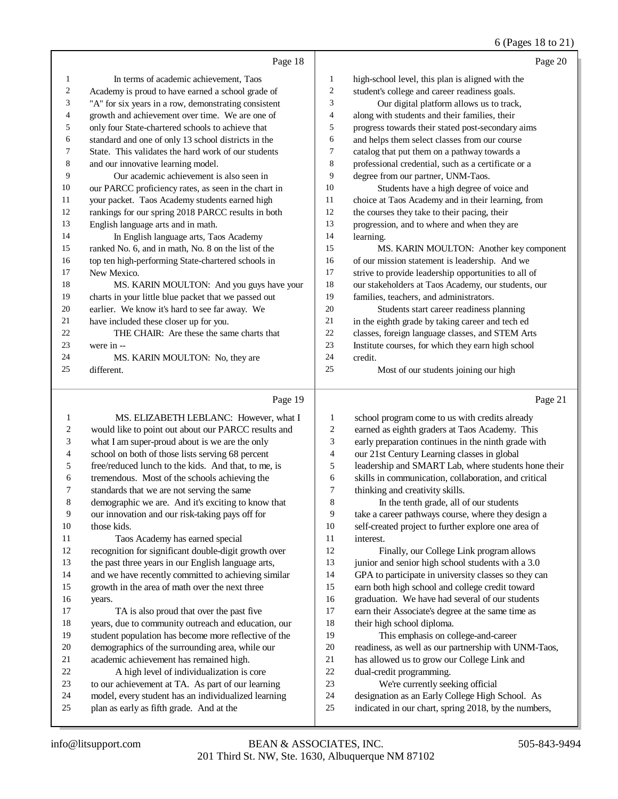## 6 (Pages 18 to 21)

|    | Page 18                                              |    | Page 20                                              |
|----|------------------------------------------------------|----|------------------------------------------------------|
| 1  | In terms of academic achievement. Taos               | 1  | high-school level, this plan is aligned with the     |
| 2  | Academy is proud to have earned a school grade of    | 2  | student's college and career readiness goals.        |
| 3  | "A" for six years in a row, demonstrating consistent | 3  | Our digital platform allows us to track,             |
| 4  | growth and achievement over time. We are one of      | 4  | along with students and their families, their        |
| 5  | only four State-chartered schools to achieve that    | 5  | progress towards their stated post-secondary aims    |
| 6  | standard and one of only 13 school districts in the  | 6  | and helps them select classes from our course        |
| 7  | State. This validates the hard work of our students  | 7  | catalog that put them on a pathway towards a         |
| 8  | and our innovative learning model.                   | 8  | professional credential, such as a certificate or a  |
| 9  | Our academic achievement is also seen in             | 9  | degree from our partner, UNM-Taos.                   |
| 10 | our PARCC proficiency rates, as seen in the chart in | 10 | Students have a high degree of voice and             |
| 11 | your packet. Taos Academy students earned high       | 11 | choice at Taos Academy and in their learning, from   |
| 12 | rankings for our spring 2018 PARCC results in both   | 12 | the courses they take to their pacing, their         |
| 13 | English language arts and in math.                   | 13 | progression, and to where and when they are          |
| 14 | In English language arts, Taos Academy               | 14 | learning.                                            |
| 15 | ranked No. 6, and in math, No. 8 on the list of the  | 15 | MS. KARIN MOULTON: Another key component             |
| 16 | top ten high-performing State-chartered schools in   | 16 | of our mission statement is leadership. And we       |
| 17 | New Mexico.                                          | 17 | strive to provide leadership opportunities to all of |
| 18 | MS. KARIN MOULTON: And you guys have your            | 18 | our stakeholders at Taos Academy, our students, our  |
| 19 | charts in your little blue packet that we passed out | 19 | families, teachers, and administrators.              |
| 20 | earlier. We know it's hard to see far away. We       | 20 | Students start career readiness planning             |
| 21 | have included these closer up for you.               | 21 | in the eighth grade by taking career and tech ed     |
| 22 | THE CHAIR: Are these the same charts that            | 22 | classes, foreign language classes, and STEM Arts     |
| 23 | were in --                                           | 23 | Institute courses, for which they earn high school   |
| 24 | MS. KARIN MOULTON: No, they are                      | 24 | credit.                                              |
| 25 | different.                                           | 25 | Most of our students joining our high                |
|    |                                                      |    |                                                      |

## Page 19 |

| 1  | MS. ELIZABETH LEBLANC: However, what I               | 1  | school program come to us with credits already       |
|----|------------------------------------------------------|----|------------------------------------------------------|
| 2  | would like to point out about our PARCC results and  | 2  | earned as eighth graders at Taos Academy. This       |
| 3  | what I am super-proud about is we are the only       | 3  | early preparation continues in the ninth grade with  |
| 4  | school on both of those lists serving 68 percent     | 4  | our 21st Century Learning classes in global          |
| 5  | free/reduced lunch to the kids. And that, to me, is  | 5  | leadership and SMART Lab, where students hone their  |
| 6  | tremendous. Most of the schools achieving the        | 6  | skills in communication, collaboration, and critical |
| 7  | standards that we are not serving the same           | 7  | thinking and creativity skills.                      |
| 8  | demographic we are. And it's exciting to know that   | 8  | In the tenth grade, all of our students              |
| 9  | our innovation and our risk-taking pays off for      | 9  | take a career pathways course, where they design a   |
| 10 | those kids.                                          | 10 | self-created project to further explore one area of  |
| 11 | Taos Academy has earned special                      | 11 | interest.                                            |
| 12 | recognition for significant double-digit growth over | 12 | Finally, our College Link program allows             |
| 13 | the past three years in our English language arts,   | 13 | junior and senior high school students with a 3.0    |
| 14 | and we have recently committed to achieving similar  | 14 | GPA to participate in university classes so they can |
| 15 | growth in the area of math over the next three       | 15 | earn both high school and college credit toward      |
| 16 | years.                                               | 16 | graduation. We have had several of our students      |
| 17 | TA is also proud that over the past five             | 17 | earn their Associate's degree at the same time as    |
| 18 | years, due to community outreach and education, our  | 18 | their high school diploma.                           |
| 19 | student population has become more reflective of the | 19 | This emphasis on college-and-career                  |
| 20 | demographics of the surrounding area, while our      | 20 | readiness, as well as our partnership with UNM-Taos, |
| 21 | academic achievement has remained high.              | 21 | has allowed us to grow our College Link and          |
| 22 | A high level of individualization is core            | 22 | dual-credit programming.                             |
| 23 | to our achievement at TA. As part of our learning    | 23 | We're currently seeking official                     |
| 24 | model, every student has an individualized learning  | 24 | designation as an Early College High School. As      |
| 25 | plan as early as fifth grade. And at the             | 25 | indicated in our chart, spring 2018, by the numbers, |
|    |                                                      |    |                                                      |

Page 21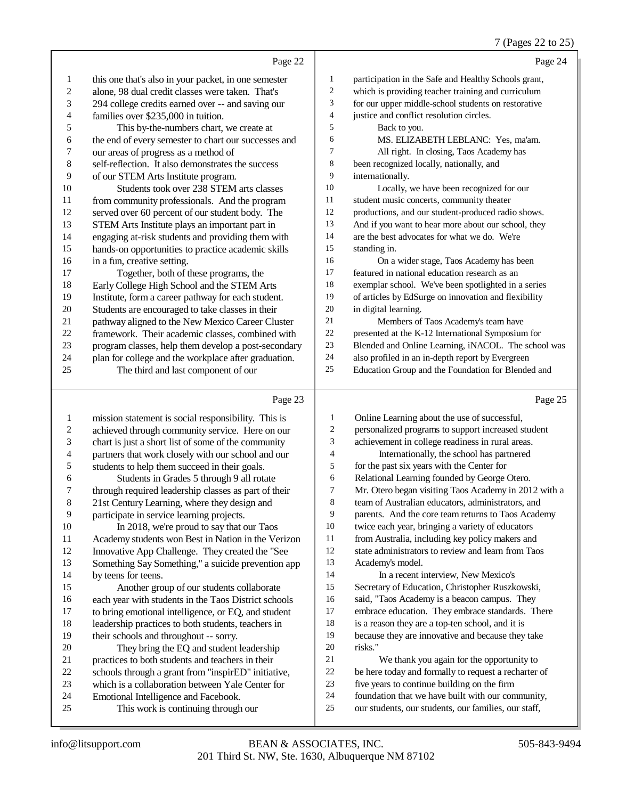#### 7 (Pages 22 to 25)

| Page 24                                              |              | Page 22                                              |                |
|------------------------------------------------------|--------------|------------------------------------------------------|----------------|
| participation in the Safe and Healthy Schools grant, | $\mathbf{1}$ | this one that's also in your packet, in one semester | $\mathbf{1}$   |
| which is providing teacher training and curriculum   | 2            | alone, 98 dual credit classes were taken. That's     | $\overline{2}$ |
| for our upper middle-school students on restorative  | 3            | 294 college credits earned over -- and saving our    | 3              |
| justice and conflict resolution circles.             | 4            | families over \$235,000 in tuition.                  | 4              |
| Back to you.                                         | 5            | This by-the-numbers chart, we create at              | 5              |
| MS. ELIZABETH LEBLANC: Yes, ma'am.                   | 6            | the end of every semester to chart our successes and | 6              |
| All right. In closing, Taos Academy has              | 7            | our areas of progress as a method of                 | 7              |
| been recognized locally, nationally, and             | 8            | self-reflection. It also demonstrates the success    | 8              |
| internationally.                                     | 9            | of our STEM Arts Institute program.                  | 9              |
| Locally, we have been recognized for our             | 10           | Students took over 238 STEM arts classes             | 10             |
| student music concerts, community theater            | 11           | from community professionals. And the program        | 11             |
| productions, and our student-produced radio shows.   | 12           | served over 60 percent of our student body. The      | 12             |
| And if you want to hear more about our school, they  | 13           | STEM Arts Institute plays an important part in       | 13             |
| are the best advocates for what we do. We're         | 14           | engaging at-risk students and providing them with    | 14             |
| standing in.                                         | 15           | hands-on opportunities to practice academic skills   | 15             |
| On a wider stage, Taos Academy has been              | 16           | in a fun, creative setting.                          | 16             |
| featured in national education research as an        | 17           | Together, both of these programs, the                | 17             |
| exemplar school. We've been spotlighted in a series  | 18           | Early College High School and the STEM Arts          | 18             |
| of articles by EdSurge on innovation and flexibility | 19           | Institute, form a career pathway for each student.   | 19             |
| in digital learning.                                 | 20           | Students are encouraged to take classes in their     | 20             |
| Members of Taos Academy's team have                  | 21           | pathway aligned to the New Mexico Career Cluster     | 21             |
| presented at the K-12 International Symposium for    | 22           | framework. Their academic classes, combined with     | 22             |
| Blended and Online Learning, iNACOL. The school was  | 23           | program classes, help them develop a post-secondary  | 23             |
| also profiled in an in-depth report by Evergreen     | 24           | plan for college and the workplace after graduation. | 24             |
| Education Group and the Foundation for Blended and   | 25           | The third and last component of our                  | 25             |
| Page 25                                              |              | Page 23                                              |                |

#### Page 23

 mission statement is social responsibility. This is 2 achieved through community service. Here on our<br>3 chart is just a short list of some of the community chart is just a short list of some of the community 4 partners that work closely with our school and our<br>5 students to help them succeed in their goals. 5 students to help them succeed in their goals.<br>6 Students in Grades 5 through 9 all rota Students in Grades 5 through 9 all rotate 7 through required leadership classes as part of their<br>8 21st Century Learning where they design and 21st Century Learning, where they design and 9 participate in service learning projects.<br>10 In 2018, we're proud to say that c 10 In 2018, we're proud to say that our Taos<br>11 Academy students won Best in Nation in the Ve 11 Academy students won Best in Nation in the Verizon<br>12 Innovative App Challenge. They created the "See Innovative App Challenge. They created the "See Something Say Something," a suicide prevention app by teens for teens. Another group of our students collaborate 16 each year with students in the Taos District schools<br>17 to bring emotional intelligence, or EQ, and student to bring emotional intelligence, or EQ, and student 18 leadership practices to both students, teachers in<br>19 their schools and throughout -- sorry their schools and throughout -- sorry. 20 They bring the EQ and student leadership<br>21 matrices to both students and teachers in their 21 practices to both students and teachers in their<br>22 schools through a grant from "inspirED" initiat 22 schools through a grant from "inspirED" initiative,<br>23 which is a collaboration between Yale Center for 23 which is a collaboration between Yale Center for<br>24 Emotional Intelligence and Facebook. 24 Emotional Intelligence and Facebook.<br>25 This work is continuing through This work is continuing through our Online Learning about the use of successful, personalized programs to support increased student achievement in college readiness in rural areas. Internationally, the school has partnered for the past six years with the Center for Relational Learning founded by George Otero. Mr. Otero began visiting Taos Academy in 2012 with a team of Australian educators, administrators, and parents. And the core team returns to Taos Academy twice each year, bringing a variety of educators from Australia, including key policy makers and state administrators to review and learn from Taos Academy's model. 14 In a recent interview, New Mexico's Secretary of Education, Christopher Ruszkowski, said, "Taos Academy is a beacon campus. They embrace education. They embrace standards. There is a reason they are a top-ten school, and it is because they are innovative and because they take risks." We thank you again for the opportunity to be here today and formally to request a recharter of five years to continue building on the firm foundation that we have built with our community, our students, our students, our families, our staff,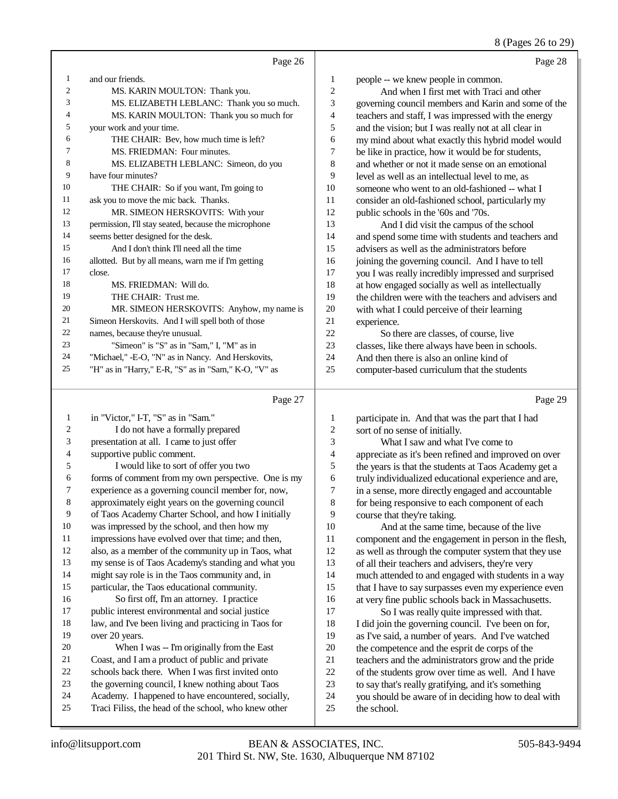#### 8 (Pages 26 to 29)

|                | Page 26                                              |                | Page 28                                              |
|----------------|------------------------------------------------------|----------------|------------------------------------------------------|
| 1              | and our friends.                                     | 1              | people -- we knew people in common.                  |
| $\overline{2}$ | MS. KARIN MOULTON: Thank you.                        | $\overline{c}$ | And when I first met with Traci and other            |
| 3              | MS. ELIZABETH LEBLANC: Thank you so much.            | 3              | governing council members and Karin and some of the  |
| 4              | MS. KARIN MOULTON: Thank you so much for             | 4              | teachers and staff, I was impressed with the energy  |
| 5              | your work and your time.                             | 5              | and the vision; but I was really not at all clear in |
| 6              | THE CHAIR: Bev, how much time is left?               | 6              | my mind about what exactly this hybrid model would   |
| 7              | MS. FRIEDMAN: Four minutes.                          | 7              | be like in practice, how it would be for students,   |
| 8              | MS. ELIZABETH LEBLANC: Simeon, do you                | 8              | and whether or not it made sense on an emotional     |
| 9              | have four minutes?                                   | 9              | level as well as an intellectual level to me, as     |
| 10             | THE CHAIR: So if you want, I'm going to              | 10             | someone who went to an old-fashioned -- what I       |
| 11             | ask you to move the mic back. Thanks.                | 11             | consider an old-fashioned school, particularly my    |
| 12             | MR. SIMEON HERSKOVITS: With your                     | 12             | public schools in the '60s and '70s.                 |
| 13             | permission, I'll stay seated, because the microphone | 13             | And I did visit the campus of the school             |
| 14             | seems better designed for the desk.                  | 14             | and spend some time with students and teachers and   |
| 15             | And I don't think I'll need all the time             | 15             | advisers as well as the administrators before        |
| 16             | allotted. But by all means, warn me if I'm getting   | 16             | joining the governing council. And I have to tell    |
| 17             | close.                                               | 17             | you I was really incredibly impressed and surprised  |
| 18             | MS. FRIEDMAN: Will do.                               | 18             | at how engaged socially as well as intellectually    |
| 19             | THE CHAIR: Trust me.                                 | 19             | the children were with the teachers and advisers and |
| 20             | MR. SIMEON HERSKOVITS: Anyhow, my name is            | 20             | with what I could perceive of their learning         |
| 21             | Simeon Herskovits. And I will spell both of those    | 21             | experience.                                          |
| 22             | names, because they're unusual.                      | 22             | So there are classes, of course, live                |
| 23             | "Simeon" is "S" as in "Sam," I, "M" as in            | 23             | classes, like there always have been in schools.     |
| 24             | "Michael," -E-O, "N" as in Nancy. And Herskovits,    | 24             | And then there is also an online kind of             |
| 25             | "H" as in "Harry," E-R, "S" as in "Sam," K-O, "V" as | 25             | computer-based curriculum that the students          |
|                | Page 27                                              |                | Page 29                                              |

## Page 27 |

| 1  | in "Victor," I-T, "S" as in "Sam."                   | 1  | participate in. And that was the part that I had     |
|----|------------------------------------------------------|----|------------------------------------------------------|
| 2  | I do not have a formally prepared                    | 2  | sort of no sense of initially.                       |
| 3  | presentation at all. I came to just offer            | 3  | What I saw and what I've come to                     |
| 4  | supportive public comment.                           | 4  | appreciate as it's been refined and improved on over |
| 5  | I would like to sort of offer you two                | 5  | the years is that the students at Taos Academy get a |
| 6  | forms of comment from my own perspective. One is my  | 6  | truly individualized educational experience and are, |
| 7  | experience as a governing council member for, now,   | 7  | in a sense, more directly engaged and accountable    |
| 8  | approximately eight years on the governing council   | 8  | for being responsive to each component of each       |
| 9  | of Taos Academy Charter School, and how I initially  | 9  | course that they're taking.                          |
| 10 | was impressed by the school, and then how my         | 10 | And at the same time, because of the live            |
| 11 | impressions have evolved over that time; and then,   | 11 | component and the engagement in person in the flesh, |
| 12 | also, as a member of the community up in Taos, what  | 12 | as well as through the computer system that they use |
| 13 | my sense is of Taos Academy's standing and what you  | 13 | of all their teachers and advisers, they're very     |
| 14 | might say role is in the Taos community and, in      | 14 | much attended to and engaged with students in a way  |
| 15 | particular, the Taos educational community.          | 15 | that I have to say surpasses even my experience even |
| 16 | So first off, I'm an attorney. I practice            | 16 | at very fine public schools back in Massachusetts.   |
| 17 | public interest environmental and social justice     | 17 | So I was really quite impressed with that.           |
| 18 | law, and I've been living and practicing in Taos for | 18 | I did join the governing council. I've been on for,  |
| 19 | over 20 years.                                       | 19 | as I've said, a number of years. And I've watched    |
| 20 | When I was -- I'm originally from the East           | 20 | the competence and the esprit de corps of the        |
| 21 | Coast, and I am a product of public and private      | 21 | teachers and the administrators grow and the pride   |
| 22 | schools back there. When I was first invited onto    | 22 | of the students grow over time as well. And I have   |
| 23 | the governing council, I knew nothing about Taos     | 23 | to say that's really gratifying, and it's something  |
| 24 | Academy. I happened to have encountered, socially,   | 24 | you should be aware of in deciding how to deal with  |
| 25 | Traci Filiss, the head of the school, who knew other | 25 | the school.                                          |
|    |                                                      |    |                                                      |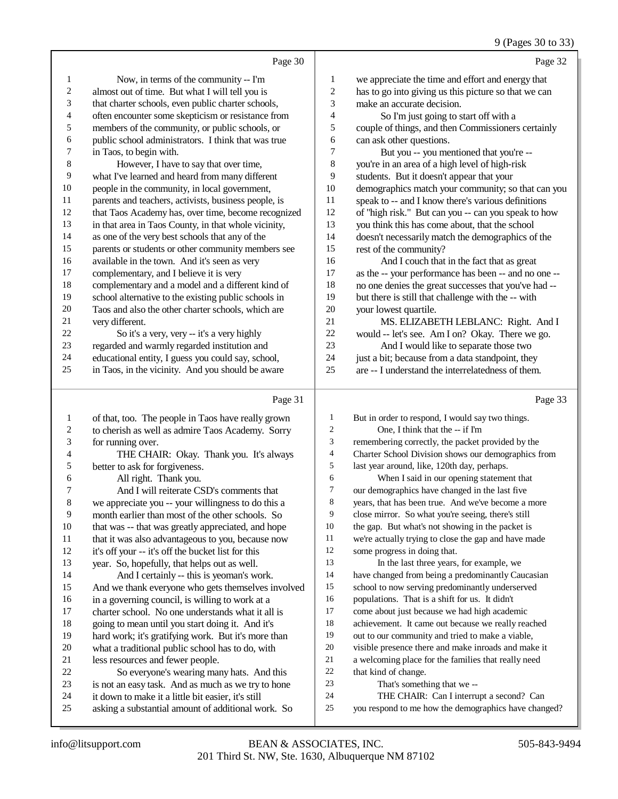#### 9 (Pages 30 to 33)

Page 30 Now, in terms of the community -- I'm almost out of time. But what I will tell you is that charter schools, even public charter schools, 4 often encounter some skepticism or resistance from<br>5 members of the community, or public schools, or members of the community, or public schools, or 6 public school administrators. I think that was true  $\frac{7}{10}$  in Taos. to begin with. in Taos, to begin with. However, I have to say that over time, what I've learned and heard from many different people in the community, in local government, 11 parents and teachers, activists, business people, is<br>12 that Taos Academy has over time become recogni that Taos Academy has, over time, become recognized in that area in Taos County, in that whole vicinity, as one of the very best schools that any of the 15 parents or students or other community members see<br>16 available in the town And it's seen as very 16 available in the town. And it's seen as very<br>17 complementary and I believe it is very 17 complementary, and I believe it is very<br>18 complementary and a model and a different complementary and a model and a different kind of 19 school alternative to the existing public schools in<br>20 Taos and also the other charter schools which are Taos and also the other charter schools, which are 21 very different.<br>22 So it's a 22 So it's a very, very -- it's a very highly<br>
23 regarded and warmly regarded institution an regarded and warmly regarded institution and 24 educational entity, I guess you could say, school,<br>25 in Taos in the vicinity. And you should be aware in Taos, in the vicinity. And you should be aware Page 32 we appreciate the time and effort and energy that has to go into giving us this picture so that we can make an accurate decision. So I'm just going to start off with a couple of things, and then Commissioners certainly can ask other questions. But you -- you mentioned that you're -- you're in an area of a high level of high-risk students. But it doesn't appear that your demographics match your community; so that can you speak to -- and I know there's various definitions of "high risk." But can you -- can you speak to how you think this has come about, that the school doesn't necessarily match the demographics of the rest of the community? And I couch that in the fact that as great as the -- your performance has been -- and no one -- no one denies the great successes that you've had -- but there is still that challenge with the -- with your lowest quartile. MS. ELIZABETH LEBLANC: Right. And I would -- let's see. Am I on? Okay. There we go. And I would like to separate those two 24 just a bit; because from a data standpoint, they are -- I understand the interrelatedness of them.

#### Page 31

|              | Page 31                                             |    | Page 3                                               |
|--------------|-----------------------------------------------------|----|------------------------------------------------------|
| $\mathbf{1}$ | of that, too. The people in Taos have really grown  | 1  | But in order to respond, I would say two things.     |
| 2            | to cherish as well as admire Taos Academy. Sorry    | 2  | One, I think that the -- if I'm                      |
| 3            | for running over.                                   | 3  | remembering correctly, the packet provided by the    |
| 4            | THE CHAIR: Okay. Thank you. It's always             | 4  | Charter School Division shows our demographics from  |
| 5            | better to ask for forgiveness.                      | 5  | last year around, like, 120th day, perhaps.          |
| 6            | All right. Thank you.                               | 6  | When I said in our opening statement that            |
| 7            | And I will reiterate CSD's comments that            | 7  | our demographics have changed in the last five       |
| 8            | we appreciate you -- your willingness to do this a  | 8  | years, that has been true. And we've become a more   |
| 9            | month earlier than most of the other schools. So    | 9  | close mirror. So what you're seeing, there's still   |
| 10           | that was -- that was greatly appreciated, and hope  | 10 | the gap. But what's not showing in the packet is     |
| 11           | that it was also advantageous to you, because now   | 11 | we're actually trying to close the gap and have made |
| 12           | it's off your -- it's off the bucket list for this  | 12 | some progress in doing that.                         |
| 13           | year. So, hopefully, that helps out as well.        | 13 | In the last three years, for example, we             |
| 14           | And I certainly -- this is yeoman's work.           | 14 | have changed from being a predominantly Caucasian    |
| 15           | And we thank everyone who gets themselves involved  | 15 | school to now serving predominantly underserved      |
| 16           | in a governing council, is willing to work at a     | 16 | populations. That is a shift for us. It didn't       |
| 17           | charter school. No one understands what it all is   | 17 | come about just because we had high academic         |
| 18           | going to mean until you start doing it. And it's    | 18 | achievement. It came out because we really reached   |
| 19           | hard work; it's gratifying work. But it's more than | 19 | out to our community and tried to make a viable,     |
| 20           | what a traditional public school has to do, with    | 20 | visible presence there and make inroads and make it  |
| 21           | less resources and fewer people.                    | 21 | a welcoming place for the families that really need  |
| 22           | So everyone's wearing many hats. And this           | 22 | that kind of change.                                 |
| 23           | is not an easy task. And as much as we try to hone  | 23 | That's something that we --                          |
| 24           | it down to make it a little bit easier, it's still  | 24 | THE CHAIR: Can I interrupt a second? Can             |
| 25           | asking a substantial amount of additional work. So  | 25 | you respond to me how the demographics have changed? |
|              |                                                     |    |                                                      |

Page 33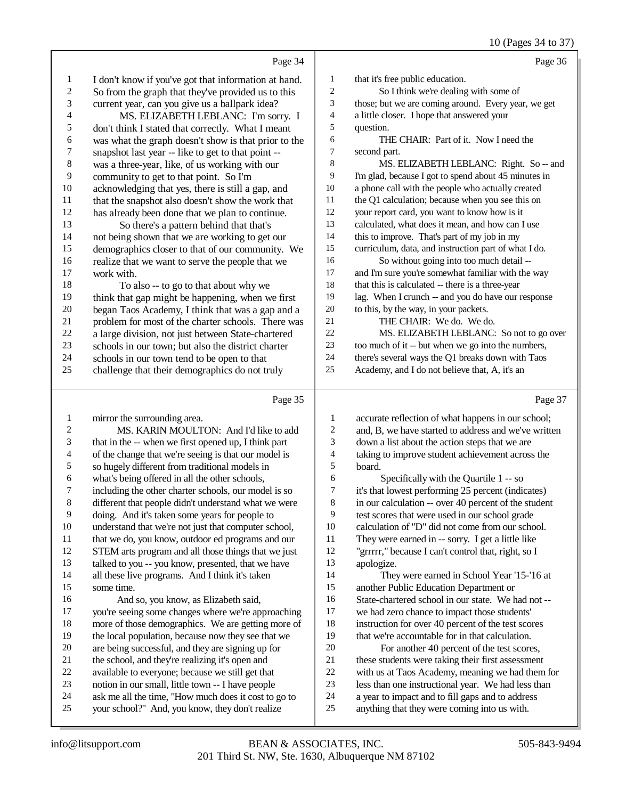10 (Pages 34 to 37)

|              | Page 34                                                                                                 |                          | Page 36                                                                                             |
|--------------|---------------------------------------------------------------------------------------------------------|--------------------------|-----------------------------------------------------------------------------------------------------|
| 1            | I don't know if you've got that information at hand.                                                    | $\mathbf{1}$             | that it's free public education.                                                                    |
| $\sqrt{2}$   | So from the graph that they've provided us to this                                                      | 2                        | So I think we're dealing with some of                                                               |
| 3            | current year, can you give us a ballpark idea?                                                          | 3                        | those; but we are coming around. Every year, we get                                                 |
| 4            | MS. ELIZABETH LEBLANC: I'm sorry. I                                                                     | $\overline{\mathcal{A}}$ | a little closer. I hope that answered your                                                          |
| 5            | don't think I stated that correctly. What I meant                                                       | 5                        | question.                                                                                           |
| 6            | was what the graph doesn't show is that prior to the                                                    | 6                        | THE CHAIR: Part of it. Now I need the                                                               |
| 7            | snapshot last year -- like to get to that point --                                                      | 7                        | second part.                                                                                        |
| $\,$ 8 $\,$  | was a three-year, like, of us working with our                                                          | 8                        | MS. ELIZABETH LEBLANC: Right. So -- and                                                             |
| 9            | community to get to that point. So I'm                                                                  | 9                        | I'm glad, because I got to spend about 45 minutes in                                                |
| 10           | acknowledging that yes, there is still a gap, and                                                       | 10                       | a phone call with the people who actually created                                                   |
| 11           | that the snapshot also doesn't show the work that                                                       | 11                       | the Q1 calculation; because when you see this on                                                    |
| 12           | has already been done that we plan to continue.                                                         | 12                       | your report card, you want to know how is it                                                        |
| 13           | So there's a pattern behind that that's                                                                 | 13                       | calculated, what does it mean, and how can I use                                                    |
| 14           | not being shown that we are working to get our                                                          | 14                       | this to improve. That's part of my job in my                                                        |
| 15           | demographics closer to that of our community. We                                                        | 15                       | curriculum, data, and instruction part of what I do.                                                |
| 16           | realize that we want to serve the people that we                                                        | 16                       | So without going into too much detail --                                                            |
| 17           | work with.                                                                                              | $17\,$                   | and I'm sure you're somewhat familiar with the way                                                  |
| 18           | To also -- to go to that about why we                                                                   | 18                       | that this is calculated -- there is a three-year                                                    |
| 19           | think that gap might be happening, when we first                                                        | 19                       | lag. When I crunch -- and you do have our response                                                  |
| $20\,$       | began Taos Academy, I think that was a gap and a                                                        | $20\,$                   | to this, by the way, in your packets.                                                               |
| 21           | problem for most of the charter schools. There was                                                      | $21\,$                   | THE CHAIR: We do. We do.                                                                            |
| 22           | a large division, not just between State-chartered                                                      | $22\,$                   | MS. ELIZABETH LEBLANC: So not to go over                                                            |
| 23<br>24     | schools in our town; but also the district charter                                                      | $23\,$<br>24             | too much of it -- but when we go into the numbers,                                                  |
| 25           | schools in our town tend to be open to that                                                             | 25                       | there's several ways the Q1 breaks down with Taos<br>Academy, and I do not believe that, A, it's an |
|              | challenge that their demographics do not truly                                                          |                          |                                                                                                     |
|              |                                                                                                         |                          |                                                                                                     |
|              | Page 35                                                                                                 |                          | Page 37                                                                                             |
| $\mathbf{1}$ | mirror the surrounding area.                                                                            | 1                        | accurate reflection of what happens in our school;                                                  |
| 2            | MS. KARIN MOULTON: And I'd like to add                                                                  | 2                        | and, B, we have started to address and we've written                                                |
| 3            | that in the -- when we first opened up, I think part                                                    | 3                        | down a list about the action steps that we are                                                      |
| 4            | of the change that we're seeing is that our model is                                                    | 4                        | taking to improve student achievement across the                                                    |
| 5            | so hugely different from traditional models in                                                          | 5                        | board.                                                                                              |
| 6            | what's being offered in all the other schools,                                                          | 6                        | Specifically with the Quartile 1 -- so                                                              |
| 7            | including the other charter schools, our model is so                                                    | 7                        | it's that lowest performing 25 percent (indicates)                                                  |
|              | different that people didn't understand what we were                                                    | 8                        | in our calculation -- over 40 percent of the student                                                |
| 9            | doing. And it's taken some years for people to                                                          | 9                        | test scores that were used in our school grade                                                      |
| 10           | understand that we're not just that computer school,                                                    | 10                       | calculation of "D" did not come from our school.                                                    |
| 11           | that we do, you know, outdoor ed programs and our                                                       | 11                       | They were earned in -- sorry. I get a little like                                                   |
| 12           | STEM arts program and all those things that we just                                                     | 12                       | "grrrrr," because I can't control that, right, so I                                                 |
| 13           | talked to you -- you know, presented, that we have                                                      | 13                       | apologize.                                                                                          |
| 14           | all these live programs. And I think it's taken                                                         | 14                       | They were earned in School Year '15-'16 at                                                          |
| 15           | some time.                                                                                              | 15                       | another Public Education Department or                                                              |
| 16           | And so, you know, as Elizabeth said,                                                                    | 16                       | State-chartered school in our state. We had not --                                                  |
| 17           | you're seeing some changes where we're approaching                                                      | 17                       | we had zero chance to impact those students'                                                        |
| 18           | more of those demographics. We are getting more of                                                      | 18                       | instruction for over 40 percent of the test scores                                                  |
| 19           | the local population, because now they see that we                                                      | 19                       | that we're accountable for in that calculation.                                                     |
| 20           | are being successful, and they are signing up for                                                       | $20\,$                   | For another 40 percent of the test scores,                                                          |
| 21           | the school, and they're realizing it's open and                                                         | 21                       | these students were taking their first assessment                                                   |
| 22<br>23     | available to everyone; because we still get that                                                        | $22\,$<br>23             | with us at Taos Academy, meaning we had them for                                                    |
| 24           | notion in our small, little town -- I have people                                                       | 24                       | less than one instructional year. We had less than                                                  |
| 25           | ask me all the time, "How much does it cost to go to<br>your school?" And, you know, they don't realize | 25                       | a year to impact and to fill gaps and to address<br>anything that they were coming into us with.    |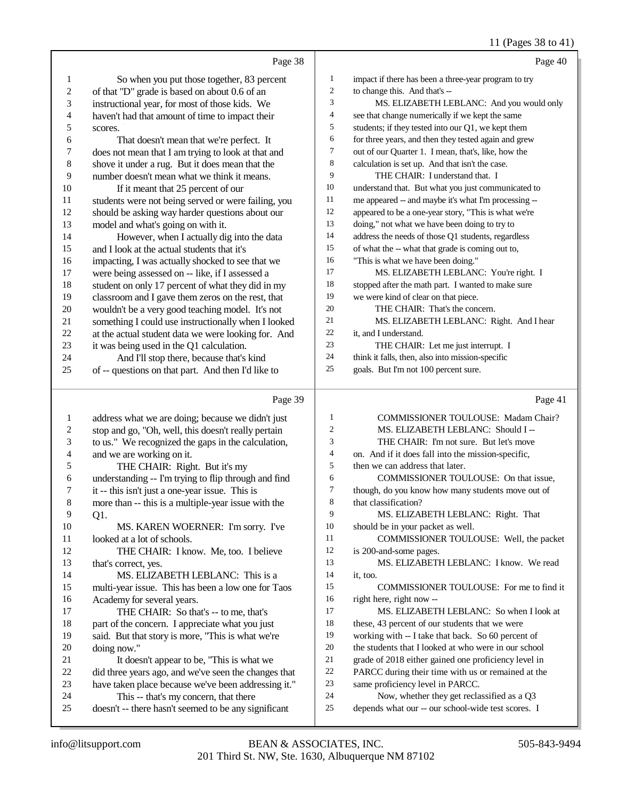## 11 (Pages 38 to 41)

|                          | Page 38                                                                                                  |                  | Page 40                                                                                          |
|--------------------------|----------------------------------------------------------------------------------------------------------|------------------|--------------------------------------------------------------------------------------------------|
| $\mathbf{1}$             | So when you put those together, 83 percent                                                               | $\mathbf{1}$     | impact if there has been a three-year program to try                                             |
| $\overline{c}$           | of that "D" grade is based on about 0.6 of an                                                            | $\boldsymbol{2}$ | to change this. And that's --                                                                    |
| 3                        | instructional year, for most of those kids. We                                                           | 3                | MS. ELIZABETH LEBLANC: And you would only                                                        |
| $\overline{\mathcal{L}}$ | haven't had that amount of time to impact their                                                          | 4                | see that change numerically if we kept the same                                                  |
| 5                        | scores.                                                                                                  | 5                | students; if they tested into our Q1, we kept them                                               |
| 6                        | That doesn't mean that we're perfect. It                                                                 | 6                | for three years, and then they tested again and grew                                             |
| 7                        | does not mean that I am trying to look at that and                                                       | 7                | out of our Quarter 1. I mean, that's, like, how the                                              |
| 8                        | shove it under a rug. But it does mean that the                                                          | 8                | calculation is set up. And that isn't the case.                                                  |
| 9                        | number doesn't mean what we think it means.                                                              | 9                | THE CHAIR: I understand that. I                                                                  |
| $10\,$                   | If it meant that 25 percent of our                                                                       | 10               | understand that. But what you just communicated to                                               |
| 11                       | students were not being served or were failing, you                                                      | 11               | me appeared -- and maybe it's what I'm processing --                                             |
| 12                       | should be asking way harder questions about our                                                          | 12               | appeared to be a one-year story, "This is what we're                                             |
| 13                       | model and what's going on with it.                                                                       | 13               | doing," not what we have been doing to try to                                                    |
| 14                       | However, when I actually dig into the data                                                               | 14               | address the needs of those Q1 students, regardless                                               |
| 15                       | and I look at the actual students that it's                                                              | 15               | of what the -- what that grade is coming out to,                                                 |
| 16                       | impacting, I was actually shocked to see that we                                                         | 16               | "This is what we have been doing."                                                               |
| 17                       | were being assessed on -- like, if I assessed a                                                          | 17               | MS. ELIZABETH LEBLANC: You're right. I                                                           |
| 18                       | student on only 17 percent of what they did in my                                                        | 18               | stopped after the math part. I wanted to make sure                                               |
| $19\,$                   | classroom and I gave them zeros on the rest, that                                                        | 19               | we were kind of clear on that piece.                                                             |
| 20                       | wouldn't be a very good teaching model. It's not                                                         | $20\,$           | THE CHAIR: That's the concern.                                                                   |
| $21\,$                   | something I could use instructionally when I looked                                                      | 21               | MS. ELIZABETH LEBLANC: Right. And I hear                                                         |
| $22\,$                   | at the actual student data we were looking for. And                                                      | 22               | it, and I understand.                                                                            |
| $23\,$                   | it was being used in the Q1 calculation.                                                                 | 23               | THE CHAIR: Let me just interrupt. I                                                              |
| 24                       | And I'll stop there, because that's kind                                                                 | 24               | think it falls, then, also into mission-specific                                                 |
| 25                       | of -- questions on that part. And then I'd like to                                                       | 25               | goals. But I'm not 100 percent sure.                                                             |
|                          |                                                                                                          |                  |                                                                                                  |
|                          | Page 39                                                                                                  |                  | Page 41                                                                                          |
| $\mathbf{1}$             |                                                                                                          | 1                | COMMISSIONER TOULOUSE: Madam Chair?                                                              |
| $\overline{\mathbf{c}}$  | address what we are doing; because we didn't just<br>stop and go, "Oh, well, this doesn't really pertain | 2                | MS. ELIZABETH LEBLANC: Should I --                                                               |
| 3                        | to us." We recognized the gaps in the calculation,                                                       | 3                | THE CHAIR: I'm not sure. But let's move                                                          |
| 4                        | and we are working on it.                                                                                | 4                | on. And if it does fall into the mission-specific,                                               |
| 5                        | THE CHAIR: Right. But it's my                                                                            | 5                | then we can address that later.                                                                  |
| 6                        | understanding -- I'm trying to flip through and find                                                     | 6                | COMMISSIONER TOULOUSE: On that issue,                                                            |
| 7                        | it -- this isn't just a one-year issue. This is                                                          | 7                | though, do you know how many students move out of                                                |
| 8                        | more than -- this is a multiple-year issue with the                                                      | 8                | that classification?                                                                             |
| 9                        | Q1.                                                                                                      | 9                | MS. ELIZABETH LEBLANC: Right. That                                                               |
| $10\,$                   | MS. KAREN WOERNER: I'm sorry. I've                                                                       | 10               | should be in your packet as well.                                                                |
| 11                       | looked at a lot of schools.                                                                              | 11               | COMMISSIONER TOULOUSE: Well, the packet                                                          |
| 12                       | THE CHAIR: I know. Me, too. I believe                                                                    | 12               | is 200-and-some pages.                                                                           |
| 13                       | that's correct, yes.                                                                                     | 13               | MS. ELIZABETH LEBLANC: I know. We read                                                           |
| 14                       | MS. ELIZABETH LEBLANC: This is a                                                                         | 14               | it, too.                                                                                         |
| 15                       | multi-year issue. This has been a low one for Taos                                                       | 15               | COMMISSIONER TOULOUSE: For me to find it                                                         |
| 16                       | Academy for several years.                                                                               | 16               | right here, right now --                                                                         |
| 17                       | THE CHAIR: So that's -- to me, that's                                                                    | 17               | MS. ELIZABETH LEBLANC: So when I look at                                                         |
| 18                       | part of the concern. I appreciate what you just                                                          | 18               | these, 43 percent of our students that we were                                                   |
| 19                       | said. But that story is more, "This is what we're                                                        | 19               | working with -- I take that back. So 60 percent of                                               |
| $20\,$                   | doing now."                                                                                              | 20               | the students that I looked at who were in our school                                             |
| 21                       | It doesn't appear to be, "This is what we                                                                | 21               | grade of 2018 either gained one proficiency level in                                             |
| $22\,$                   | did three years ago, and we've seen the changes that                                                     | $22\,$           | PARCC during their time with us or remained at the                                               |
| 23                       | have taken place because we've been addressing it."                                                      | $23\,$           | same proficiency level in PARCC.                                                                 |
| 24<br>$25\,$             | This -- that's my concern, that there<br>doesn't -- there hasn't seemed to be any significant            | 24<br>25         | Now, whether they get reclassified as a Q3<br>depends what our -- our school-wide test scores. I |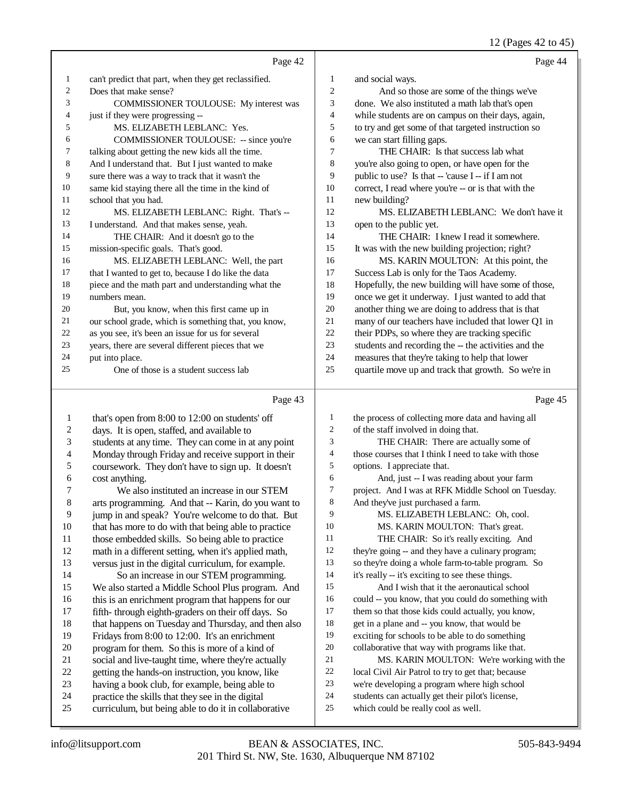12 (Pages 42 to 45)

|    | Page 42                                              |                | Page 44                                              |
|----|------------------------------------------------------|----------------|------------------------------------------------------|
| 1  | can't predict that part, when they get reclassified. | 1              | and social ways.                                     |
| 2  | Does that make sense?                                | $\overline{2}$ | And so those are some of the things we've            |
| 3  | COMMISSIONER TOULOUSE: My interest was               | 3              | done. We also instituted a math lab that's open      |
| 4  | just if they were progressing --                     | 4              | while students are on campus on their days, again,   |
| 5  | MS. ELIZABETH LEBLANC: Yes.                          | 5              | to try and get some of that targeted instruction so  |
| 6  | COMMISSIONER TOULOUSE: -- since you're               | 6              | we can start filling gaps.                           |
| 7  | talking about getting the new kids all the time.     | 7              | THE CHAIR: Is that success lab what                  |
| 8  | And I understand that. But I just wanted to make     | 8              | you're also going to open, or have open for the      |
| 9  | sure there was a way to track that it wasn't the     | 9              | public to use? Is that -- 'cause I -- if I am not    |
| 10 | same kid staying there all the time in the kind of   | 10             | correct, I read where you're -- or is that with the  |
| 11 | school that you had.                                 | 11             | new building?                                        |
| 12 | MS. ELIZABETH LEBLANC: Right. That's --              | 12             | MS. ELIZABETH LEBLANC: We don't have it              |
| 13 | I understand. And that makes sense, yeah.            | 13             | open to the public yet.                              |
| 14 | THE CHAIR: And it doesn't go to the                  | 14             | THE CHAIR: I knew I read it somewhere.               |
| 15 | mission-specific goals. That's good.                 | 15             | It was with the new building projection; right?      |
| 16 | MS. ELIZABETH LEBLANC: Well, the part                | 16             | MS. KARIN MOULTON: At this point, the                |
| 17 | that I wanted to get to, because I do like the data  | 17             | Success Lab is only for the Taos Academy.            |
| 18 | piece and the math part and understanding what the   | 18             | Hopefully, the new building will have some of those, |
| 19 | numbers mean.                                        | 19             | once we get it underway. I just wanted to add that   |
| 20 | But, you know, when this first came up in            | 20             | another thing we are doing to address that is that   |
| 21 | our school grade, which is something that, you know, | 21             | many of our teachers have included that lower Q1 in  |
| 22 | as you see, it's been an issue for us for several    | 22             | their PDPs, so where they are tracking specific      |
| 23 | years, there are several different pieces that we    | 23             | students and recording the -- the activities and the |
| 24 | put into place.                                      | 24             | measures that they're taking to help that lower      |
| 25 | One of those is a student success lab                | 25             | quartile move up and track that growth. So we're in  |
|    | Page 43                                              |                | Page 45                                              |

#### Page 43

1 that's open from 8:00 to 12:00 on students' off 2 days. It is open, staffed, and available to<br>3 students at any time. They can come in a students at any time. They can come in at any point 4 Monday through Friday and receive support in their<br>5 coursework. They don't have to sign up. It doesn't coursework. They don't have to sign up. It doesn't 6 cost anything.<br>7 We also 7 We also instituted an increase in our STEM<br>8 arts programming. And that -- Karin, do you want arts programming. And that -- Karin, do you want to jump in and speak? You're welcome to do that. But 10 that has more to do with that being able to practice<br>11 those embedded skills. So being able to practice 11 those embedded skills. So being able to practice<br>12 math in a different setting, when it's applied math math in a different setting, when it's applied math, versus just in the digital curriculum, for example. So an increase in our STEM programming. We also started a Middle School Plus program. And 16 this is an enrichment program that happens for our<br>17 fifth-through eighth-graders on their off days. So fifth- through eighth-graders on their off days. So 18 that happens on Tuesday and Thursday, and then also<br>19 Fridays from 8:00 to 12:00 It's an enrichment Fridays from 8:00 to 12:00. It's an enrichment 20 program for them. So this is more of a kind of<br>21 social and live-taught time, where they're actual 21 social and live-taught time, where they're actually<br>22 setting the hands-on instruction, you know, like 22 getting the hands-on instruction, you know, like 23 having a book club, for example, being able to having a book club, for example, being able to 24 practice the skills that they see in the digital<br>25 curriculum but being able to do it in collab curriculum, but being able to do it in collaborative the process of collecting more data and having all of the staff involved in doing that. THE CHAIR: There are actually some of 4 those courses that I think I need to take with those<br>5 options. I appreciate that. options. I appreciate that. 6 And, just -- I was reading about your farm<br>
7 project. And I was at RFK Middle School on Tue project. And I was at RFK Middle School on Tuesday. And they've just purchased a farm. MS. ELIZABETH LEBLANC: Oh, cool. MS. KARIN MOULTON: That's great. THE CHAIR: So it's really exciting. And they're going -- and they have a culinary program; so they're doing a whole farm-to-table program. So it's really -- it's exciting to see these things. And I wish that it the aeronautical school could -- you know, that you could do something with them so that those kids could actually, you know, get in a plane and -- you know, that would be exciting for schools to be able to do something collaborative that way with programs like that. 21 MS. KARIN MOULTON: We're working with the<br>22 Iocal Civil Air Patrol to try to get that: because 22 local Civil Air Patrol to try to get that; because<br>23 we're developing a program where high school we're developing a program where high school 24 students can actually get their pilot's license,<br>25 which could be really cool as well. which could be really cool as well.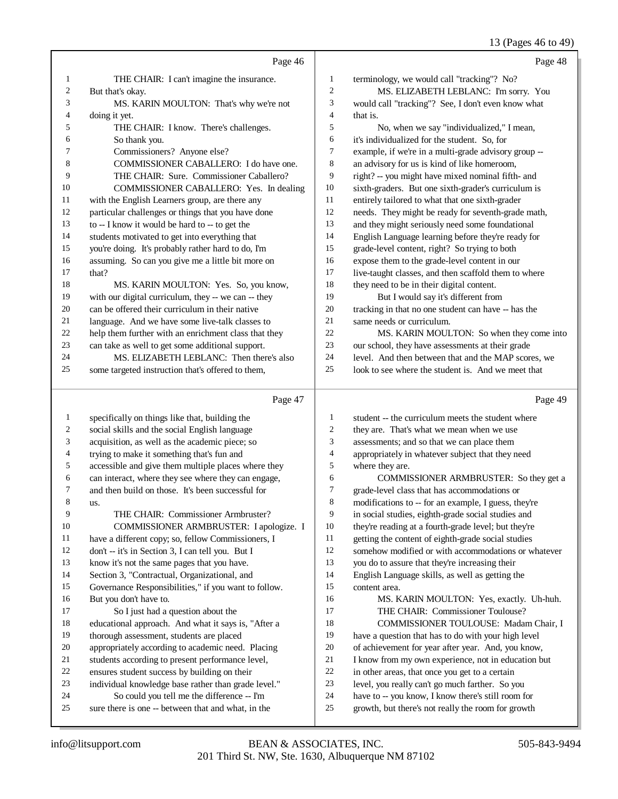## 13 (Pages 46 to 49)

|              | Page 46                                                                                                    |                     | Page 48                                                                                               |
|--------------|------------------------------------------------------------------------------------------------------------|---------------------|-------------------------------------------------------------------------------------------------------|
| 1            | THE CHAIR: I can't imagine the insurance.                                                                  | $\mathbf{1}$        | terminology, we would call "tracking"? No?                                                            |
| 2            | But that's okay.                                                                                           | $\overline{2}$      | MS. ELIZABETH LEBLANC: I'm sorry. You                                                                 |
| 3            | MS. KARIN MOULTON: That's why we're not                                                                    | 3                   | would call "tracking"? See, I don't even know what                                                    |
| 4            | doing it yet.                                                                                              | $\overline{4}$      | that is.                                                                                              |
| 5            | THE CHAIR: I know. There's challenges.                                                                     | 5                   | No, when we say "individualized," I mean,                                                             |
| 6            | So thank you.                                                                                              | 6                   | it's individualized for the student. So, for                                                          |
| 7            | Commissioners? Anyone else?                                                                                | $\tau$              | example, if we're in a multi-grade advisory group --                                                  |
| 8            | COMMISSIONER CABALLERO: I do have one.                                                                     | 8                   | an advisory for us is kind of like homeroom,                                                          |
| 9            | THE CHAIR: Sure. Commissioner Caballero?                                                                   | 9                   | right? -- you might have mixed nominal fifth- and                                                     |
| 10           | COMMISSIONER CABALLERO: Yes. In dealing                                                                    | 10                  | sixth-graders. But one sixth-grader's curriculum is                                                   |
| 11           | with the English Learners group, are there any                                                             | 11                  | entirely tailored to what that one sixth-grader                                                       |
| 12           | particular challenges or things that you have done                                                         | 12                  | needs. They might be ready for seventh-grade math,                                                    |
| 13           | to -- I know it would be hard to -- to get the                                                             | 13                  | and they might seriously need some foundational                                                       |
| 14           | students motivated to get into everything that                                                             | 14                  | English Language learning before they're ready for                                                    |
| 15<br>16     | you're doing. It's probably rather hard to do, I'm                                                         | 15<br>16            | grade-level content, right? So trying to both                                                         |
| 17           | assuming. So can you give me a little bit more on<br>that?                                                 | 17                  | expose them to the grade-level content in our<br>live-taught classes, and then scaffold them to where |
| 18           | MS. KARIN MOULTON: Yes. So, you know,                                                                      | 18                  | they need to be in their digital content.                                                             |
| 19           | with our digital curriculum, they -- we can -- they                                                        | 19                  | But I would say it's different from                                                                   |
| 20           | can be offered their curriculum in their native                                                            | 20                  | tracking in that no one student can have -- has the                                                   |
| 21           | language. And we have some live-talk classes to                                                            | 21                  | same needs or curriculum.                                                                             |
| 22           | help them further with an enrichment class that they                                                       | 22                  | MS. KARIN MOULTON: So when they come into                                                             |
| 23           | can take as well to get some additional support.                                                           | 23                  | our school, they have assessments at their grade                                                      |
| 24           | MS. ELIZABETH LEBLANC: Then there's also                                                                   | 24                  | level. And then between that and the MAP scores, we                                                   |
| 25           | some targeted instruction that's offered to them,                                                          | 25                  | look to see where the student is. And we meet that                                                    |
|              |                                                                                                            |                     |                                                                                                       |
|              |                                                                                                            |                     |                                                                                                       |
|              | Page 47                                                                                                    |                     | Page 49                                                                                               |
| $\mathbf{1}$ | specifically on things like that, building the                                                             | $\mathbf{1}$        | student -- the curriculum meets the student where                                                     |
| 2            | social skills and the social English language                                                              | $\boldsymbol{2}$    | they are. That's what we mean when we use                                                             |
| 3<br>4       | acquisition, as well as the academic piece; so                                                             | 3<br>$\overline{4}$ | assessments; and so that we can place them                                                            |
| 5            | trying to make it something that's fun and                                                                 | 5                   | appropriately in whatever subject that they need                                                      |
| 6            | accessible and give them multiple places where they<br>can interact, where they see where they can engage, | 6                   | where they are.<br>COMMISSIONER ARMBRUSTER: So they get a                                             |
| 7            | and then build on those. It's been successful for                                                          | 7                   | grade-level class that has accommodations or                                                          |
| 8            | us.                                                                                                        | 8                   | modifications to -- for an example, I guess, they're                                                  |
| 9            | THE CHAIR: Commissioner Armbruster?                                                                        | 9                   | in social studies, eighth-grade social studies and                                                    |
| 10           | COMMISSIONER ARMBRUSTER: I apologize. I                                                                    | 10                  | they're reading at a fourth-grade level; but they're                                                  |
| 11           | have a different copy; so, fellow Commissioners, I                                                         | 11                  | getting the content of eighth-grade social studies                                                    |
| 12           | don't -- it's in Section 3, I can tell you. But I                                                          | 12                  | somehow modified or with accommodations or whatever                                                   |
| 13           | know it's not the same pages that you have.                                                                | 13                  | you do to assure that they're increasing their                                                        |
| 14           | Section 3, "Contractual, Organizational, and                                                               | 14                  | English Language skills, as well as getting the                                                       |
| 15           | Governance Responsibilities," if you want to follow.                                                       | 15                  | content area.                                                                                         |
| 16           | But you don't have to.                                                                                     | 16                  | MS. KARIN MOULTON: Yes, exactly. Uh-huh.                                                              |
| 17           | So I just had a question about the                                                                         | 17                  | THE CHAIR: Commissioner Toulouse?                                                                     |
| 18           | educational approach. And what it says is, "After a                                                        | 18                  | COMMISSIONER TOULOUSE: Madam Chair, I                                                                 |
| 19           | thorough assessment, students are placed                                                                   | 19                  | have a question that has to do with your high level                                                   |
| 20<br>21     | appropriately according to academic need. Placing                                                          | 20<br>21            | of achievement for year after year. And, you know,                                                    |
| 22           | students according to present performance level,                                                           | 22                  | I know from my own experience, not in education but                                                   |
| 23           | ensures student success by building on their<br>individual knowledge base rather than grade level."        | 23                  | in other areas, that once you get to a certain<br>level, you really can't go much farther. So you     |
| 24           | So could you tell me the difference -- I'm                                                                 | 24                  | have to -- you know, I know there's still room for                                                    |
| 25           | sure there is one -- between that and what, in the                                                         | 25                  | growth, but there's not really the room for growth                                                    |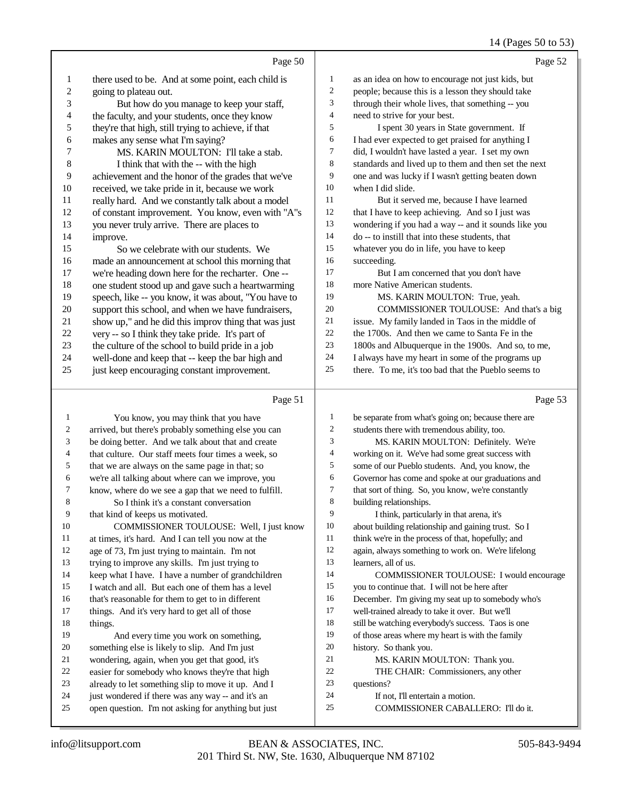#### 14 (Pages 50 to 53)

|                | Page 50                                              |                | Page 52                                              |
|----------------|------------------------------------------------------|----------------|------------------------------------------------------|
| $\mathbf{1}$   | there used to be. And at some point, each child is   | 1              | as an idea on how to encourage not just kids, but    |
| $\overline{c}$ | going to plateau out.                                | $\overline{c}$ | people; because this is a lesson they should take    |
| 3              | But how do you manage to keep your staff,            | 3              | through their whole lives, that something -- you     |
| 4              | the faculty, and your students, once they know       | 4              | need to strive for your best.                        |
| 5              | they're that high, still trying to achieve, if that  | 5              | I spent 30 years in State government. If             |
| 6              | makes any sense what I'm saying?                     | 6              | I had ever expected to get praised for anything I    |
| 7              | MS. KARIN MOULTON: I'll take a stab.                 | 7              | did, I wouldn't have lasted a year. I set my own     |
| 8              | I think that with the -- with the high               | $\,8\,$        | standards and lived up to them and then set the next |
| 9              | achievement and the honor of the grades that we've   | 9              | one and was lucky if I wasn't getting beaten down    |
| 10             | received, we take pride in it, because we work       | $10\,$         | when I did slide.                                    |
| 11             | really hard. And we constantly talk about a model    | 11             | But it served me, because I have learned             |
| 12             | of constant improvement. You know, even with "A"s    | 12             | that I have to keep achieving. And so I just was     |
| 13             | you never truly arrive. There are places to          | 13             | wondering if you had a way -- and it sounds like you |
| 14             | improve.                                             | 14             | do -- to instill that into these students, that      |
| 15             | So we celebrate with our students. We                | 15             | whatever you do in life, you have to keep            |
| 16             | made an announcement at school this morning that     | 16             | succeeding.                                          |
| 17             | we're heading down here for the recharter. One --    | 17             | But I am concerned that you don't have               |
| 18             | one student stood up and gave such a heartwarming    | 18             | more Native American students.                       |
| 19             | speech, like -- you know, it was about, "You have to | 19             | MS. KARIN MOULTON: True, yeah.                       |
| $20\,$         | support this school, and when we have fundraisers,   | $20\,$         | COMMISSIONER TOULOUSE: And that's a big              |
| 21             | show up," and he did this improv thing that was just | $21\,$         | issue. My family landed in Taos in the middle of     |
| 22             | very -- so I think they take pride. It's part of     | $22\,$         | the 1700s. And then we came to Santa Fe in the       |
| 23             | the culture of the school to build pride in a job    | 23             | 1800s and Albuquerque in the 1900s. And so, to me,   |
| 24             | well-done and keep that -- keep the bar high and     | 24             | I always have my heart in some of the programs up    |
| 25             | just keep encouraging constant improvement.          | 25             | there. To me, it's too bad that the Pueblo seems to  |
|                | Page 51                                              |                | Page 53                                              |
|                |                                                      |                |                                                      |
| 1              | You know, you may think that you have                | $\mathbf{1}$   | be separate from what's going on; because there are  |
| $\overline{c}$ | arrived, but there's probably something else you can | $\mathfrak{2}$ | students there with tremendous ability, too.         |
| 3              | be doing better. And we talk about that and create   | 3              | MS. KARIN MOULTON: Definitely. We're                 |
| 4              | that culture. Our staff meets four times a week, so  | 4              | working on it. We've had some great success with     |
| 5              | that we are always on the same page in that; so      | 5              | some of our Pueblo students. And, you know, the      |
| 6              | we're all talking about where can we improve, you    | 6              | Governor has come and spoke at our graduations and   |

 know, where do we see a gap that we need to fulfill. So I think it's a constant conversation

 that kind of keeps us motivated. COMMISSIONER TOULOUSE: Well, I just know 11 at times, it's hard. And I can tell you now at the 12 age of 73. I'm just trying to maintain. I'm not age of 73, I'm just trying to maintain. I'm not trying to improve any skills. I'm just trying to keep what I have. I have a number of grandchildren I watch and all. But each one of them has a level that's reasonable for them to get to in different

 things. And it's very hard to get all of those things.

And every time you work on something,

something else is likely to slip. And I'm just

- 
- 21 wondering, again, when you get that good, it's<br>22 easier for somebody who knows they're that his 22 easier for somebody who knows they're that high<br>23 already to let something slip to move it up. And
- already to let something slip to move it up. And I
- just wondered if there was any way -- and it's an
- open question. I'm not asking for anything but just

 that sort of thing. So, you know, we're constantly building relationships.

 I think, particularly in that arena, it's about building relationship and gaining trust. So I

- 11 think we're in the process of that, hopefully; and
- again, always something to work on. We're lifelong learners, all of us.

 COMMISSIONER TOULOUSE: I would encourage you to continue that. I will not be here after December. I'm giving my seat up to somebody who's

- well-trained already to take it over. But we'll
- 18 still be watching everybody's success. Taos is one
- of those areas where my heart is with the family
- history. So thank you.
- MS. KARIN MOULTON: Thank you.
- THE CHAIR: Commissioners, any other
- questions?
- If not, I'll entertain a motion.
- COMMISSIONER CABALLERO: I'll do it.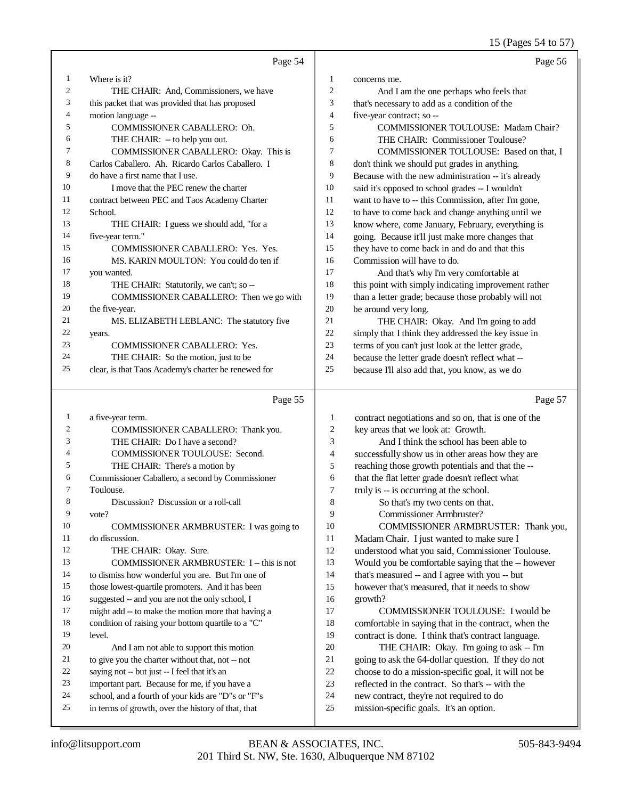15 (Pages 54 to 57)

|    | Page 54                                              |                | Page 56                                              |
|----|------------------------------------------------------|----------------|------------------------------------------------------|
| 1  | Where is it?                                         | 1              | concerns me.                                         |
| 2  | THE CHAIR: And, Commissioners, we have               | 2              | And I am the one perhaps who feels that              |
| 3  | this packet that was provided that has proposed      | 3              | that's necessary to add as a condition of the        |
| 4  | motion language --                                   | $\overline{4}$ | five-year contract; so --                            |
| 5  | COMMISSIONER CABALLERO: Oh.                          | 5              | <b>COMMISSIONER TOULOUSE: Madam Chair?</b>           |
| 6  | THE CHAIR: -- to help you out.                       | 6              | THE CHAIR: Commissioner Toulouse?                    |
| 7  | COMMISSIONER CABALLERO: Okay. This is                | 7              | COMMISSIONER TOULOUSE: Based on that, I              |
| 8  | Carlos Caballero. Ah. Ricardo Carlos Caballero. I    | 8              | don't think we should put grades in anything.        |
| 9  | do have a first name that I use.                     | 9              | Because with the new administration -- it's already  |
| 10 | I move that the PEC renew the charter                | 10             | said it's opposed to school grades -- I wouldn't     |
| 11 | contract between PEC and Taos Academy Charter        | 11             | want to have to -- this Commission, after I'm gone,  |
| 12 | School.                                              | 12             | to have to come back and change anything until we    |
| 13 | THE CHAIR: I guess we should add, "for a             | 13             | know where, come January, February, everything is    |
| 14 | five-year term."                                     | 14             | going. Because it'll just make more changes that     |
| 15 | <b>COMMISSIONER CABALLERO: Yes. Yes.</b>             | 15             | they have to come back in and do and that this       |
| 16 | MS. KARIN MOULTON: You could do ten if               | 16             | Commission will have to do.                          |
| 17 | you wanted.                                          | 17             | And that's why I'm very comfortable at               |
| 18 | THE CHAIR: Statutorily, we can't; so --              | 18             | this point with simply indicating improvement rather |
| 19 | COMMISSIONER CABALLERO: Then we go with              | 19             | than a letter grade; because those probably will not |
| 20 | the five-year.                                       | 20             | be around very long.                                 |
| 21 | MS. ELIZABETH LEBLANC: The statutory five            | 21             | THE CHAIR: Okay. And I'm going to add                |
| 22 | years.                                               | 22             | simply that I think they addressed the key issue in  |
| 23 | <b>COMMISSIONER CABALLERO: Yes.</b>                  | 23             | terms of you can't just look at the letter grade,    |
| 24 | THE CHAIR: So the motion, just to be                 | 24             | because the letter grade doesn't reflect what --     |
| 25 | clear, is that Taos Academy's charter be renewed for | 25             | because I'll also add that, you know, as we do       |

## Page 55

| 1              | a five-year term.                                  |  |
|----------------|----------------------------------------------------|--|
| $\overline{c}$ | COMMISSIONER CABALLERO: Thank you.                 |  |
| 3              | THE CHAIR: Do I have a second?                     |  |
| $\overline{4}$ | <b>COMMISSIONER TOULOUSE: Second.</b>              |  |
| 5              | THE CHAIR: There's a motion by                     |  |
| 6              | Commissioner Caballero, a second by Commissioner   |  |
| 7              | Toulouse.                                          |  |
| 8              | Discussion? Discussion or a roll-call              |  |
| 9              | vote?                                              |  |
| 10             | COMMISSIONER ARMBRUSTER: I was going to            |  |
| 11             | do discussion.                                     |  |
| 12             | THE CHAIR: Okay. Sure.                             |  |
| 13             | COMMISSIONER ARMBRUSTER: I -- this is not          |  |
| 14             | to dismiss how wonderful you are. But I'm one of   |  |
| 15             | those lowest-quartile promoters. And it has been   |  |
| 16             | suggested -- and you are not the only school, I    |  |
| 17             | might add -- to make the motion more that having a |  |
| 18             | condition of raising your bottom quartile to a "C" |  |
| 19             | level.                                             |  |
| 20             | And I am not able to support this motion           |  |
| 21             | to give you the charter without that, not -- not   |  |
| 22             | saying not -- but just -- I feel that it's an      |  |
| 23             | important part. Because for me, if you have a      |  |
| 24             | school, and a fourth of your kids are "D"s or "F"s |  |
| 25             | in terms of growth, over the history of that, that |  |
|                |                                                    |  |

## Page 57

| 1              | contract negotiations and so on, that is one of the  |
|----------------|------------------------------------------------------|
| $\overline{2}$ | key areas that we look at: Growth.                   |
| 3              | And I think the school has been able to              |
| $\overline{4}$ | successfully show us in other areas how they are     |
| 5              | reaching those growth potentials and that the --     |
| 6              | that the flat letter grade doesn't reflect what      |
| 7              | truly is -- is occurring at the school.              |
| 8              | So that's my two cents on that.                      |
| 9              | Commissioner Armbruster?                             |
| 10             | COMMISSIONER ARMBRUSTER: Thank you,                  |
| 11             | Madam Chair. I just wanted to make sure I            |
| 12             | understood what you said, Commissioner Toulouse.     |
| 13             | Would you be comfortable saying that the -- however  |
| 14             | that's measured -- and I agree with you -- but       |
| 15             | however that's measured, that it needs to show       |
| 16             | growth?                                              |
| 17             | COMMISSIONER TOULOUSE: I would be                    |
| 18             | comfortable in saying that in the contract, when the |
| 19             | contract is done. I think that's contract language.  |
| 20             | THE CHAIR: Okay. I'm going to ask -- I'm             |
| 21             | going to ask the 64-dollar question. If they do not  |
| 22             | choose to do a mission-specific goal, it will not be |
| 23             | reflected in the contract. So that's -- with the     |
| 24             | new contract, they're not required to do             |
| 25             | mission-specific goals. It's an option.              |
|                |                                                      |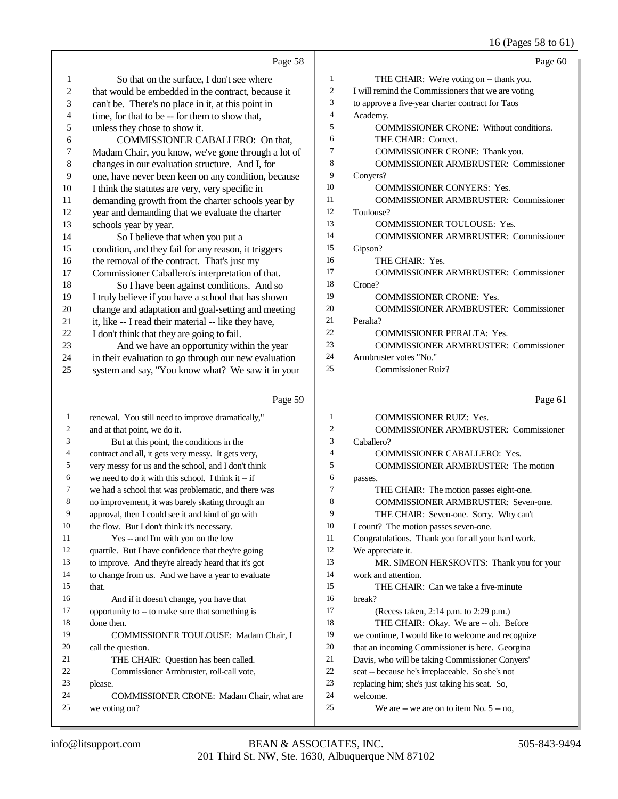|              |                                                      |              | 16 (Pages 58 to 61)                                |
|--------------|------------------------------------------------------|--------------|----------------------------------------------------|
|              | Page 58                                              |              | Page 60                                            |
| 1            | So that on the surface, I don't see where            | 1            | THE CHAIR: We're voting on -- thank you.           |
| 2            | that would be embedded in the contract, because it   | 2            | I will remind the Commissioners that we are voting |
| 3            | can't be. There's no place in it, at this point in   | 3            | to approve a five-year charter contract for Taos   |
| 4            | time, for that to be -- for them to show that,       | 4            | Academy.                                           |
| 5            | unless they chose to show it.                        | 5            | COMMISSIONER CRONE: Without conditions.            |
| 6            | COMMISSIONER CABALLERO: On that,                     | 6            | THE CHAIR: Correct.                                |
| 7            | Madam Chair, you know, we've gone through a lot of   | 7            | COMMISSIONER CRONE: Thank you.                     |
| 8            | changes in our evaluation structure. And I, for      | 8            | COMMISSIONER ARMBRUSTER: Commissioner              |
| 9            | one, have never been keen on any condition, because  | 9            | Conyers?                                           |
| 10           | I think the statutes are very, very specific in      | 10           | COMMISSIONER CONYERS: Yes.                         |
| 11           | demanding growth from the charter schools year by    | 11           | <b>COMMISSIONER ARMBRUSTER: Commissioner</b>       |
| 12           | year and demanding that we evaluate the charter      | 12           | Toulouse?                                          |
| 13           | schools year by year.                                | 13           | COMMISSIONER TOULOUSE: Yes.                        |
| 14           | So I believe that when you put a                     | 14           | <b>COMMISSIONER ARMBRUSTER: Commissioner</b>       |
| 15           | condition, and they fail for any reason, it triggers | 15           | Gipson?                                            |
| 16           | the removal of the contract. That's just my          | 16           | THE CHAIR: Yes.                                    |
| 17           | Commissioner Caballero's interpretation of that.     | 17           | <b>COMMISSIONER ARMBRUSTER: Commissioner</b>       |
| 18           | So I have been against conditions. And so            | 18           | Crone?                                             |
| 19           | I truly believe if you have a school that has shown  | 19           | <b>COMMISSIONER CRONE: Yes.</b>                    |
| 20           | change and adaptation and goal-setting and meeting   | 20           | <b>COMMISSIONER ARMBRUSTER: Commissioner</b>       |
| 21           | it, like -- I read their material -- like they have, | 21           | Peralta?                                           |
| $22\,$       | I don't think that they are going to fail.           | 22           | COMMISSIONER PERALTA: Yes.                         |
| 23           | And we have an opportunity within the year           | 23           | <b>COMMISSIONER ARMBRUSTER: Commissioner</b>       |
| 24           | in their evaluation to go through our new evaluation | 24           | Armbruster votes "No."                             |
| 25           | system and say, "You know what? We saw it in your    | 25           | <b>Commissioner Ruiz?</b>                          |
|              | Page 59                                              |              | Page 61                                            |
| $\mathbf{1}$ | renewal. You still need to improve dramatically,"    | 1            | COMMISSIONER RUIZ: Yes.                            |
| 2            | and at that point, we do it.                         | $\mathbf{2}$ | COMMISSIONER ARMBRUSTER: Commissioner              |
| 3            | But at this point, the conditions in the             | 3            | Caballero?                                         |
| 4            | contract and all, it gets very messy. It gets very,  | 4            | COMMISSIONER CABALLERO: Yes.                       |
| 5            | very messy for us and the school, and I don't think  | 5            | COMMISSIONER ARMBRUSTER: The motion                |
| 6            | we need to do it with this school. I think it -- if  | 6            | passes.                                            |
| 7            | we had a school that was problematic, and there was  | 7            | THE CHAIR: The motion passes eight-one.            |
| 8            | no improvement, it was barely skating through an     | 8            | COMMISSIONER ARMBRUSTER: Seven-one.                |
| 9            | approval, then I could see it and kind of go with    | 9            | THE CHAIR: Seven-one. Sorry. Why can't             |
| 10           | the flow. But I don't think it's necessary.          | 10           | I count? The motion passes seven-one.              |
| 11           | Yes -- and I'm with you on the low                   | 11           | Congratulations. Thank you for all your hard work. |
| 12           | quartile. But I have confidence that they're going   | 12           | We appreciate it.                                  |
| 13           | to improve. And they're already heard that it's got  | 13           | MR. SIMEON HERSKOVITS: Thank you for your          |
| 14           | to change from us. And we have a year to evaluate    | 14           | work and attention.                                |
| 15           | that.                                                | 15           | THE CHAIR: Can we take a five-minute               |
| 16           | And if it doesn't change, you have that              | 16           | break?                                             |
| 17           | opportunity to -- to make sure that something is     | 17           | (Recess taken, 2:14 p.m. to 2:29 p.m.)             |
| 18           | done then.                                           | 18           | THE CHAIR: Okay. We are -- oh. Before              |
| 19           | COMMISSIONER TOULOUSE: Madam Chair, I                | 19           | we continue, I would like to welcome and recognize |
| 20           | call the question.                                   | 20           | that an incoming Commissioner is here. Georgina    |
| 21           | THE CHAIR: Question has been called.                 | 21           | Davis, who will be taking Commissioner Conyers'    |
| 22           | Commissioner Armbruster, roll-call vote,             | 22           | seat -- because he's irreplaceable. So she's not   |
| 23           | please.                                              | 23           | replacing him; she's just taking his seat. So,     |
| 24           | COMMISSIONER CRONE: Madam Chair, what are            | 24           | welcome.                                           |
| 25           | we voting on?                                        | 25           | We are $-$ we are on to item No. $5 - no$ ,        |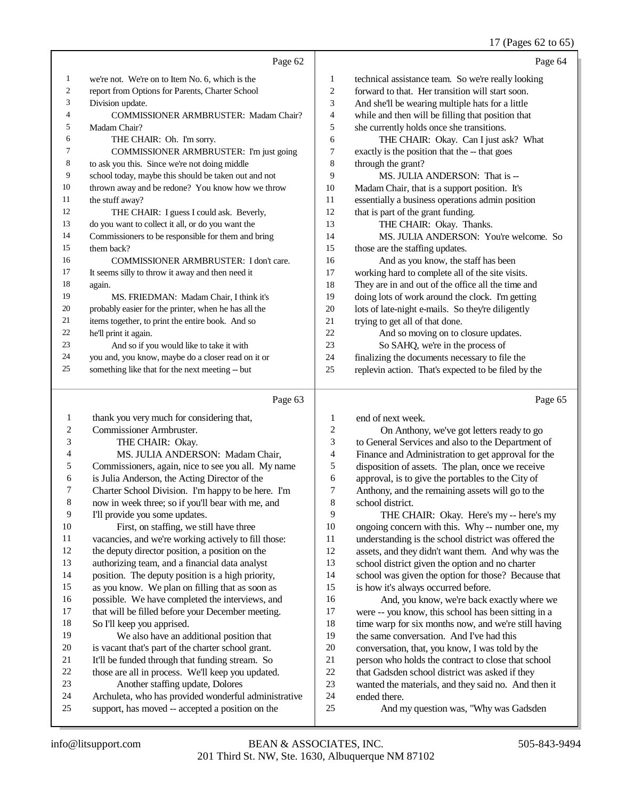#### 17 (Pages 62 to 65)

|    | Page 62                                              |    | Page 64                                             |
|----|------------------------------------------------------|----|-----------------------------------------------------|
| 1  | we're not. We're on to Item No. 6, which is the      | 1  | technical assistance team. So we're really looking  |
| 2  | report from Options for Parents, Charter School      | 2  | forward to that. Her transition will start soon.    |
| 3  | Division update.                                     | 3  | And she'll be wearing multiple hats for a little    |
| 4  | <b>COMMISSIONER ARMBRUSTER: Madam Chair?</b>         | 4  | while and then will be filling that position that   |
| 5  | Madam Chair?                                         | 5  | she currently holds once she transitions.           |
| 6  | THE CHAIR: Oh. I'm sorry.                            | 6  | THE CHAIR: Okay. Can I just ask? What               |
| 7  | COMMISSIONER ARMBRUSTER: I'm just going              | 7  | exactly is the position that the -- that goes       |
| 8  | to ask you this. Since we're not doing middle        | 8  | through the grant?                                  |
| 9  | school today, maybe this should be taken out and not | 9  | MS. JULIA ANDERSON: That is --                      |
| 10 | thrown away and be redone? You know how we throw     | 10 | Madam Chair, that is a support position. It's       |
| 11 | the stuff away?                                      | 11 | essentially a business operations admin position    |
| 12 | THE CHAIR: I guess I could ask. Beverly,             | 12 | that is part of the grant funding.                  |
| 13 | do you want to collect it all, or do you want the    | 13 | THE CHAIR: Okay. Thanks.                            |
| 14 | Commissioners to be responsible for them and bring   | 14 | MS. JULIA ANDERSON: You're welcome. So              |
| 15 | them back?                                           | 15 | those are the staffing updates.                     |
| 16 | COMMISSIONER ARMBRUSTER: I don't care.               | 16 | And as you know, the staff has been                 |
| 17 | It seems silly to throw it away and then need it     | 17 | working hard to complete all of the site visits.    |
| 18 | again.                                               | 18 | They are in and out of the office all the time and  |
| 19 | MS. FRIEDMAN: Madam Chair, I think it's              | 19 | doing lots of work around the clock. I'm getting    |
| 20 | probably easier for the printer, when he has all the | 20 | lots of late-night e-mails. So they're diligently   |
| 21 | items together, to print the entire book. And so     | 21 | trying to get all of that done.                     |
| 22 | he'll print it again.                                | 22 | And so moving on to closure updates.                |
| 23 | And so if you would like to take it with             | 23 | So SAHQ, we're in the process of                    |
| 24 | you and, you know, maybe do a closer read on it or   | 24 | finalizing the documents necessary to file the      |
| 25 | something like that for the next meeting -- but      | 25 | replevin action. That's expected to be filed by the |
|    |                                                      |    |                                                     |

#### Page 63

 thank you very much for considering that, Commissioner Armbruster. THE CHAIR: Okay. MS. JULIA ANDERSON: Madam Chair, Commissioners, again, nice to see you all. My name is Julia Anderson, the Acting Director of the Charter School Division. I'm happy to be here. I'm now in week three; so if you'll bear with me, and I'll provide you some updates. First, on staffing, we still have three vacancies, and we're working actively to fill those: the deputy director position, a position on the authorizing team, and a financial data analyst position. The deputy position is a high priority, as you know. We plan on filling that as soon as possible. We have completed the interviews, and 17 that will be filled before your December meeting. So I'll keep you apprised. We also have an additional position that is vacant that's part of the charter school grant. It'll be funded through that funding stream. So those are all in process. We'll keep you updated. Another staffing update, Dolores Archuleta, who has provided wonderful administrative support, has moved -- accepted a position on the Page 65 end of next week. On Anthony, we've got letters ready to go to General Services and also to the Department of Finance and Administration to get approval for the 5 disposition of assets. The plan, once we receive<br>6 approval, is to give the portables to the City of approval, is to give the portables to the City of 7 Anthony, and the remaining assets will go to the<br>8 school district school district. 9 THE CHAIR: Okay. Here's my -- here's my<br>10 oneoing concern with this. Why -- number one. my 10 ongoing concern with this. Why -- number one, my<br>11 understanding is the school district was offered the understanding is the school district was offered the assets, and they didn't want them. And why was the school district given the option and no charter school was given the option for those? Because that is how it's always occurred before. 16 And, you know, we're back exactly where we<br>17 were -- you know, this school has been sitting in a were -- you know, this school has been sitting in a 18 time warp for six months now, and we're still having<br>19 the same conversation And I've had this the same conversation. And I've had this 20 conversation, that, you know, I was told by the person who holds the contract to close that scho 21 person who holds the contract to close that school<br>22 that Gadsden school district was asked if they 22 that Gadsden school district was asked if they<br>23 wanted the materials, and they said no. And the wanted the materials, and they said no. And then it ended there. And my question was, "Why was Gadsden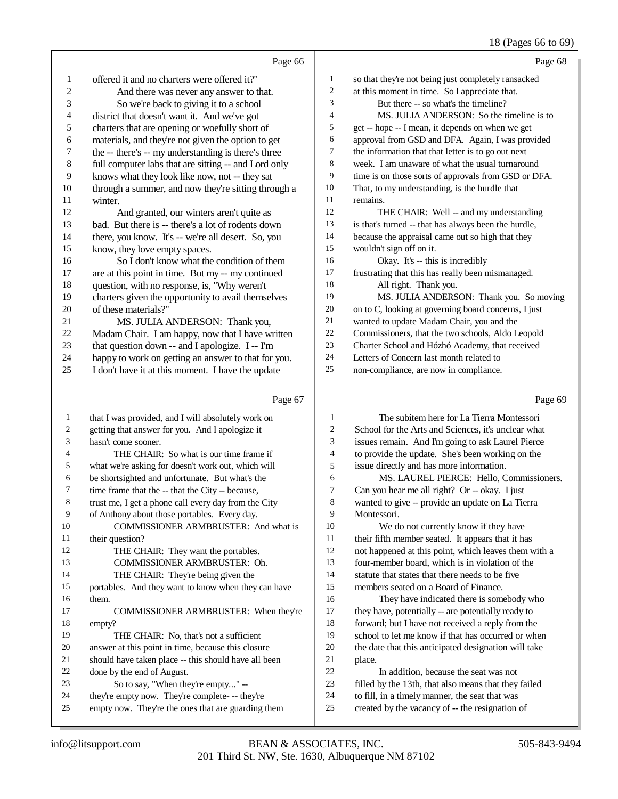#### 18 (Pages 66 to 69)

|                  | Page 66                                              |                | Page 68                                              |
|------------------|------------------------------------------------------|----------------|------------------------------------------------------|
| 1                | offered it and no charters were offered it?"         | $\mathbf{1}$   | so that they're not being just completely ransacked  |
| $\boldsymbol{2}$ | And there was never any answer to that.              | $\overline{c}$ | at this moment in time. So I appreciate that.        |
| 3                | So we're back to giving it to a school               | 3              | But there -- so what's the timeline?                 |
| 4                | district that doesn't want it. And we've got         | $\overline{4}$ | MS. JULIA ANDERSON: So the timeline is to            |
| 5                | charters that are opening or woefully short of       | 5              | get -- hope -- I mean, it depends on when we get     |
| 6                | materials, and they're not given the option to get   | 6              | approval from GSD and DFA. Again, I was provided     |
| 7                | the -- there's -- my understanding is there's three  | 7              | the information that that letter is to go out next   |
| $\,$ 8 $\,$      | full computer labs that are sitting -- and Lord only | $\,$ 8 $\,$    | week. I am unaware of what the usual turnaround      |
| 9                | knows what they look like now, not -- they sat       | 9              | time is on those sorts of approvals from GSD or DFA. |
| $10\,$           | through a summer, and now they're sitting through a  | 10             | That, to my understanding, is the hurdle that        |
| 11               | winter.                                              | 11             | remains.                                             |
| 12               | And granted, our winters aren't quite as             | 12             | THE CHAIR: Well -- and my understanding              |
| 13               | bad. But there is -- there's a lot of rodents down   | 13             | is that's turned -- that has always been the hurdle, |
| 14               | there, you know. It's -- we're all desert. So, you   | 14             | because the appraisal came out so high that they     |
| 15               | know, they love empty spaces.                        | 15             | wouldn't sign off on it.                             |
| 16               | So I don't know what the condition of them           | 16             | Okay. It's -- this is incredibly                     |
| 17               | are at this point in time. But my -- my continued    | 17             | frustrating that this has really been mismanaged.    |
| 18               | question, with no response, is, "Why weren't         | 18             | All right. Thank you.                                |
| 19               | charters given the opportunity to avail themselves   | 19             | MS. JULIA ANDERSON: Thank you. So moving             |
| $20\,$           | of these materials?"                                 | $20\,$         | on to C, looking at governing board concerns, I just |
| 21               | MS. JULIA ANDERSON: Thank you,                       | 21             | wanted to update Madam Chair, you and the            |
| $22\,$           | Madam Chair. I am happy, now that I have written     | 22             | Commissioners, that the two schools, Aldo Leopold    |
| 23               | that question down -- and I apologize. I -- I'm      | 23             | Charter School and Hózhó Academy, that received      |
| 24               | happy to work on getting an answer to that for you.  | 24             | Letters of Concern last month related to             |
| 25               | I don't have it at this moment. I have the update    | 25             | non-compliance, are now in compliance.               |
|                  |                                                      |                |                                                      |
|                  | Page 67                                              |                | Page 69                                              |
| $\mathbf{1}$     | that I was provided, and I will absolutely work on   | $\mathbf{1}$   | The subitem here for La Tierra Montessori            |
| 2                | getting that answer for you. And I apologize it      | $\overline{c}$ | School for the Arts and Sciences, it's unclear what  |
| 3                | hasn't come sooner.                                  | 3              | issues remain. And I'm going to ask Laurel Pierce    |
| 4                | THE CHAIR: So what is our time frame if              | $\overline{4}$ | to provide the update. She's been working on the     |
| 5                | what we're asking for doesn't work out, which will   | $\sqrt{5}$     | issue directly and has more information.             |
| 6                | be shortsighted and unfortunate. But what's the      | 6              | MS. LAUREL PIERCE: Hello, Commissioners.             |
| 7                | time frame that the -- that the City -- because,     | $\overline{7}$ | Can you hear me all right? Or -- okay. I just        |
| 8                | trust me, I get a phone call every day from the City | $\,8\,$        | wanted to give -- provide an update on La Tierra     |
| 9                | of Anthony about those portables. Every day.         | 9              | Montessori.                                          |
| 10               | COMMISSIONER ARMBRUSTER: And what is                 | 10             | We do not currently know if they have                |
| 11               | their question?                                      | 11             | their fifth member seated. It appears that it has    |
| 12               | THE CHAIR: They want the portables.                  | 12             | not happened at this point, which leaves them with a |
| 13               | COMMISSIONER ARMBRUSTER: Oh.                         | 13             | four-member board, which is in violation of the      |
| 14               | THE CHAIR: They're being given the                   | 14             | statute that states that there needs to be five      |
| 15               | portables. And they want to know when they can have  | 15             | members seated on a Board of Finance.                |
| 16               | them.                                                | 16             | They have indicated there is somebody who            |
| 17               | COMMISSIONER ARMBRUSTER: When they're                | 17             | they have, potentially -- are potentially ready to   |
| 18               | empty?                                               | 18             | forward; but I have not received a reply from the    |
| 19               | THE CHAIR: No, that's not a sufficient               | 19             | school to let me know if that has occurred or when   |
| 20               | answer at this point in time, because this closure   | 20             | the date that this anticipated designation will take |
| 21               | should have taken place -- this should have all been | 21             | place.                                               |
| 22               | done by the end of August.                           | $22\,$         | In addition, because the seat was not                |
| 23               | So to say, "When they're empty" --                   | 23             | filled by the 13th, that also means that they failed |
| $2\pi$           | $th$ ay'ra ampty now Thay'ra complate $th$ ay'ra     | $2\pi$         | to fill in a timely manner, the ceat that was        |

24 they're empty now. They're complete- -- they're<br>25 empty now. They're the ones that are guarding empty now. They're the ones that are guarding them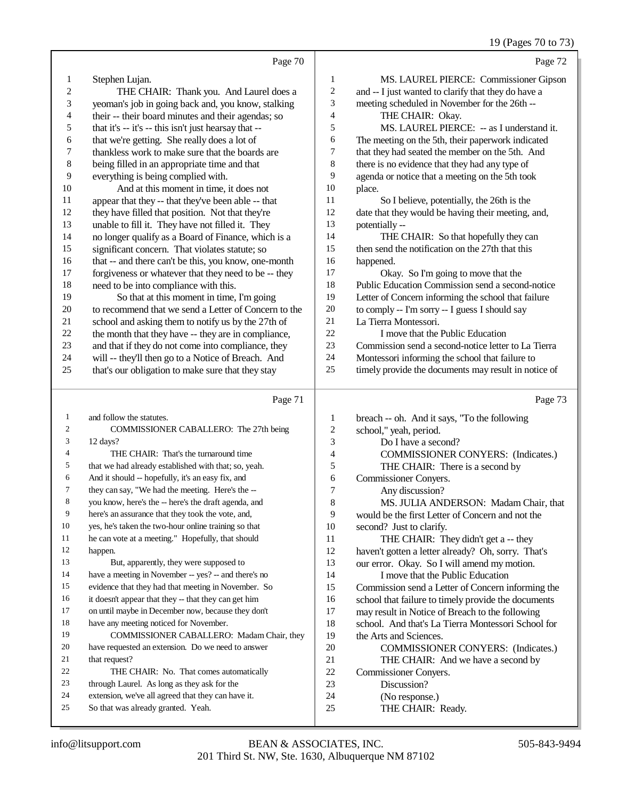19 (Pages 70 to 73)

|                  | Page 70                                                                                  |                         | Page 72                                              |
|------------------|------------------------------------------------------------------------------------------|-------------------------|------------------------------------------------------|
| $\mathbf{1}$     | Stephen Lujan.                                                                           | $\mathbf{1}$            | MS. LAUREL PIERCE: Commissioner Gipson               |
| $\boldsymbol{2}$ | THE CHAIR: Thank you. And Laurel does a                                                  | $\sqrt{2}$              | and -- I just wanted to clarify that they do have a  |
| 3                | yeoman's job in going back and, you know, stalking                                       | 3                       | meeting scheduled in November for the 26th --        |
| 4                | their -- their board minutes and their agendas; so                                       | $\overline{4}$          | THE CHAIR: Okay.                                     |
| 5                | that it's -- it's -- this isn't just hearsay that --                                     | 5                       | MS. LAUREL PIERCE: -- as I understand it.            |
| 6                | that we're getting. She really does a lot of                                             | 6                       | The meeting on the 5th, their paperwork indicated    |
| 7                | thankless work to make sure that the boards are                                          | 7                       | that they had seated the member on the 5th. And      |
| $\,$ 8 $\,$      | being filled in an appropriate time and that                                             | $\,8\,$                 | there is no evidence that they had any type of       |
| $\overline{9}$   | everything is being complied with.                                                       | 9                       | agenda or notice that a meeting on the 5th took      |
| 10               | And at this moment in time, it does not                                                  | $10\,$                  | place.                                               |
| 11               | appear that they -- that they've been able -- that                                       | 11                      | So I believe, potentially, the 26th is the           |
| 12               | they have filled that position. Not that they're                                         | 12                      | date that they would be having their meeting, and,   |
| 13               | unable to fill it. They have not filled it. They                                         | 13                      | potentially --                                       |
| 14               | no longer qualify as a Board of Finance, which is a                                      | 14                      | THE CHAIR: So that hopefully they can                |
| 15               | significant concern. That violates statute; so                                           | 15                      | then send the notification on the 27th that this     |
| 16               | that -- and there can't be this, you know, one-month                                     | 16                      | happened.                                            |
| 17               | forgiveness or whatever that they need to be -- they                                     | 17                      | Okay. So I'm going to move that the                  |
| 18               | need to be into compliance with this.                                                    | 18                      | Public Education Commission send a second-notice     |
| 19               | So that at this moment in time, I'm going                                                | 19                      | Letter of Concern informing the school that failure  |
| $20\,$           | to recommend that we send a Letter of Concern to the                                     | $20\,$                  | to comply -- I'm sorry -- I guess I should say       |
| 21               | school and asking them to notify us by the 27th of                                       | 21                      | La Tierra Montessori.                                |
| $22\,$           | the month that they have -- they are in compliance,                                      | $22\,$                  | I move that the Public Education                     |
| 23               | and that if they do not come into compliance, they                                       | 23                      | Commission send a second-notice letter to La Tierra  |
| 24               | will -- they'll then go to a Notice of Breach. And                                       | 24                      | Montessori informing the school that failure to      |
| 25               | that's our obligation to make sure that they stay                                        | 25                      | timely provide the documents may result in notice of |
|                  |                                                                                          |                         |                                                      |
|                  | Page 71                                                                                  |                         | Page 73                                              |
| 1                | and follow the statutes.                                                                 | $\mathbf{1}$            | breach -- oh. And it says, "To the following         |
| 2                | COMMISSIONER CABALLERO: The 27th being                                                   | $\sqrt{2}$              | school," yeah, period.                               |
| 3                | 12 days?                                                                                 | 3                       | Do I have a second?                                  |
| 4                | THE CHAIR: That's the turnaround time                                                    | $\overline{\mathbf{4}}$ | <b>COMMISSIONER CONYERS:</b> (Indicates.)            |
| 5                | that we had already established with that; so, yeah.                                     | 5                       | THE CHAIR: There is a second by                      |
| 6                | And it should -- hopefully, it's an easy fix, and                                        | 6                       | Commissioner Conyers.                                |
| 7                | they can say, "We had the meeting. Here's the --                                         | $\tau$                  | Any discussion?                                      |
| 8                | you know, here's the -- here's the draft agenda, and                                     | $\,$ $\,$               | MS. JULIA ANDERSON: Madam Chair, that                |
| 9                | here's an assurance that they took the vote, and,                                        | $\overline{9}$          | would be the first Letter of Concern and not the     |
| 10               | yes, he's taken the two-hour online training so that                                     | $10\,$                  | second? Just to clarify.                             |
| 11               | he can vote at a meeting." Hopefully, that should                                        | 11                      | THE CHAIR: They didn't get a -- they                 |
| 12               | happen.                                                                                  | 12                      | haven't gotten a letter already? Oh, sorry. That's   |
| 13               | But, apparently, they were supposed to                                                   | 13                      | our error. Okay. So I will amend my motion.          |
| 14               | have a meeting in November -- yes? -- and there's no                                     | 14                      | I move that the Public Education                     |
| 15               | evidence that they had that meeting in November. So                                      | 15                      | Commission send a Letter of Concern informing the    |
| 16               | it doesn't appear that they -- that they can get him                                     | 16                      | school that failure to timely provide the documents  |
| 17               | on until maybe in December now, because they don't                                       | 17                      | may result in Notice of Breach to the following      |
| 18               | have any meeting noticed for November.                                                   | 18                      | school. And that's La Tierra Montessori School for   |
| 19               | COMMISSIONER CABALLERO: Madam Chair, they                                                | 19                      | the Arts and Sciences.                               |
| 20               | have requested an extension. Do we need to answer                                        | 20                      | COMMISSIONER CONYERS: (Indicates.)                   |
| 21               | that request?                                                                            | 21                      | THE CHAIR: And we have a second by                   |
| 22               | THE CHAIR: No. That comes automatically                                                  | 22                      | Commissioner Conyers.                                |
| 23               | through Laurel. As long as they ask for the                                              | 23                      | Discussion?                                          |
| 24<br>25         | extension, we've all agreed that they can have it.<br>So that was already granted. Yeah. | 24<br>25                | (No response.)<br>THE CHAIR: Ready.                  |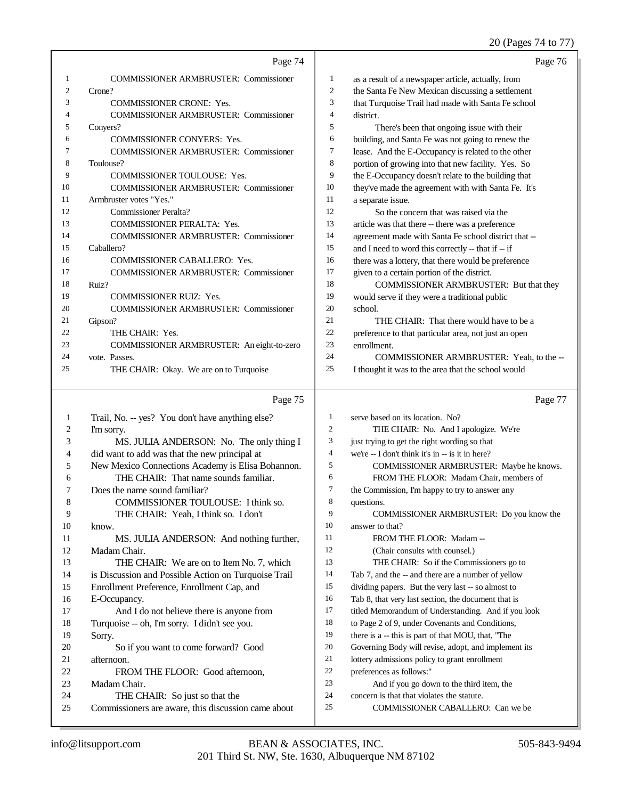## 20 (Pages 74 to 77)

|              | Page 74                                                                                    |                | Page 76                                                                             |
|--------------|--------------------------------------------------------------------------------------------|----------------|-------------------------------------------------------------------------------------|
| 1            | <b>COMMISSIONER ARMBRUSTER: Commissioner</b>                                               | 1              | as a result of a newspaper article, actually, from                                  |
| 2            | Crone?                                                                                     | $\overline{c}$ | the Santa Fe New Mexican discussing a settlement                                    |
| 3            | <b>COMMISSIONER CRONE: Yes.</b>                                                            | 3              | that Turquoise Trail had made with Santa Fe school                                  |
| 4            | <b>COMMISSIONER ARMBRUSTER: Commissioner</b>                                               | 4              | district.                                                                           |
| 5            | Conyers?                                                                                   | 5              | There's been that ongoing issue with their                                          |
| 6            | COMMISSIONER CONYERS: Yes.                                                                 | 6              | building, and Santa Fe was not going to renew the                                   |
| 7            | <b>COMMISSIONER ARMBRUSTER: Commissioner</b>                                               | 7              | lease. And the E-Occupancy is related to the other                                  |
| 8            | Toulouse?                                                                                  | 8              | portion of growing into that new facility. Yes. So                                  |
| 9            | <b>COMMISSIONER TOULOUSE: Yes.</b>                                                         | 9              | the E-Occupancy doesn't relate to the building that                                 |
| 10           | <b>COMMISSIONER ARMBRUSTER: Commissioner</b>                                               | 10             | they've made the agreement with with Santa Fe. It's                                 |
| 11           | Armbruster votes "Yes."                                                                    | 11             | a separate issue.                                                                   |
| 12           | <b>Commissioner Peralta?</b>                                                               | 12             | So the concern that was raised via the                                              |
| 13           | <b>COMMISSIONER PERALTA: Yes.</b>                                                          | 13             | article was that there -- there was a preference                                    |
| 14           | <b>COMMISSIONER ARMBRUSTER: Commissioner</b>                                               | 14             | agreement made with Santa Fe school district that --                                |
| 15           | Caballero?                                                                                 | 15             | and I need to word this correctly -- that if -- if                                  |
| 16           | COMMISSIONER CABALLERO: Yes.                                                               | 16             | there was a lottery, that there would be preference                                 |
| 17           | <b>COMMISSIONER ARMBRUSTER: Commissioner</b>                                               | 17             | given to a certain portion of the district.                                         |
| 18           | Ruiz?                                                                                      | 18             | COMMISSIONER ARMBRUSTER: But that they                                              |
| 19           | <b>COMMISSIONER RUIZ: Yes.</b>                                                             | 19             | would serve if they were a traditional public                                       |
| 20           | <b>COMMISSIONER ARMBRUSTER: Commissioner</b>                                               | 20             | school.                                                                             |
| 21           | Gipson?                                                                                    | 21             | THE CHAIR: That there would have to be a                                            |
| 22           | THE CHAIR: Yes.                                                                            | $22\,$         | preference to that particular area, not just an open                                |
| 23           | COMMISSIONER ARMBRUSTER: An eight-to-zero                                                  | 23             | enrollment.                                                                         |
| 24           | vote. Passes.                                                                              | 24             | COMMISSIONER ARMBRUSTER: Yeah, to the --                                            |
| 25           | THE CHAIR: Okay. We are on to Turquoise                                                    | 25             | I thought it was to the area that the school would                                  |
|              | Page 75                                                                                    |                | Page 77                                                                             |
| $\mathbf{1}$ | Trail, No. -- yes? You don't have anything else?                                           | 1              |                                                                                     |
|              |                                                                                            |                |                                                                                     |
| 2            |                                                                                            | $\overline{c}$ | serve based on its location. No?                                                    |
| 3            | I'm sorry.                                                                                 | 3              | THE CHAIR: No. And I apologize. We're                                               |
| 4            | MS. JULIA ANDERSON: No. The only thing I                                                   | $\overline{4}$ | just trying to get the right wording so that                                        |
| 5            | did want to add was that the new principal at                                              | 5              | we're -- I don't think it's in -- is it in here?                                    |
| 6            | New Mexico Connections Academy is Elisa Bohannon.<br>THE CHAIR: That name sounds familiar. | 6              | COMMISSIONER ARMBRUSTER: Maybe he knows.<br>FROM THE FLOOR: Madam Chair, members of |
| 7            |                                                                                            | 7              |                                                                                     |
| 8            | Does the name sound familiar?<br>COMMISSIONER TOULOUSE: I think so.                        | 8              | the Commission, I'm happy to try to answer any<br>questions.                        |
| 9            | THE CHAIR: Yeah, I think so. I don't                                                       | 9              | COMMISSIONER ARMBRUSTER: Do you know the                                            |
| 10           | know.                                                                                      | 10             | answer to that?                                                                     |
| 11           | MS. JULIA ANDERSON: And nothing further,                                                   | 11             | FROM THE FLOOR: Madam --                                                            |
| 12           | Madam Chair.                                                                               | 12             | (Chair consults with counsel.)                                                      |
| 13           | THE CHAIR: We are on to Item No. 7, which                                                  | 13             | THE CHAIR: So if the Commissioners go to                                            |
| 14           | is Discussion and Possible Action on Turquoise Trail                                       | 14             | Tab 7, and the -- and there are a number of yellow                                  |
| 15           | Enrollment Preference, Enrollment Cap, and                                                 | 15             | dividing papers. But the very last -- so almost to                                  |
| 16           | E-Occupancy.                                                                               | 16             | Tab 8, that very last section, the document that is                                 |
| 17           | And I do not believe there is anyone from                                                  | 17             | titled Memorandum of Understanding. And if you look                                 |
| 18           | Turquoise -- oh, I'm sorry. I didn't see you.                                              | 18             | to Page 2 of 9, under Covenants and Conditions,                                     |
| 19           | Sorry.                                                                                     | 19             | there is a -- this is part of that MOU, that, "The                                  |
| 20           | So if you want to come forward? Good                                                       | 20             | Governing Body will revise, adopt, and implement its                                |
| 21           | afternoon.                                                                                 | 21             | lottery admissions policy to grant enrollment                                       |
| 22           | FROM THE FLOOR: Good afternoon,                                                            | 22             | preferences as follows:"                                                            |
| 23           | Madam Chair.                                                                               | $23\,$         | And if you go down to the third item, the                                           |
| 24<br>25     | THE CHAIR: So just so that the<br>Commissioners are aware, this discussion came about      | $24\,$<br>25   | concern is that that violates the statute.<br>COMMISSIONER CABALLERO: Can we be     |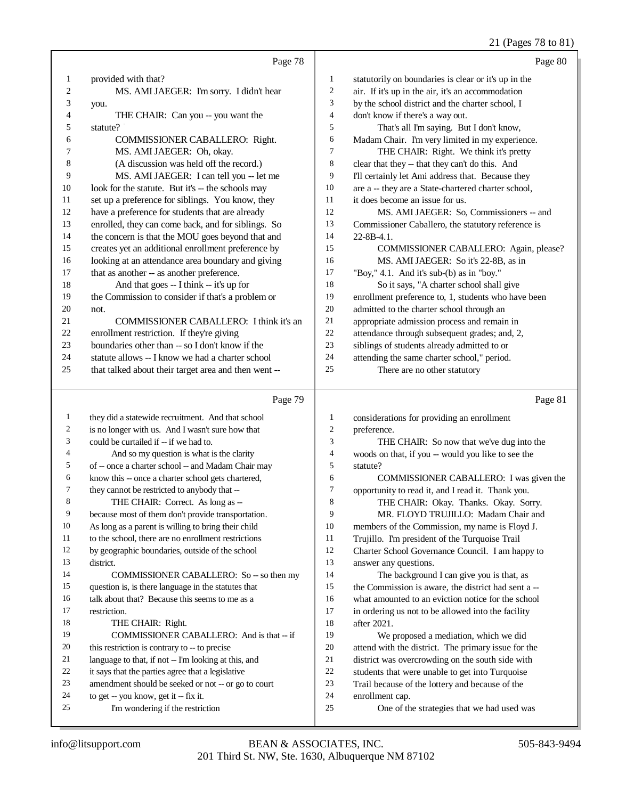## 21 (Pages 78 to 81)

|              |                                                      |                          | $21$ (1 ages 70 to 01)                               |
|--------------|------------------------------------------------------|--------------------------|------------------------------------------------------|
|              | Page 78                                              |                          | Page 80                                              |
| $\mathbf{1}$ | provided with that?                                  | $\mathbf{1}$             | statutorily on boundaries is clear or it's up in the |
| 2            | MS. AMI JAEGER: I'm sorry. I didn't hear             | $\overline{c}$           | air. If it's up in the air, it's an accommodation    |
| 3            | you.                                                 | 3                        | by the school district and the charter school, I     |
| 4            | THE CHAIR: Can you -- you want the                   | $\overline{4}$           | don't know if there's a way out.                     |
| 5            | statute?                                             | 5                        | That's all I'm saying. But I don't know,             |
| 6            | COMMISSIONER CABALLERO: Right.                       | 6                        | Madam Chair. I'm very limited in my experience.      |
| 7            | MS. AMI JAEGER: Oh, okay.                            | 7                        | THE CHAIR: Right. We think it's pretty               |
| 8            | (A discussion was held off the record.)              | 8                        | clear that they -- that they can't do this. And      |
| 9            | MS. AMI JAEGER: I can tell you -- let me             | 9                        | I'll certainly let Ami address that. Because they    |
| 10           | look for the statute. But it's -- the schools may    | 10                       | are a -- they are a State-chartered charter school,  |
| 11           | set up a preference for siblings. You know, they     | 11                       | it does become an issue for us.                      |
| 12           | have a preference for students that are already      | 12                       | MS. AMI JAEGER: So, Commissioners -- and             |
| 13           | enrolled, they can come back, and for siblings. So   | 13                       | Commissioner Caballero, the statutory reference is   |
| 14           | the concern is that the MOU goes beyond that and     | 14                       | 22-8B-4.1.                                           |
| 15           | creates yet an additional enrollment preference by   | 15                       | COMMISSIONER CABALLERO: Again, please?               |
| 16           | looking at an attendance area boundary and giving    | 16                       | MS. AMI JAEGER: So it's 22-8B, as in                 |
| 17           | that as another -- as another preference.            | 17                       | "Boy," 4.1. And it's sub-(b) as in "boy."            |
| 18           | And that goes -- I think -- it's up for              | 18                       | So it says, "A charter school shall give             |
| 19           | the Commission to consider if that's a problem or    | 19                       | enrollment preference to, 1, students who have been  |
| 20           | not.                                                 | 20                       | admitted to the charter school through an            |
| 21           | COMMISSIONER CABALLERO: I think it's an              | 21                       | appropriate admission process and remain in          |
| 22           | enrollment restriction. If they're giving            | $22\,$                   | attendance through subsequent grades; and, 2,        |
| 23           | boundaries other than -- so I don't know if the      | 23                       | siblings of students already admitted to or          |
| 24           | statute allows -- I know we had a charter school     | 24                       | attending the same charter school," period.          |
| 25           | that talked about their target area and then went -- | 25                       | There are no other statutory                         |
|              | Page 79                                              |                          | Page 81                                              |
| $\mathbf{1}$ | they did a statewide recruitment. And that school    | 1                        | considerations for providing an enrollment           |
| 2            | is no longer with us. And I wasn't sure how that     | $\overline{c}$           | preference.                                          |
| 3            | could be curtailed if -- if we had to.               | 3                        | THE CHAIR: So now that we've dug into the            |
| 4            | And so my question is what is the clarity            | $\overline{\mathcal{L}}$ | woods on that, if you -- would you like to see the   |
| 5            | of -- once a charter school -- and Madam Chair may   | 5                        | statute?                                             |
| 6            | know this -- once a charter school gets chartered,   | 6                        | COMMISSIONER CABALLERO: I was given the              |
| 7            | they cannot be restricted to anybody that --         | 7                        | opportunity to read it, and I read it. Thank you.    |
| 8            | THE CHAIR: Correct. As long as --                    | 8                        | THE CHAIR: Okay. Thanks. Okay. Sorry.                |
| 9            | because most of them don't provide transportation.   | 9                        | MR. FLOYD TRUJILLO: Madam Chair and                  |
| 10           | As long as a parent is willing to bring their child  | 10                       | members of the Commission, my name is Floyd J.       |
| 11           | to the school, there are no enrollment restrictions  | 11                       | Trujillo. I'm president of the Turquoise Trail       |
| 12           | by geographic boundaries, outside of the school      | 12                       | Charter School Governance Council. I am happy to     |
| 13           | district.                                            | 13                       | answer any questions.                                |
| 14           | COMMISSIONER CABALLERO: So -- so then my             | 14                       | The background I can give you is that, as            |
| 15           | question is, is there language in the statutes that  | 15                       | the Commission is aware, the district had sent a --  |
| 16           | talk about that? Because this seems to me as a       | 16                       | what amounted to an eviction notice for the school   |
| 17           | restriction.                                         | 17                       | in ordering us not to be allowed into the facility   |
| 18           | THE CHAIR: Right.                                    | 18                       | after 2021.                                          |
| 19           | COMMISSIONER CABALLERO: And is that -- if            | 19                       | We proposed a mediation, which we did                |
| 20           | this restriction is contrary to -- to precise        | $20\,$                   | attend with the district. The primary issue for the  |
| 21           | language to that, if not -- I'm looking at this, and | 21                       | district was overcrowding on the south side with     |
|              |                                                      | $22\,$                   | students that were unable to get into Turquoise      |
| 22           | it says that the parties agree that a legislative    |                          |                                                      |
| 23           | amendment should be seeked or not -- or go to court  | 23                       | Trail because of the lottery and because of the      |
| 24           | to get -- you know, get it -- fix it.                | 24                       | enrollment cap.                                      |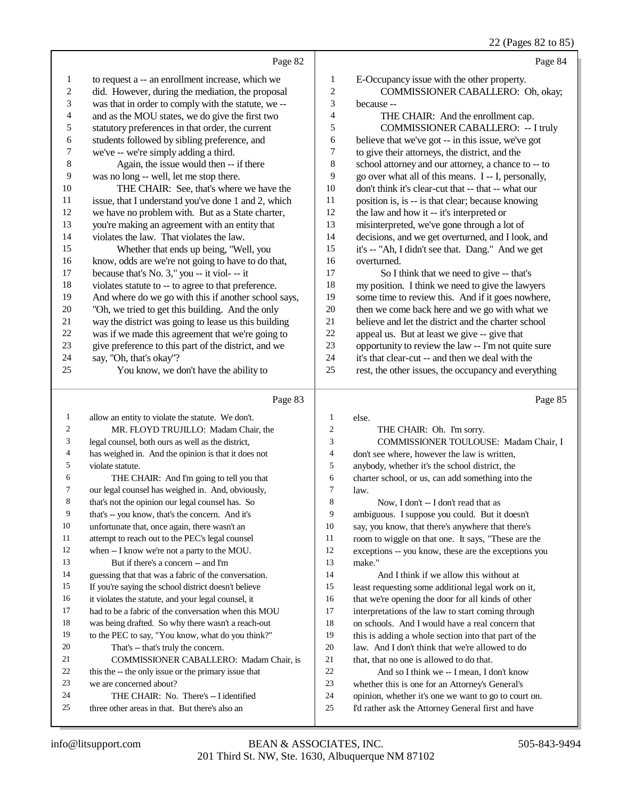|                         |                                                      |                | 22 (Pages 82 to 85)                                  |
|-------------------------|------------------------------------------------------|----------------|------------------------------------------------------|
|                         | Page 82                                              |                | Page 84                                              |
| 1                       | to request a -- an enrollment increase, which we     | 1              | E-Occupancy issue with the other property.           |
| $\overline{\mathbf{c}}$ | did. However, during the mediation, the proposal     | $\overline{c}$ | COMMISSIONER CABALLERO: Oh, okay;                    |
| 3                       | was that in order to comply with the statute, we --  | 3              | because --                                           |
| 4                       | and as the MOU states, we do give the first two      | 4              | THE CHAIR: And the enrollment cap.                   |
| 5                       | statutory preferences in that order, the current     | 5              | <b>COMMISSIONER CABALLERO: -- I truly</b>            |
| 6                       | students followed by sibling preference, and         | 6              | believe that we've got -- in this issue, we've got   |
| 7                       | we've -- we're simply adding a third.                | 7              | to give their attorneys, the district, and the       |
| $\,$ 8 $\,$             | Again, the issue would then -- if there              | 8              | school attorney and our attorney, a chance to -- to  |
| 9                       | was no long -- well, let me stop there.              | 9              | go over what all of this means. I -- I, personally,  |
| 10                      | THE CHAIR: See, that's where we have the             | 10             | don't think it's clear-cut that -- that -- what our  |
| 11                      | issue, that I understand you've done 1 and 2, which  | 11             | position is, is -- is that clear; because knowing    |
| 12                      | we have no problem with. But as a State charter,     | 12             | the law and how it -- it's interpreted or            |
| 13                      | you're making an agreement with an entity that       | 13             | misinterpreted, we've gone through a lot of          |
| 14                      | violates the law. That violates the law.             | 14             | decisions, and we get overturned, and I look, and    |
| 15                      | Whether that ends up being, "Well, you               | 15             | it's -- "Ah, I didn't see that. Dang." And we get    |
| 16                      | know, odds are we're not going to have to do that,   | 16             | overturned.                                          |
| 17                      | because that's No. 3," you -- it viol- -- it         | 17             | So I think that we need to give -- that's            |
| 18                      | violates statute to -- to agree to that preference.  | 18             | my position. I think we need to give the lawyers     |
| 19                      | And where do we go with this if another school says, | 19             | some time to review this. And if it goes nowhere,    |
| 20                      | "Oh, we tried to get this building. And the only     | $20\,$         | then we come back here and we go with what we        |
| 21                      | way the district was going to lease us this building | 21             | believe and let the district and the charter school  |
| $22\,$                  | was if we made this agreement that we're going to    | $22\,$         | appeal us. But at least we give -- give that         |
| 23                      | give preference to this part of the district, and we | 23             | opportunity to review the law -- I'm not quite sure  |
| 24                      | say, "Oh, that's okay"?                              | 24             | it's that clear-cut -- and then we deal with the     |
| 25                      | You know, we don't have the ability to               | 25             | rest, the other issues, the occupancy and everything |
|                         | Page 83                                              |                | Page 85                                              |
| $\mathbf{1}$            | allow an entity to violate the statute. We don't.    | $\mathbf{1}$   | else.                                                |
| 2                       | MR. FLOYD TRUJILLO: Madam Chair, the                 | $\overline{c}$ | THE CHAIR: Oh. I'm sorry.                            |
| 3                       | legal counsel, both ours as well as the district,    | 3              | COMMISSIONER TOULOUSE: Madam Chair, I                |
| 4                       | has weighed in. And the opinion is that it does not  | $\overline{4}$ | don't see where, however the law is written,         |
| 5                       | violate statute.                                     | 5              | anybody, whether it's the school district, the       |
| 6                       | THE CHAIR: And I'm going to tell you that            | 6              | charter school, or us, can add something into the    |
| 7                       | our legal counsel has weighed in. And, obviously,    | 7              | law.                                                 |
| 8                       | that's not the opinion our legal counsel has. So     | 8              | Now, I don't -- I don't read that as                 |
| 9                       | that's -- you know, that's the concern. And it's     | 9              | ambiguous. I suppose you could. But it doesn't       |
| 10                      | unfortunate that, once again, there wasn't an        | 10             | say, you know, that there's anywhere that there's    |
| 11                      | attempt to reach out to the PEC's legal counsel      | 11             | room to wiggle on that one. It says, "These are the  |
| 12                      | when -- I know we're not a party to the MOU.         | 12             | exceptions -- you know, these are the exceptions you |
| 13                      | But if there's a concern -- and I'm                  | 13             | make."                                               |
| 14                      | guessing that that was a fabric of the conversation. | 14             | And I think if we allow this without at              |
| 15                      | If you're saying the school district doesn't believe | 15             | least requesting some additional legal work on it,   |
| 16                      | it violates the statute, and your legal counsel, it  | 16             | that we're opening the door for all kinds of other   |
| 17                      | had to be a fabric of the conversation when this MOU | 17             | interpretations of the law to start coming through   |
| 18                      | was being drafted. So why there wasn't a reach-out   | 18             | on schools. And I would have a real concern that     |
| 19                      | to the PEC to say, "You know, what do you think?"    | 19             | this is adding a whole section into that part of the |

- this is adding a whole section into that part of the law. And I don't think that we're allowed to do
	-
	- 21 that, that no one is allowed to do that.<br>22 And so I think we -- I mean. I do
	- 22 And so I think we -- I mean, I don't know<br>23 whether this is one for an Attorney's General's whether this is one for an Attorney's General's
	- 24 opinion, whether it's one we want to go to court on.<br>25 I'd rather ask the Attorney General first and have
	- I'd rather ask the Attorney General first and have

That's -- that's truly the concern.

we are concerned about?

22 this the -- the only issue or the primary issue that

24 THE CHAIR: No. There's -- I identified three other areas in that. But there's also an

COMMISSIONER CABALLERO: Madam Chair, is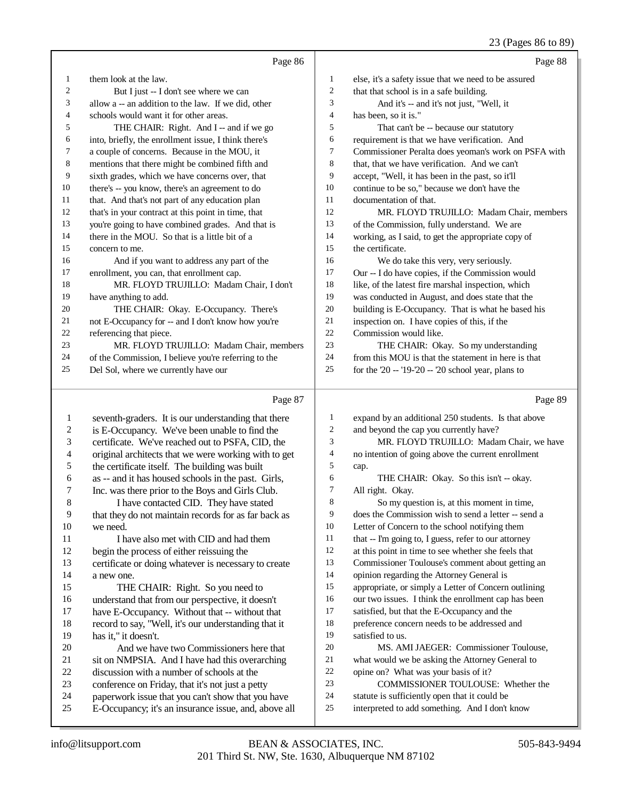## 23 (Pages 86 to 89)

|                         |                                                      |        | $23$ (1 ages 60 to 67)                               |
|-------------------------|------------------------------------------------------|--------|------------------------------------------------------|
|                         | Page 86                                              |        | Page 88                                              |
| 1                       | them look at the law.                                | 1      | else, it's a safety issue that we need to be assured |
| 2                       | But I just -- I don't see where we can               | 2      | that that school is in a safe building.              |
| 3                       | allow a -- an addition to the law. If we did, other  | 3      | And it's -- and it's not just, "Well, it             |
| 4                       | schools would want it for other areas.               | 4      | has been, so it is."                                 |
| 5                       | THE CHAIR: Right. And I -- and if we go              | 5      | That can't be -- because our statutory               |
| 6                       | into, briefly, the enrollment issue, I think there's | 6      | requirement is that we have verification. And        |
| 7                       | a couple of concerns. Because in the MOU, it         | 7      | Commissioner Peralta does yeoman's work on PSFA with |
| 8                       | mentions that there might be combined fifth and      | 8      | that, that we have verification. And we can't        |
| 9                       | sixth grades, which we have concerns over, that      | 9      | accept, "Well, it has been in the past, so it'll     |
| 10                      | there's -- you know, there's an agreement to do      | 10     | continue to be so," because we don't have the        |
| 11                      | that. And that's not part of any education plan      | 11     | documentation of that.                               |
| 12                      | that's in your contract at this point in time, that  | 12     | MR. FLOYD TRUJILLO: Madam Chair, members             |
| 13                      | you're going to have combined grades. And that is    | 13     | of the Commission, fully understand. We are          |
| 14                      | there in the MOU. So that is a little bit of a       | 14     | working, as I said, to get the appropriate copy of   |
| 15                      | concern to me.                                       | 15     | the certificate.                                     |
| 16                      | And if you want to address any part of the           | 16     | We do take this very, very seriously.                |
| 17                      | enrollment, you can, that enrollment cap.            | 17     | Our -- I do have copies, if the Commission would     |
| 18                      | MR. FLOYD TRUJILLO: Madam Chair, I don't             | 18     | like, of the latest fire marshal inspection, which   |
| 19                      | have anything to add.                                | 19     | was conducted in August, and does state that the     |
| 20                      | THE CHAIR: Okay. E-Occupancy. There's                | 20     | building is E-Occupancy. That is what he based his   |
| 21                      | not E-Occupancy for -- and I don't know how you're   | 21     | inspection on. I have copies of this, if the         |
| 22                      | referencing that piece.                              | 22     | Commission would like.                               |
| 23                      | MR. FLOYD TRUJILLO: Madam Chair, members             | 23     | THE CHAIR: Okay. So my understanding                 |
| 24                      | of the Commission, I believe you're referring to the | 24     | from this MOU is that the statement in here is that  |
| 25                      | Del Sol, where we currently have our                 | 25     | for the $20 - 19 - 20 - 20$ school year, plans to    |
|                         |                                                      |        |                                                      |
|                         | Page 87                                              |        | Page 89                                              |
| $\mathbf{1}$            | seventh-graders. It is our understanding that there  | 1      | expand by an additional 250 students. Is that above  |
| $\overline{\mathbf{c}}$ | is E-Occupancy. We've been unable to find the        | 2      | and beyond the cap you currently have?               |
| 3                       | certificate. We've reached out to PSFA, CID, the     | 3      | MR. FLOYD TRUJILLO: Madam Chair, we have             |
| 4                       | original architects that we were working with to get | 4      | no intention of going above the current enrollment   |
| 5                       | the certificate itself. The building was built       | 5      | cap.                                                 |
| 6                       | as -- and it has housed schools in the past. Girls,  | 6      | THE CHAIR: Okay. So this isn't -- okay.              |
| 7                       | Inc. was there prior to the Boys and Girls Club.     | 7      | All right. Okay.                                     |
| $\,8\,$                 | I have contacted CID. They have stated               | 8      | So my question is, at this moment in time,           |
| 9                       | that they do not maintain records for as far back as | 9      | does the Commission wish to send a letter -- send a  |
| 10                      | we need.                                             | 10     | Letter of Concern to the school notifying them       |
| 11                      | I have also met with CID and had them                | 11     | that -- I'm going to, I guess, refer to our attorney |
| 12                      | begin the process of either reissuing the            | 12     | at this point in time to see whether she feels that  |
| 13                      | certificate or doing whatever is necessary to create | 13     | Commissioner Toulouse's comment about getting an     |
| 14                      | a new one.                                           | 14     | opinion regarding the Attorney General is            |
| 15                      | THE CHAIR: Right. So you need to                     | 15     | appropriate, or simply a Letter of Concern outlining |
| 16                      | understand that from our perspective, it doesn't     | 16     | our two issues. I think the enrollment cap has been  |
| 17                      | have E-Occupancy. Without that -- without that       | 17     | satisfied, but that the E-Occupancy and the          |
| 18                      | record to say, "Well, it's our understanding that it | $18\,$ | preference concern needs to be addressed and         |
| 19                      | has it," it doesn't.                                 | 19     | satisfied to us.                                     |
|                         |                                                      |        |                                                      |

- 20 And we have two Commissioners here that<br>21 sit on NMPSIA. And I have had this overarching 21 sit on NMPSIA. And I have had this overarching<br>22 discussion with a number of schools at the
- 22 discussion with a number of schools at the<br>23 conference on Friday, that it's not just a pet
- 23 conference on Friday, that it's not just a petty<br>24 paperwork issue that you can't show that you
- 24 paperwork issue that you can't show that you have<br>25 E-Occupancy: it's an insurance issue, and, above a
- E-Occupancy; it's an insurance issue, and, above all

 MS. AMI JAEGER: Commissioner Toulouse, 21 what would we be asking the Attorney General to<br>22 opine on? What was your basis of it?

interpreted to add something. And I don't know

COMMISSIONER TOULOUSE: Whether the

22 opine on? What was your basis of it?<br>23 COMMISSIONER TOULOUSI

24 statute is sufficiently open that it could be<br>25 interpreted to add something. And I don't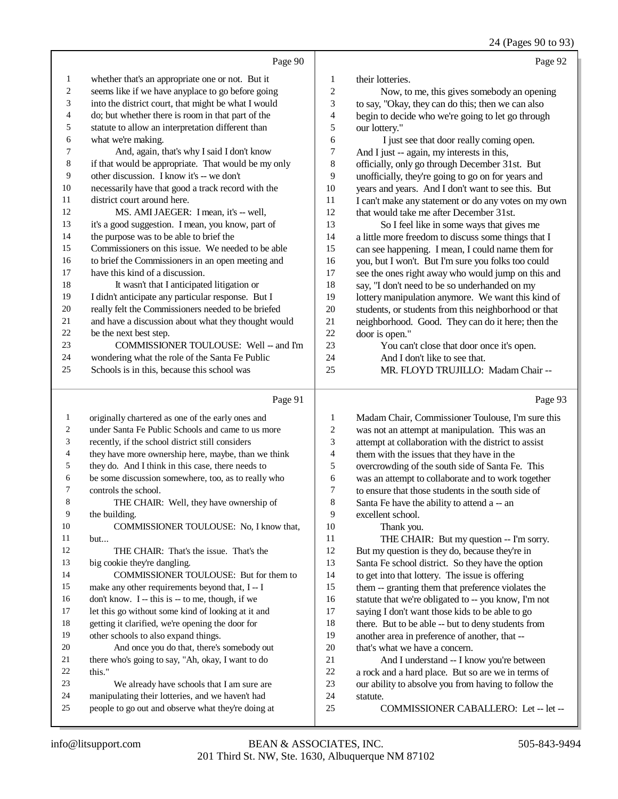24 (Pages 90 to 93)

|              | Page 90                                                                                                  |                          | Page 92                                                                                             |
|--------------|----------------------------------------------------------------------------------------------------------|--------------------------|-----------------------------------------------------------------------------------------------------|
| $\mathbf{1}$ | whether that's an appropriate one or not. But it                                                         | 1                        | their lotteries.                                                                                    |
| 2            | seems like if we have any place to go before going                                                       | 2                        | Now, to me, this gives somebody an opening                                                          |
| 3            | into the district court, that might be what I would                                                      | 3                        | to say, "Okay, they can do this; then we can also                                                   |
| 4            | do; but whether there is room in that part of the                                                        | 4                        | begin to decide who we're going to let go through                                                   |
| 5            | statute to allow an interpretation different than                                                        | 5                        | our lottery."                                                                                       |
| 6            | what we're making.                                                                                       | 6                        | I just see that door really coming open.                                                            |
| 7            | And, again, that's why I said I don't know                                                               | 7                        | And I just -- again, my interests in this,                                                          |
| 8            | if that would be appropriate. That would be my only                                                      | 8                        | officially, only go through December 31st. But                                                      |
| 9            | other discussion. I know it's -- we don't                                                                | 9                        | unofficially, they're going to go on for years and                                                  |
| 10           | necessarily have that good a track record with the                                                       | 10                       | years and years. And I don't want to see this. But                                                  |
| 11           | district court around here.                                                                              | 11                       | I can't make any statement or do any votes on my own                                                |
| 12           | MS. AMI JAEGER: I mean, it's -- well,                                                                    | 12                       | that would take me after December 31st.                                                             |
| 13           | it's a good suggestion. I mean, you know, part of                                                        | 13                       | So I feel like in some ways that gives me                                                           |
| 14           | the purpose was to be able to brief the                                                                  | 14                       | a little more freedom to discuss some things that I                                                 |
| 15           | Commissioners on this issue. We needed to be able                                                        | 15                       | can see happening. I mean, I could name them for                                                    |
| 16           | to brief the Commissioners in an open meeting and                                                        | 16                       | you, but I won't. But I'm sure you folks too could                                                  |
| 17           | have this kind of a discussion.                                                                          | 17                       | see the ones right away who would jump on this and                                                  |
| 18           | It wasn't that I anticipated litigation or                                                               | 18                       | say, "I don't need to be so underhanded on my                                                       |
| 19<br>20     | I didn't anticipate any particular response. But I<br>really felt the Commissioners needed to be briefed | 19<br>$20\,$             | lottery manipulation anymore. We want this kind of                                                  |
| 21           | and have a discussion about what they thought would                                                      | 21                       | students, or students from this neighborhood or that                                                |
| 22           | be the next best step.                                                                                   | 22                       | neighborhood. Good. They can do it here; then the                                                   |
| 23           | COMMISSIONER TOULOUSE: Well -- and I'm                                                                   | 23                       | door is open."<br>You can't close that door once it's open.                                         |
| 24           | wondering what the role of the Santa Fe Public                                                           | 24                       | And I don't like to see that.                                                                       |
| 25           | Schools is in this, because this school was                                                              | 25                       | MR. FLOYD TRUJILLO: Madam Chair --                                                                  |
|              |                                                                                                          |                          |                                                                                                     |
|              | Page 91                                                                                                  |                          | Page 93                                                                                             |
|              |                                                                                                          |                          |                                                                                                     |
|              |                                                                                                          |                          |                                                                                                     |
| 1            | originally chartered as one of the early ones and                                                        | 1                        | Madam Chair, Commissioner Toulouse, I'm sure this                                                   |
| 2            | under Santa Fe Public Schools and came to us more                                                        | 2                        | was not an attempt at manipulation. This was an                                                     |
| 3            | recently, if the school district still considers                                                         | 3                        | attempt at collaboration with the district to assist                                                |
| 4            | they have more ownership here, maybe, than we think                                                      | $\overline{\mathcal{A}}$ | them with the issues that they have in the                                                          |
| 5<br>6       | they do. And I think in this case, there needs to                                                        | 5                        | overcrowding of the south side of Santa Fe. This                                                    |
| 7            | be some discussion somewhere, too, as to really who                                                      | 6<br>7                   | was an attempt to collaborate and to work together                                                  |
|              | controls the school.                                                                                     |                          | to ensure that those students in the south side of                                                  |
| 8<br>9       | THE CHAIR: Well, they have ownership of                                                                  | 8<br>9                   | Santa Fe have the ability to attend a -- an<br>excellent school.                                    |
| 10           | the building.<br>COMMISSIONER TOULOUSE: No, I know that,                                                 | 10                       |                                                                                                     |
| 11           | but                                                                                                      | 11                       | Thank you.<br>THE CHAIR: But my question -- I'm sorry.                                              |
| 12           | THE CHAIR: That's the issue. That's the                                                                  | 12                       |                                                                                                     |
| 13           | big cookie they're dangling.                                                                             | 13                       | But my question is they do, because they're in<br>Santa Fe school district. So they have the option |
| 14           | COMMISSIONER TOULOUSE: But for them to                                                                   | 14                       | to get into that lottery. The issue is offering                                                     |
| 15           | make any other requirements beyond that, I -- I                                                          | 15                       | them -- granting them that preference violates the                                                  |
| 16           | don't know. I -- this is -- to me, though, if we                                                         | 16                       | statute that we're obligated to -- you know, I'm not                                                |
| 17           | let this go without some kind of looking at it and                                                       | 17                       | saying I don't want those kids to be able to go                                                     |
| 18           | getting it clarified, we're opening the door for                                                         | 18                       | there. But to be able -- but to deny students from                                                  |
| 19           | other schools to also expand things.                                                                     | 19                       | another area in preference of another, that --                                                      |
| 20           | And once you do that, there's somebody out                                                               | $20\,$                   | that's what we have a concern.                                                                      |
| 21           | there who's going to say, "Ah, okay, I want to do                                                        | $21\,$                   | And I understand -- I know you're between                                                           |
| 22           | this."                                                                                                   | $22\,$                   | a rock and a hard place. But so are we in terms of                                                  |
| 23           | We already have schools that I am sure are                                                               | 23                       | our ability to absolve you from having to follow the                                                |
| 24<br>25     | manipulating their lotteries, and we haven't had<br>people to go out and observe what they're doing at   | 24<br>$25\,$             | statute.<br>COMMISSIONER CABALLERO: Let -- let --                                                   |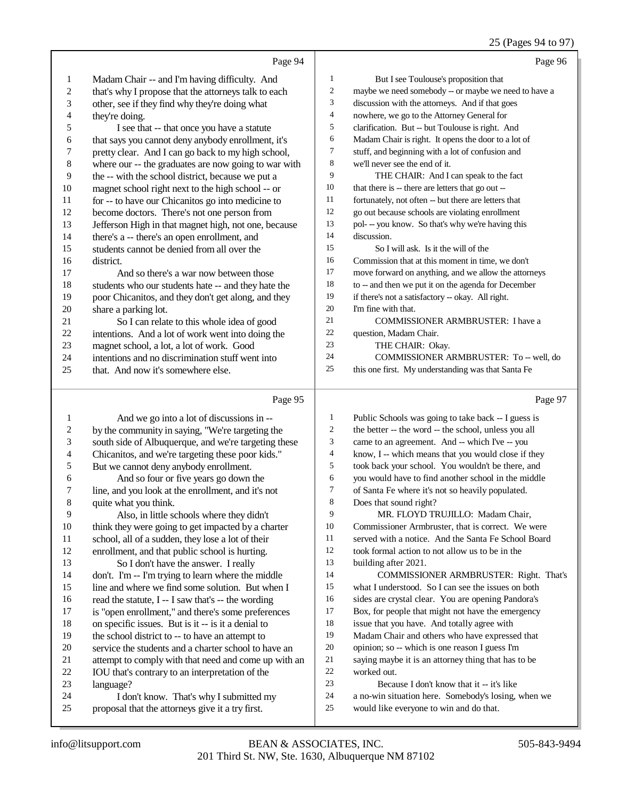## 25 (Pages 94 to 97)

|                          |                                                        |                | 25 (Fages 94 to 97)                                  |
|--------------------------|--------------------------------------------------------|----------------|------------------------------------------------------|
|                          | Page 94                                                |                | Page 96                                              |
| 1                        | Madam Chair -- and I'm having difficulty. And          | 1              | But I see Toulouse's proposition that                |
| $\sqrt{2}$               | that's why I propose that the attorneys talk to each   | $\overline{c}$ | maybe we need somebody -- or maybe we need to have a |
| $\mathfrak{Z}$           | other, see if they find why they're doing what         | 3              | discussion with the attorneys. And if that goes      |
| $\overline{\mathcal{L}}$ | they're doing.                                         | 4              | nowhere, we go to the Attorney General for           |
| 5                        | I see that -- that once you have a statute             | 5              | clarification. But -- but Toulouse is right. And     |
| 6                        | that says you cannot deny anybody enrollment, it's     | 6              | Madam Chair is right. It opens the door to a lot of  |
| $\boldsymbol{7}$         | pretty clear. And I can go back to my high school,     | 7              | stuff, and beginning with a lot of confusion and     |
| $\,$ $\,$                | where our -- the graduates are now going to war with   | 8              | we'll never see the end of it.                       |
| 9                        | the -- with the school district, because we put a      | 9              | THE CHAIR: And I can speak to the fact               |
| $10\,$                   | magnet school right next to the high school -- or      | 10             | that there is -- there are letters that go out --    |
| 11                       | for -- to have our Chicanitos go into medicine to      | 11             | fortunately, not often -- but there are letters that |
| 12                       | become doctors. There's not one person from            | 12             | go out because schools are violating enrollment      |
| 13                       | Jefferson High in that magnet high, not one, because   | 13             | pol- -- you know. So that's why we're having this    |
| 14                       | there's a -- there's an open enrollment, and           | 14             | discussion.                                          |
| 15                       | students cannot be denied from all over the            | 15             | So I will ask. Is it the will of the                 |
| 16                       | district.                                              | 16             | Commission that at this moment in time, we don't     |
| 17                       | And so there's a war now between those                 | 17             | move forward on anything, and we allow the attorneys |
| 18                       | students who our students hate -- and they hate the    | 18             | to -- and then we put it on the agenda for December  |
| 19                       | poor Chicanitos, and they don't get along, and they    | 19             | if there's not a satisfactory -- okay. All right.    |
| $20\,$                   | share a parking lot.                                   | 20             | I'm fine with that.                                  |
| 21                       | So I can relate to this whole idea of good             | 21             | COMMISSIONER ARMBRUSTER: I have a                    |
| $22\,$                   | intentions. And a lot of work went into doing the      | $22\,$         | question, Madam Chair.                               |
| 23                       | magnet school, a lot, a lot of work. Good              | 23             | THE CHAIR: Okay.                                     |
| 24                       | intentions and no discrimination stuff went into       | 24<br>25       | COMMISSIONER ARMBRUSTER: To -- well, do              |
| 25                       | that. And now it's somewhere else.                     |                | this one first. My understanding was that Santa Fe   |
|                          | Page 95                                                |                | Page 97                                              |
| $\mathbf{1}$             | And we go into a lot of discussions in --              | 1              | Public Schools was going to take back -- I guess is  |
| $\overline{\mathbf{c}}$  | by the community in saying, "We're targeting the       | $\overline{c}$ | the better -- the word -- the school, unless you all |
| 3                        | south side of Albuquerque, and we're targeting these   | 3              | came to an agreement. And -- which I've -- you       |
| $\overline{\mathcal{A}}$ | Chicanitos, and we're targeting these poor kids."      | $\overline{4}$ | know, I -- which means that you would close if they  |
| $\sqrt{5}$               | But we cannot deny anybody enrollment.                 | 5              | took back your school. You wouldn't be there, and    |
| 6                        | And so four or five years go down the                  | 6              | you would have to find another school in the middle  |
| 7                        | line, and you look at the enrollment, and it's not     | 7              | of Santa Fe where it's not so heavily populated.     |
| $\,8\,$                  | quite what you think.                                  | 8              | Does that sound right?                               |
| 9                        | Also, in little schools where they didn't              | 9              | MR. FLOYD TRUJILLO: Madam Chair,                     |
| $10\,$                   | think they were going to get impacted by a charter     | 10             | Commissioner Armbruster, that is correct. We were    |
| 11                       | school, all of a sudden, they lose a lot of their      | 11             | served with a notice. And the Santa Fe School Board  |
| 12                       | enrollment, and that public school is hurting.         | 12             | took formal action to not allow us to be in the      |
| 13                       | So I don't have the answer. I really                   | 13             | building after 2021.                                 |
| 14                       | don't. I'm -- I'm trying to learn where the middle     | 14             | COMMISSIONER ARMBRUSTER: Right. That's               |
| 15                       | line and where we find some solution. But when I       | 15             | what I understood. So I can see the issues on both   |
| 16                       | read the statute, I -- I saw that's -- the wording     | 16             | sides are crystal clear. You are opening Pandora's   |
| 17                       | is "open enrollment," and there's some preferences     | 17             | Box, for people that might not have the emergency    |
| 18                       | on specific issues. But is it -- is it a denial to     | 18             | issue that you have. And totally agree with          |
| 19                       | the school district to -- to have an attempt to        | 19             | Madam Chair and others who have expressed that       |
| $20\,$                   | service the students and a charter school to have an   | 20             | opinion; so -- which is one reason I guess I'm       |
| 21                       | attempt to comply with that need and come up with an   | $21\,$         | saying maybe it is an attorney thing that has to be  |
| 22                       | <b>IOU</b> that's contrary to an interpretation of the | 22             | worked out.                                          |

21 attempt to comply with that need and come up with an <br>22 IOU that's contrary to an interpretation of the 22 IOU that's contrary to an interpretation of the<br>
23 Ianguage? 23 language?<br>24 I don

- 24 I don't know. That's why I submitted my<br>25 proposal that the attorneys give it a try first.
- proposal that the attorneys give it a try first.

22 worked out.<br>23 Becau Because I don't know that it -- it's like

- 24 a no-win situation here. Somebody's losing, when we<br>25 would like everyone to win and do that.
	- would like everyone to win and do that.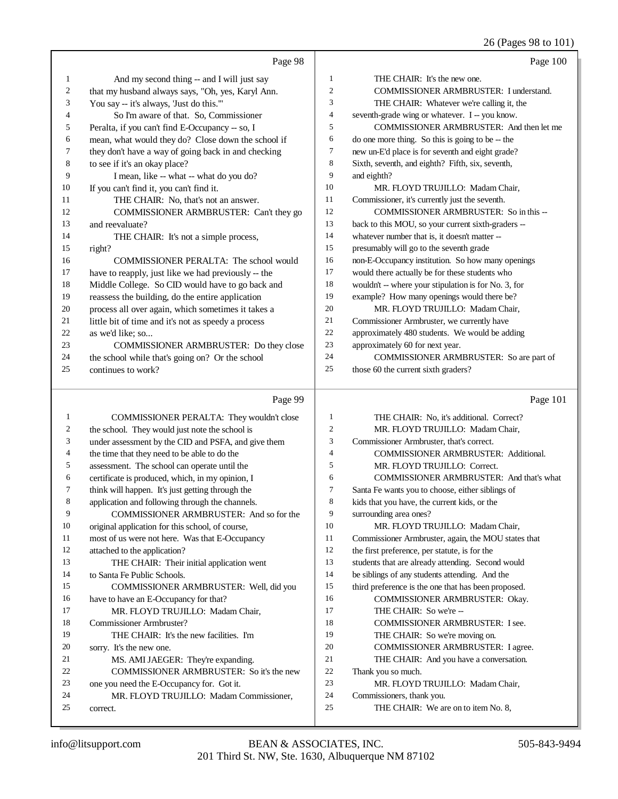|                |                                                     |                | 26 (Pages 98 to 101)                                 |
|----------------|-----------------------------------------------------|----------------|------------------------------------------------------|
|                | Page 98                                             |                | Page 100                                             |
| 1              | And my second thing -- and I will just say          | $\mathbf{1}$   | THE CHAIR: It's the new one.                         |
| $\overline{c}$ | that my husband always says, "Oh, yes, Karyl Ann.   | $\mathfrak{2}$ | COMMISSIONER ARMBRUSTER: I understand.               |
| 3              | You say -- it's always, 'Just do this."'            | 3              | THE CHAIR: Whatever we're calling it, the            |
| 4              | So I'm aware of that. So, Commissioner              | $\overline{4}$ | seventh-grade wing or whatever. I -- you know.       |
| 5              | Peralta, if you can't find E-Occupancy -- so, I     | 5              | COMMISSIONER ARMBRUSTER: And then let me             |
| 6              | mean, what would they do? Close down the school if  | 6              | do one more thing. So this is going to be -- the     |
| 7              | they don't have a way of going back in and checking | 7              | new un-E'd place is for seventh and eight grade?     |
| 8              | to see if it's an okay place?                       | $\,$ 8 $\,$    | Sixth, seventh, and eighth? Fifth, six, seventh,     |
| 9              | I mean, like -- what -- what do you do?             | 9              | and eighth?                                          |
| 10             | If you can't find it, you can't find it.            | 10             | MR. FLOYD TRUJILLO: Madam Chair,                     |
| 11             | THE CHAIR: No, that's not an answer.                | 11             | Commissioner, it's currently just the seventh.       |
| 12             | COMMISSIONER ARMBRUSTER: Can't they go              | 12             | COMMISSIONER ARMBRUSTER: So in this --               |
| 13             | and reevaluate?                                     | 13             | back to this MOU, so your current sixth-graders --   |
| 14             | THE CHAIR: It's not a simple process,               | 14             | whatever number that is, it doesn't matter --        |
| 15             | right?                                              | 15             | presumably will go to the seventh grade              |
| 16             | COMMISSIONER PERALTA: The school would              | 16             | non-E-Occupancy institution. So how many openings    |
| 17             | have to reapply, just like we had previously -- the | 17             | would there actually be for these students who       |
| 18             | Middle College. So CID would have to go back and    | 18             | wouldn't -- where your stipulation is for No. 3, for |
| 19             | reassess the building, do the entire application    | 19             | example? How many openings would there be?           |
| 20             | process all over again, which sometimes it takes a  | 20             | MR. FLOYD TRUJILLO: Madam Chair,                     |
| 21             | little bit of time and it's not as speedy a process | 21             | Commissioner Armbruster, we currently have           |
| $22\,$         | as we'd like; so                                    | $22\,$         | approximately 480 students. We would be adding       |
| 23             | COMMISSIONER ARMBRUSTER: Do they close              | 23             | approximately 60 for next year.                      |
| 24             | the school while that's going on? Or the school     | 24             | COMMISSIONER ARMBRUSTER: So are part of              |
| 25             | continues to work?                                  | 25             | those 60 the current sixth graders?                  |
|                |                                                     |                |                                                      |
|                | Page 99                                             |                | Page 101                                             |
| $\mathbf{1}$   | COMMISSIONER PERALTA: They wouldn't close           | $\mathbf{1}$   | THE CHAIR: No, it's additional. Correct?             |
| $\overline{c}$ | the school. They would just note the school is      | $\mathfrak{2}$ | MR. FLOYD TRUJILLO: Madam Chair,                     |
| 3              | under assessment by the CID and PSFA, and give them | 3              | Commissioner Armbruster, that's correct.             |
| 4              | the time that they need to be able to do the        | $\overline{4}$ | COMMISSIONER ARMBRUSTER: Additional.                 |
| 5              | assessment. The school can operate until the        | 5              | MR. FLOYD TRUJILLO: Correct.                         |
| 6              | certificate is produced, which, in my opinion, I    | 6              | COMMISSIONER ARMBRUSTER: And that's what             |
| 7              | think will happen. It's just getting through the    | 7              | Santa Fe wants you to choose, either siblings of     |
| 8              | application and following through the channels.     | 8              | kids that you have, the current kids, or the         |
| 9              | COMMISSIONER ARMBRUSTER: And so for the             | 9              | surrounding area ones?                               |
| 10             | original application for this school, of course,    | 10             | MR. FLOYD TRUJILLO: Madam Chair,                     |
| 11             | most of us were not here. Was that E-Occupancy      | 11             | Commissioner Armbruster, again, the MOU states that  |
| 12             | attached to the application?                        | 12             | the first preference, per statute, is for the        |
| 13             | THE CHAIR: Their initial application went           | 13             | students that are already attending. Second would    |
| 14             | to Santa Fe Public Schools.                         | 14             | be siblings of any students attending. And the       |
| 15             | COMMISSIONER ARMBRUSTER: Well, did you              | 15             | third preference is the one that has been proposed.  |
| 16             | have to have an E-Occupancy for that?               | 16             | COMMISSIONER ARMBRUSTER: Okay.                       |
| 17             | MR. FLOYD TRUJILLO: Madam Chair,                    | 17             | THE CHAIR: So we're --                               |
| 18             | Commissioner Armbruster?                            | 18             | COMMISSIONER ARMBRUSTER: I see.                      |
| 19             | THE CHAIR: It's the new facilities. I'm             | 19             | THE CHAIR: So we're moving on.                       |
| 20             | sorry. It's the new one.                            | 20             | COMMISSIONER ARMBRUSTER: I agree.                    |
|                |                                                     |                |                                                      |

THE CHAIR: And you have a conversation.

### Thank you so much.

- MR. FLOYD TRUJILLO: Madam Chair,
- Commissioners, thank you.
- 25 THE CHAIR: We are on to item No. 8,

correct.

21 MS. AMI JAEGER: They're expanding.

one you need the E-Occupancy for. Got it.

COMMISSIONER ARMBRUSTER: So it's the new

MR. FLOYD TRUJILLO: Madam Commissioner,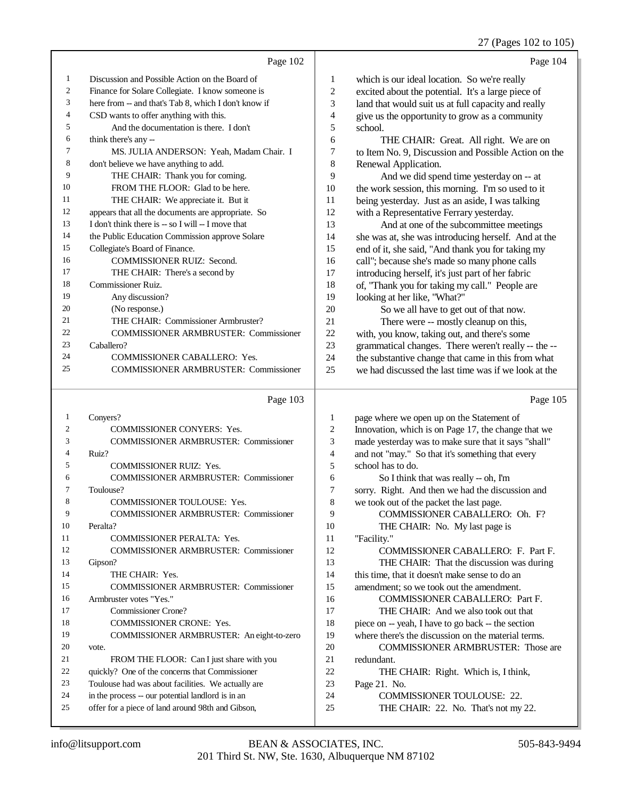|          |                                                      |                          | 27 (Pages 102 to 105)                                |
|----------|------------------------------------------------------|--------------------------|------------------------------------------------------|
|          | Page 102                                             |                          | Page 104                                             |
| 1        | Discussion and Possible Action on the Board of       | 1                        | which is our ideal location. So we're really         |
| 2        | Finance for Solare Collegiate. I know someone is     | $\mathbf{2}$             | excited about the potential. It's a large piece of   |
| 3        | here from -- and that's Tab 8, which I don't know if | 3                        | land that would suit us at full capacity and really  |
| 4        | CSD wants to offer anything with this.               | $\overline{\mathcal{A}}$ | give us the opportunity to grow as a community       |
| 5        | And the documentation is there. I don't              | 5                        | school.                                              |
| 6        | think there's any --                                 | 6                        | THE CHAIR: Great. All right. We are on               |
| 7        | MS. JULIA ANDERSON: Yeah, Madam Chair. I             | 7                        | to Item No. 9, Discussion and Possible Action on the |
| 8        | don't believe we have anything to add.               | 8                        | Renewal Application.                                 |
| 9        | THE CHAIR: Thank you for coming.                     | 9                        | And we did spend time yesterday on -- at             |
| 10       | FROM THE FLOOR: Glad to be here.                     | 10                       | the work session, this morning. I'm so used to it    |
| 11       | THE CHAIR: We appreciate it. But it                  | 11                       | being yesterday. Just as an aside, I was talking     |
| 12       | appears that all the documents are appropriate. So   | 12                       | with a Representative Ferrary yesterday.             |
| 13       | I don't think there is -- so I will -- I move that   | 13                       | And at one of the subcommittee meetings              |
| 14       | the Public Education Commission approve Solare       | 14                       | she was at, she was introducing herself. And at the  |
| 15       | Collegiate's Board of Finance.                       | 15                       | end of it, she said, "And thank you for taking my    |
| 16       | COMMISSIONER RUIZ: Second.                           | 16                       | call"; because she's made so many phone calls        |
| 17       | THE CHAIR: There's a second by                       | 17                       | introducing herself, it's just part of her fabric    |
| 18       | Commissioner Ruiz.                                   | 18                       | of, "Thank you for taking my call." People are       |
| 19       | Any discussion?                                      | 19                       | looking at her like, "What?"                         |
| 20       | (No response.)                                       | 20                       | So we all have to get out of that now.               |
| 21       | THE CHAIR: Commissioner Armbruster?                  | 21                       | There were -- mostly cleanup on this,                |
| 22       | <b>COMMISSIONER ARMBRUSTER: Commissioner</b>         | 22                       | with, you know, taking out, and there's some         |
| 23       | Caballero?                                           | 23                       | grammatical changes. There weren't really -- the --  |
| 24       | COMMISSIONER CABALLERO: Yes.                         | 24                       | the substantive change that came in this from what   |
| 25       | <b>COMMISSIONER ARMBRUSTER: Commissioner</b>         | 25                       | we had discussed the last time was if we look at the |
|          | Page 103                                             |                          | Page 105                                             |
| 1        | Conyers?                                             | 1                        | page where we open up on the Statement of            |
| 2        | COMMISSIONER CONYERS: Yes.                           | 2                        | Innovation, which is on Page 17, the change that we  |
| 3        | <b>COMMISSIONER ARMBRUSTER: Commissioner</b>         | 3                        | made yesterday was to make sure that it says "shall" |
| 4        | Ruiz?                                                | $\overline{\mathcal{L}}$ | and not "may." So that it's something that every     |
| 5        | COMMISSIONER RUIZ: Yes.                              | 5                        | school has to do.                                    |
| 6        | <b>COMMISSIONER ARMBRUSTER: Commissioner</b>         | 6                        | So I think that was really -- oh, I'm                |
| $\prime$ | Toulouse?                                            | 7                        | sorry. Right. And then we had the discussion and     |
| 8        | COMMISSIONER TOULOUSE: Yes.                          | 8                        | we took out of the packet the last page.             |
| 9        | <b>COMMISSIONER ARMBRUSTER: Commissioner</b>         | 9                        | COMMISSIONER CABALLERO: Oh. F?                       |
| 10       | Peralta?                                             | 10                       | THE CHAIR: No. My last page is                       |
| 11       | <b>COMMISSIONER PERALTA: Yes.</b>                    | 11                       | "Facility."                                          |
| 12       | <b>COMMISSIONER ARMBRUSTER: Commissioner</b>         | 12                       | COMMISSIONER CABALLERO: F. Part F.                   |
| 13       | Gipson?                                              | 13                       | THE CHAIR: That the discussion was during            |
| 14       | THE CHAIR: Yes.                                      | 14                       | this time, that it doesn't make sense to do an       |
| 15       | COMMISSIONER ARMBRUSTER: Commissioner                | 15                       | amendment; so we took out the amendment.             |
| 16       | Armbruster votes "Yes."                              | 16                       | COMMISSIONER CABALLERO: Part F.                      |
| 17       | <b>Commissioner Crone?</b>                           | 17                       | THE CHAIR: And we also took out that                 |
| 18       | COMMISSIONER CRONE: Yes.                             | 18                       | piece on -- yeah, I have to go back -- the section   |
| 19       | COMMISSIONER ARMBRUSTER: An eight-to-zero            | 19                       | where there's the discussion on the material terms.  |
| 20       | vote.                                                | 20                       | <b>COMMISSIONER ARMBRUSTER:</b> Those are            |
| 21       | FROM THE FLOOR: Can I just share with you            | 21                       | redundant.                                           |

THE CHAIR: Right. Which is, I think,

Page 21. No.

- COMMISSIONER TOULOUSE: 22.
- 25 THE CHAIR: 22. No. That's not my 22.

 quickly? One of the concerns that Commissioner Toulouse had was about facilities. We actually are in the process -- our potential landlord is in an offer for a piece of land around 98th and Gibson,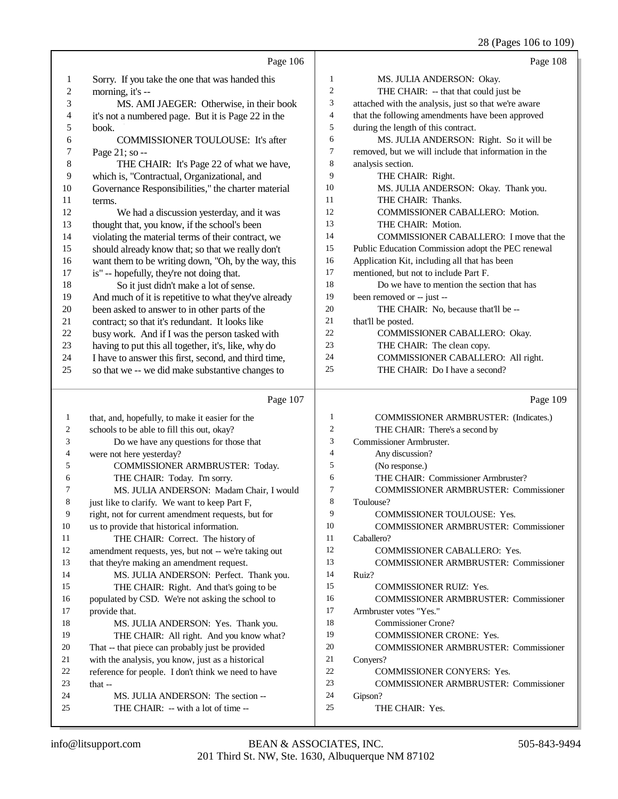28 (Pages 106 to 109)

|    | Page 106                                                                                      |                | Page 108                                             |
|----|-----------------------------------------------------------------------------------------------|----------------|------------------------------------------------------|
| 1  | Sorry. If you take the one that was handed this                                               | $\mathbf{1}$   | MS. JULIA ANDERSON: Okay.                            |
| 2  | morning, it's --                                                                              | $\overline{c}$ | THE CHAIR: -- that that could just be                |
| 3  | MS. AMI JAEGER: Otherwise, in their book                                                      | 3              | attached with the analysis, just so that we're aware |
| 4  | it's not a numbered page. But it is Page 22 in the                                            | $\overline{4}$ | that the following amendments have been approved     |
| 5  | book.                                                                                         | 5              | during the length of this contract.                  |
| 6  | COMMISSIONER TOULOUSE: It's after                                                             | 6              | MS. JULIA ANDERSON: Right. So it will be             |
| 7  | Page 21; so --                                                                                | 7              | removed, but we will include that information in the |
| 8  | THE CHAIR: It's Page 22 of what we have,                                                      | 8              | analysis section.                                    |
| 9  | which is, "Contractual, Organizational, and                                                   | 9              | THE CHAIR: Right.                                    |
| 10 | Governance Responsibilities," the charter material                                            | 10             | MS. JULIA ANDERSON: Okay. Thank you.                 |
| 11 | terms.                                                                                        | 11             | THE CHAIR: Thanks.                                   |
| 12 | We had a discussion yesterday, and it was                                                     | 12             | COMMISSIONER CABALLERO: Motion.                      |
| 13 | thought that, you know, if the school's been                                                  | 13             | THE CHAIR: Motion.                                   |
| 14 | violating the material terms of their contract, we                                            | 14             | COMMISSIONER CABALLERO: I move that the              |
| 15 | should already know that; so that we really don't                                             | 15             | Public Education Commission adopt the PEC renewal    |
| 16 | want them to be writing down, "Oh, by the way, this                                           | 16             | Application Kit, including all that has been         |
| 17 | is" -- hopefully, they're not doing that.                                                     | 17             | mentioned, but not to include Part F.                |
| 18 | So it just didn't make a lot of sense.                                                        | 18             | Do we have to mention the section that has           |
| 19 | And much of it is repetitive to what they've already                                          | 19             | been removed or -- just --                           |
| 20 | been asked to answer to in other parts of the                                                 | 20             | THE CHAIR: No, because that'll be --                 |
| 21 | contract; so that it's redundant. It looks like                                               | 21             | that'll be posted.                                   |
| 22 | busy work. And if I was the person tasked with                                                | 22             | COMMISSIONER CABALLERO: Okay.                        |
| 23 | having to put this all together, it's, like, why do                                           | 23             | THE CHAIR: The clean copy.                           |
| 24 | I have to answer this first, second, and third time,                                          | 24             | COMMISSIONER CABALLERO: All right.                   |
| 25 | so that we -- we did make substantive changes to                                              | 25             | THE CHAIR: Do I have a second?                       |
|    |                                                                                               |                |                                                      |
|    |                                                                                               |                |                                                      |
|    | Page 107                                                                                      |                | Page 109                                             |
| 1  |                                                                                               | 1              | COMMISSIONER ARMBRUSTER: (Indicates.)                |
| 2  | that, and, hopefully, to make it easier for the<br>schools to be able to fill this out, okay? | $\mathfrak{2}$ | THE CHAIR: There's a second by                       |
| 3  | Do we have any questions for those that                                                       | 3              | Commissioner Armbruster.                             |
| 4  | were not here yesterday?                                                                      | $\overline{4}$ | Any discussion?                                      |
| 5  | COMMISSIONER ARMBRUSTER: Today.                                                               | 5              | (No response.)                                       |
| 6  | THE CHAIR: Today. I'm sorry.                                                                  | 6              | THE CHAIR: Commissioner Armbruster?                  |
| 7  | MS. JULIA ANDERSON: Madam Chair, I would                                                      | $\overline{7}$ | COMMISSIONER ARMBRUSTER: Commissioner                |
| 8  | just like to clarify. We want to keep Part F,                                                 | 8              | Toulouse?                                            |
| 9  | right, not for current amendment requests, but for                                            | 9              | <b>COMMISSIONER TOULOUSE: Yes.</b>                   |
| 10 | us to provide that historical information.                                                    | 10             | <b>COMMISSIONER ARMBRUSTER: Commissioner</b>         |
| 11 | THE CHAIR: Correct. The history of                                                            | 11             | Caballero?                                           |
| 12 | amendment requests, yes, but not -- we're taking out                                          | 12             | COMMISSIONER CABALLERO: Yes.                         |
| 13 | that they're making an amendment request.                                                     | 13             | <b>COMMISSIONER ARMBRUSTER: Commissioner</b>         |
| 14 | MS. JULIA ANDERSON: Perfect. Thank you.                                                       | 14             | Ruiz?                                                |
| 15 | THE CHAIR: Right. And that's going to be                                                      | 15             | COMMISSIONER RUIZ: Yes.                              |
| 16 | populated by CSD. We're not asking the school to                                              | 16             | <b>COMMISSIONER ARMBRUSTER: Commissioner</b>         |
| 17 | provide that.                                                                                 | 17             | Armbruster votes "Yes."                              |
| 18 | MS. JULIA ANDERSON: Yes. Thank you.                                                           | 18             | <b>Commissioner Crone?</b>                           |
| 19 | THE CHAIR: All right. And you know what?                                                      | 19             | <b>COMMISSIONER CRONE: Yes.</b>                      |
| 20 | That -- that piece can probably just be provided                                              | 20             | <b>COMMISSIONER ARMBRUSTER: Commissioner</b>         |
| 21 | with the analysis, you know, just as a historical                                             | 21             | Conyers?                                             |
| 22 |                                                                                               | 22             | COMMISSIONER CONYERS: Yes.                           |
| 23 | reference for people. I don't think we need to have<br>that $-$                               | 23             | <b>COMMISSIONER ARMBRUSTER: Commissioner</b>         |
| 24 | MS. JULIA ANDERSON: The section --                                                            | 24             | Gipson?                                              |
| 25 | THE CHAIR: -- with a lot of time --                                                           | 25             | THE CHAIR: Yes.                                      |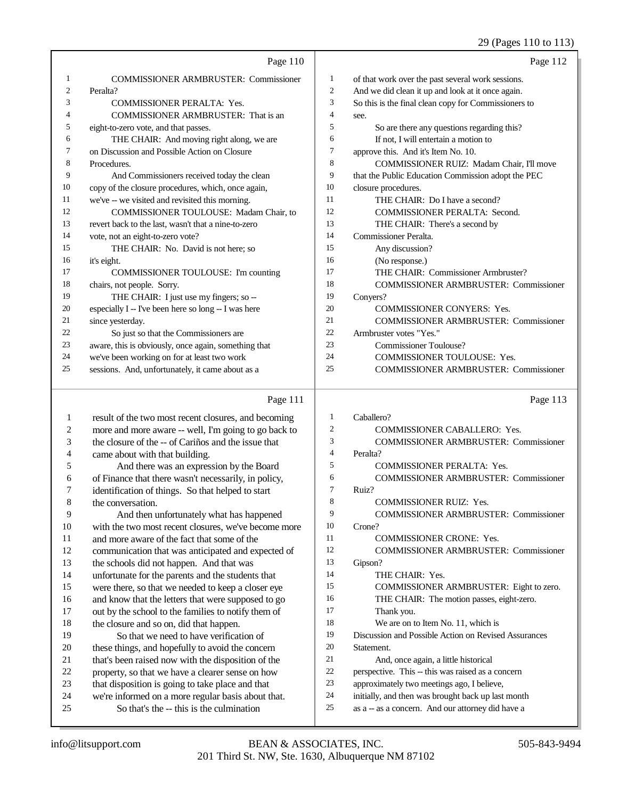|    | Page $110$                                           |                | Page 112                                             |
|----|------------------------------------------------------|----------------|------------------------------------------------------|
|    | <b>COMMISSIONER ARMBRUSTER: Commissioner</b>         | 1              | of that work over the past several work sessions.    |
| 2  | Peralta?                                             | $\overline{2}$ | And we did clean it up and look at it once again.    |
| 3  | <b>COMMISSIONER PERALTA: Yes.</b>                    | 3              | So this is the final clean copy for Commissioners to |
| 4  | COMMISSIONER ARMBRUSTER: That is an                  | 4              | see.                                                 |
| 5  | eight-to-zero vote, and that passes.                 | 5              | So are there any questions regarding this?           |
| 6  | THE CHAIR: And moving right along, we are            | 6              | If not, I will entertain a motion to                 |
| 7  | on Discussion and Possible Action on Closure         | 7              | approve this. And it's Item No. 10.                  |
| 8  | Procedures.                                          | 8              | COMMISSIONER RUIZ: Madam Chair, I'll move            |
| 9  | And Commissioners received today the clean           | 9              | that the Public Education Commission adopt the PEC   |
| 10 | copy of the closure procedures, which, once again,   | 10             | closure procedures.                                  |
| 11 | we've -- we visited and revisited this morning.      | 11             | THE CHAIR: Do I have a second?                       |
| 12 | <b>COMMISSIONER TOULOUSE: Madam Chair, to</b>        | 12             | <b>COMMISSIONER PERALTA: Second.</b>                 |
| 13 | revert back to the last, wasn't that a nine-to-zero  | 13             | THE CHAIR: There's a second by                       |
| 14 | vote, not an eight-to-zero vote?                     | 14             | Commissioner Peralta.                                |
| 15 | THE CHAIR: No. David is not here; so                 | 15             | Any discussion?                                      |
| 16 | it's eight.                                          | 16             | (No response.)                                       |
| 17 | COMMISSIONER TOULOUSE: I'm counting                  | 17             | THE CHAIR: Commissioner Armbruster?                  |
| 18 | chairs, not people. Sorry.                           | 18             | <b>COMMISSIONER ARMBRUSTER: Commissioner</b>         |
| 19 | THE CHAIR: I just use my fingers; so --              | 19             | Convers?                                             |
| 20 | especially I -- I've been here so long -- I was here | 20             | <b>COMMISSIONER CONYERS: Yes.</b>                    |
| 21 | since yesterday.                                     | 21             | <b>COMMISSIONER ARMBRUSTER: Commissioner</b>         |
| 22 | So just so that the Commissioners are                | 22             | Armbruster votes "Yes."                              |
| 23 | aware, this is obviously, once again, something that | 23             | Commissioner Toulouse?                               |
| 24 | we've been working on for at least two work          | 24             | <b>COMMISSIONER TOULOUSE: Yes.</b>                   |
| 25 | sessions. And, unfortunately, it came about as a     | 25             | <b>COMMISSIONER ARMBRUSTER: Commissioner</b>         |
|    |                                                      |                |                                                      |

## Page 111

|    | Page 111                                             |    | Page 113                                             |
|----|------------------------------------------------------|----|------------------------------------------------------|
| 1  | result of the two most recent closures, and becoming | 1  | Caballero?                                           |
| 2  | more and more aware -- well, I'm going to go back to | 2  | <b>COMMISSIONER CABALLERO: Yes.</b>                  |
| 3  | the closure of the -- of Cariños and the issue that  | 3  | <b>COMMISSIONER ARMBRUSTER: Commissioner</b>         |
| 4  | came about with that building.                       | 4  | Peralta?                                             |
| 5  | And there was an expression by the Board             | 5  | <b>COMMISSIONER PERALTA: Yes.</b>                    |
| 6  | of Finance that there wasn't necessarily, in policy, | 6  | <b>COMMISSIONER ARMBRUSTER: Commissioner</b>         |
| 7  | identification of things. So that helped to start    | 7  | Ruiz?                                                |
| 8  | the conversation.                                    | 8  | <b>COMMISSIONER RUIZ: Yes.</b>                       |
| 9  | And then unfortunately what has happened             | 9  | <b>COMMISSIONER ARMBRUSTER: Commissioner</b>         |
| 10 | with the two most recent closures, we've become more | 10 | Crone?                                               |
| 11 | and more aware of the fact that some of the          | 11 | <b>COMMISSIONER CRONE: Yes.</b>                      |
| 12 | communication that was anticipated and expected of   | 12 | <b>COMMISSIONER ARMBRUSTER: Commissioner</b>         |
| 13 | the schools did not happen. And that was             | 13 | Gipson?                                              |
| 14 | unfortunate for the parents and the students that    | 14 | THE CHAIR: Yes.                                      |
| 15 | were there, so that we needed to keep a closer eye   | 15 | COMMISSIONER ARMBRUSTER: Eight to zero.              |
| 16 | and know that the letters that were supposed to go   | 16 | THE CHAIR: The motion passes, eight-zero.            |
| 17 | out by the school to the families to notify them of  | 17 | Thank you.                                           |
| 18 | the closure and so on, did that happen.              | 18 | We are on to Item No. 11, which is                   |
| 19 | So that we need to have verification of              | 19 | Discussion and Possible Action on Revised Assurances |
| 20 | these things, and hopefully to avoid the concern     | 20 | Statement.                                           |
| 21 | that's been raised now with the disposition of the   | 21 | And, once again, a little historical                 |
| 22 | property, so that we have a clearer sense on how     | 22 | perspective. This -- this was raised as a concern    |
| 23 | that disposition is going to take place and that     | 23 | approximately two meetings ago, I believe,           |
| 24 | we're informed on a more regular basis about that.   | 24 | initially, and then was brought back up last month   |
| 25 | So that's the -- this is the culmination             | 25 | as a -- as a concern. And our attorney did have a    |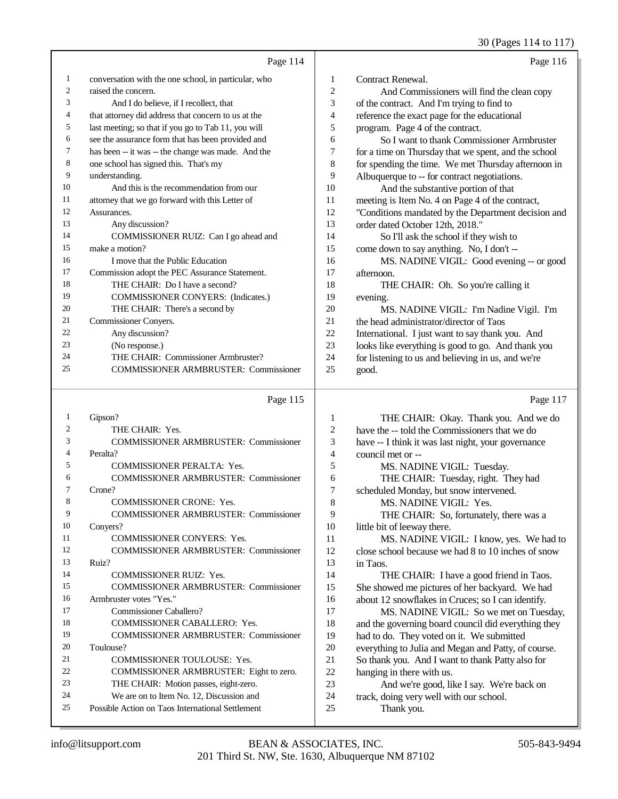30 (Pages 114 to 117)

|    | Page 114                                             |                | Page 116                                             |
|----|------------------------------------------------------|----------------|------------------------------------------------------|
| 1  | conversation with the one school, in particular, who | 1              | Contract Renewal.                                    |
| 2  | raised the concern.                                  | 2              | And Commissioners will find the clean copy           |
| 3  | And I do believe, if I recollect, that               | 3              | of the contract. And I'm trying to find to           |
| 4  | that attorney did address that concern to us at the  | $\overline{4}$ | reference the exact page for the educational         |
| 5  | last meeting; so that if you go to Tab 11, you will  | 5              | program. Page 4 of the contract.                     |
| 6  | see the assurance form that has been provided and    | 6              | So I want to thank Commissioner Armbruster           |
| 7  | has been -- it was -- the change was made. And the   | 7              | for a time on Thursday that we spent, and the school |
| 8  | one school has signed this. That's my                | 8              | for spending the time. We met Thursday afternoon in  |
| 9  | understanding.                                       | 9              | Albuquerque to -- for contract negotiations.         |
| 10 | And this is the recommendation from our              | 10             | And the substantive portion of that                  |
| 11 | attorney that we go forward with this Letter of      | 11             | meeting is Item No. 4 on Page 4 of the contract,     |
| 12 | Assurances.                                          | 12             | "Conditions mandated by the Department decision and  |
| 13 | Any discussion?                                      | 13             | order dated October 12th, 2018."                     |
| 14 | COMMISSIONER RUIZ: Can I go ahead and                | 14             | So I'll ask the school if they wish to               |
| 15 | make a motion?                                       | 15             | come down to say anything. No, I don't --            |
| 16 | I move that the Public Education                     | 16             | MS. NADINE VIGIL: Good evening -- or good            |
| 17 | Commission adopt the PEC Assurance Statement.        | 17             | afternoon.                                           |
| 18 | THE CHAIR: Do I have a second?                       | 18             | THE CHAIR: Oh. So you're calling it                  |
| 19 | COMMISSIONER CONYERS: (Indicates.)                   | 19             | evening.                                             |
| 20 | THE CHAIR: There's a second by                       | 20             | MS. NADINE VIGIL: I'm Nadine Vigil. I'm              |
| 21 | Commissioner Conyers.                                | 21             | the head administrator/director of Taos              |
| 22 | Any discussion?                                      | 22             | International. I just want to say thank you. And     |
| 23 | (No response.)                                       | 23             | looks like everything is good to go. And thank you   |
| 24 | THE CHAIR: Commissioner Armbruster?                  | 24             | for listening to us and believing in us, and we're   |
| 25 | <b>COMMISSIONER ARMBRUSTER: Commissioner</b>         | 25             | good.                                                |

#### Page 115

 Gipson? THE CHAIR: Yes. COMMISSIONER ARMBRUSTER: Commissioner Peralta? COMMISSIONER PERALTA: Yes. COMMISSIONER ARMBRUSTER: Commissioner Crone? 8 COMMISSIONER CRONE: Yes. COMMISSIONER ARMBRUSTER: Commissioner Conyers? 11 COMMISSIONER CONYERS: Yes. COMMISSIONER ARMBRUSTER: Commissioner Ruiz? COMMISSIONER RUIZ: Yes. COMMISSIONER ARMBRUSTER: Commissioner Armbruster votes "Yes." Commissioner Caballero? COMMISSIONER CABALLERO: Yes. COMMISSIONER ARMBRUSTER: Commissioner Toulouse? COMMISSIONER TOULOUSE: Yes. COMMISSIONER ARMBRUSTER: Eight to zero. THE CHAIR: Motion passes, eight-zero. We are on to Item No. 12, Discussion and Possible Action on Taos International Settlement

Page 117

| $\mathbf{1}$   | THE CHAIR: Okay. Thank you. And we do               |
|----------------|-----------------------------------------------------|
| $\overline{2}$ | have the -- told the Commissioners that we do       |
| 3              | have -- I think it was last night, your governance  |
| $\overline{4}$ | council met or --                                   |
| 5              | MS. NADINE VIGIL: Tuesday.                          |
| 6              | THE CHAIR: Tuesday, right. They had                 |
| 7              | scheduled Monday, but snow intervened.              |
| 8              | MS. NADINE VIGIL: Yes.                              |
|                |                                                     |
| 9              | THE CHAIR: So, fortunately, there was a             |
| 10             | little bit of leeway there.                         |
| 11             | MS. NADINE VIGIL: I know, yes. We had to            |
| 12             | close school because we had 8 to 10 inches of snow  |
| 13             | in Taos.                                            |
| 14             | THE CHAIR: I have a good friend in Taos.            |
| 15             | She showed me pictures of her backyard. We had      |
| 16             | about 12 snowflakes in Cruces; so I can identify.   |
| 17             | MS. NADINE VIGIL: So we met on Tuesday,             |
| 18             | and the governing board council did everything they |
| 19             | had to do. They voted on it. We submitted           |
| 20             | everything to Julia and Megan and Patty, of course. |
| 21             | So thank you. And I want to thank Patty also for    |
| 22             | hanging in there with us.                           |
| 23             | And we're good, like I say. We're back on           |
| 24             | track, doing very well with our school.             |
| 25             | Thank you.                                          |
|                |                                                     |
|                |                                                     |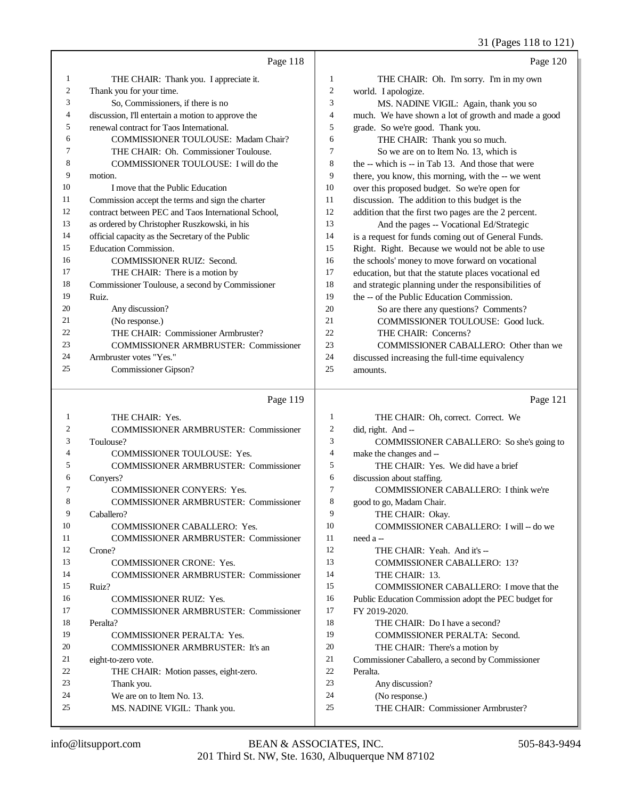31 (Pages 118 to 121)

|          |                                                           |                   | 31 (Fages 110 to 121)                                               |
|----------|-----------------------------------------------------------|-------------------|---------------------------------------------------------------------|
|          | Page 118                                                  |                   | Page 120                                                            |
| 1        | THE CHAIR: Thank you. I appreciate it.                    | 1                 | THE CHAIR: Oh. I'm sorry. I'm in my own                             |
| 2        | Thank you for your time.                                  | $\overline{c}$    | world. I apologize.                                                 |
| 3        | So, Commissioners, if there is no                         | 3                 | MS. NADINE VIGIL: Again, thank you so                               |
| 4        | discussion, I'll entertain a motion to approve the        | $\overline{4}$    | much. We have shown a lot of growth and made a good                 |
| 5        | renewal contract for Taos International.                  | 5                 | grade. So we're good. Thank you.                                    |
| 6        | COMMISSIONER TOULOUSE: Madam Chair?                       | 6                 | THE CHAIR: Thank you so much.                                       |
| 7        | THE CHAIR: Oh. Commissioner Toulouse.                     | 7                 | So we are on to Item No. 13, which is                               |
| 8        | COMMISSIONER TOULOUSE: I will do the                      | 8                 | the -- which is -- in Tab 13. And those that were                   |
| 9        | motion.                                                   | 9                 | there, you know, this morning, with the -- we went                  |
| 10       | I move that the Public Education                          | 10                | over this proposed budget. So we're open for                        |
| 11       | Commission accept the terms and sign the charter          | 11                | discussion. The addition to this budget is the                      |
| 12       | contract between PEC and Taos International School,       | 12                | addition that the first two pages are the 2 percent.                |
| 13       | as ordered by Christopher Ruszkowski, in his              | 13                | And the pages -- Vocational Ed/Strategic                            |
| 14       | official capacity as the Secretary of the Public          | 14                | is a request for funds coming out of General Funds.                 |
| 15       | Education Commission.                                     | 15                | Right. Right. Because we would not be able to use                   |
| 16       | <b>COMMISSIONER RUIZ: Second.</b>                         | 16                | the schools' money to move forward on vocational                    |
| 17       | THE CHAIR: There is a motion by                           | 17                | education, but that the statute places vocational ed                |
| 18       | Commissioner Toulouse, a second by Commissioner           | 18                | and strategic planning under the responsibilities of                |
| 19       | Ruiz.                                                     | 19                | the -- of the Public Education Commission.                          |
| 20       | Any discussion?                                           | 20                | So are there any questions? Comments?                               |
| 21       | (No response.)                                            | 21                | COMMISSIONER TOULOUSE: Good luck.                                   |
| 22       | THE CHAIR: Commissioner Armbruster?                       | 22                | THE CHAIR: Concerns?                                                |
| 23       | <b>COMMISSIONER ARMBRUSTER: Commissioner</b>              | 23                | COMMISSIONER CABALLERO: Other than we                               |
| 24       | Armbruster votes "Yes."                                   | 24                | discussed increasing the full-time equivalency                      |
| 25       | Commissioner Gipson?                                      | 25                | amounts.                                                            |
|          |                                                           |                   |                                                                     |
|          | Page 119                                                  |                   | Page 121                                                            |
|          |                                                           |                   |                                                                     |
| 1<br>2   | THE CHAIR: Yes.                                           | 1                 | THE CHAIR: Oh, correct. Correct. We                                 |
| 3        | <b>COMMISSIONER ARMBRUSTER: Commissioner</b>              | $\mathbf{2}$<br>3 | did, right. And --                                                  |
| 4        | Toulouse?                                                 | $\overline{4}$    | COMMISSIONER CABALLERO: So she's going to                           |
| 5        | <b>COMMISSIONER TOULOUSE: Yes.</b>                        | 5                 | make the changes and --                                             |
| 6        | <b>COMMISSIONER ARMBRUSTER: Commissioner</b>              | 6                 | THE CHAIR: Yes. We did have a brief                                 |
| 7        | Conyers?<br><b>COMMISSIONER CONYERS: Yes.</b>             | $\overline{7}$    | discussion about staffing.<br>COMMISSIONER CABALLERO: I think we're |
| $\,8\,$  | <b>COMMISSIONER ARMBRUSTER: Commissioner</b>              | $\,8\,$           | good to go, Madam Chair.                                            |
| 9        | Caballero?                                                | 9                 | THE CHAIR: Okay.                                                    |
| 10       | COMMISSIONER CABALLERO: Yes.                              | 10                | COMMISSIONER CABALLERO: I will -- do we                             |
| 11       | <b>COMMISSIONER ARMBRUSTER: Commissioner</b>              | 11                | need a --                                                           |
| 12       | Crone?                                                    | 12                | THE CHAIR: Yeah. And it's --                                        |
| 13       | COMMISSIONER CRONE: Yes.                                  | 13                | <b>COMMISSIONER CABALLERO: 13?</b>                                  |
| 14       | <b>COMMISSIONER ARMBRUSTER: Commissioner</b>              | 14                | THE CHAIR: 13.                                                      |
| 15       | Ruiz?                                                     | 15                | COMMISSIONER CABALLERO: I move that the                             |
| 16       | COMMISSIONER RUIZ: Yes.                                   | 16                | Public Education Commission adopt the PEC budget for                |
| 17       | <b>COMMISSIONER ARMBRUSTER: Commissioner</b>              | 17                | FY 2019-2020.                                                       |
| 18       | Peralta?                                                  | 18                | THE CHAIR: Do I have a second?                                      |
| 19       | COMMISSIONER PERALTA: Yes.                                | 19                | COMMISSIONER PERALTA: Second.                                       |
| 20       | COMMISSIONER ARMBRUSTER: It's an                          | 20                | THE CHAIR: There's a motion by                                      |
| 21       | eight-to-zero vote.                                       | 21                | Commissioner Caballero, a second by Commissioner                    |
| 22       | THE CHAIR: Motion passes, eight-zero.                     | $22\,$            | Peralta.                                                            |
| 23       | Thank you.                                                | 23                | Any discussion?                                                     |
| 24<br>25 | We are on to Item No. 13.<br>MS. NADINE VIGIL: Thank you. | 24<br>$25\,$      | (No response.)<br>THE CHAIR: Commissioner Armbruster?               |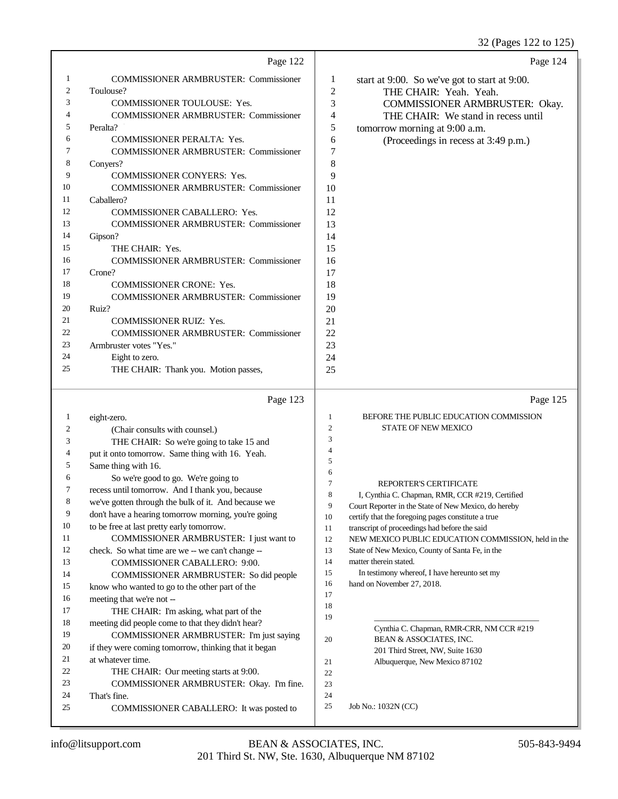|    | Page 122                                     |                | Page 124                                      |
|----|----------------------------------------------|----------------|-----------------------------------------------|
| 1  | <b>COMMISSIONER ARMBRUSTER: Commissioner</b> | 1              | start at 9:00. So we've got to start at 9:00. |
| 2  | Toulouse?                                    | $\overline{2}$ | THE CHAIR: Yeah. Yeah.                        |
| 3  | <b>COMMISSIONER TOULOUSE: Yes.</b>           | 3              | COMMISSIONER ARMBRUSTER: Okay.                |
| 4  | <b>COMMISSIONER ARMBRUSTER: Commissioner</b> | 4              | THE CHAIR: We stand in recess until           |
| 5  | Peralta?                                     | 5              | tomorrow morning at 9:00 a.m.                 |
| 6  | <b>COMMISSIONER PERALTA: Yes.</b>            | 6              | (Proceedings in recess at 3:49 p.m.)          |
| 7  | <b>COMMISSIONER ARMBRUSTER: Commissioner</b> | 7              |                                               |
| 8  | Convers?                                     | 8              |                                               |
| 9  | <b>COMMISSIONER CONYERS: Yes.</b>            | 9              |                                               |
| 10 | <b>COMMISSIONER ARMBRUSTER: Commissioner</b> | 10             |                                               |
| 11 | Caballero?                                   | 11             |                                               |
| 12 | <b>COMMISSIONER CABALLERO: Yes.</b>          | 12             |                                               |
| 13 | <b>COMMISSIONER ARMBRUSTER: Commissioner</b> | 13             |                                               |
| 14 | Gipson?                                      | 14             |                                               |
| 15 | THE CHAIR: Yes.                              | 15             |                                               |
| 16 | <b>COMMISSIONER ARMBRUSTER: Commissioner</b> | 16             |                                               |
| 17 | Crone?                                       | 17             |                                               |
| 18 | <b>COMMISSIONER CRONE: Yes.</b>              | 18             |                                               |
| 19 | <b>COMMISSIONER ARMBRUSTER: Commissioner</b> | 19             |                                               |
| 20 | Ruiz?                                        | 20             |                                               |
| 21 | <b>COMMISSIONER RUIZ: Yes.</b>               | 21             |                                               |
| 22 | <b>COMMISSIONER ARMBRUSTER: Commissioner</b> | 22             |                                               |
| 23 | Armbruster votes "Yes."                      | 23             |                                               |
| 24 | Eight to zero.                               | 24             |                                               |
| 25 | THE CHAIR: Thank you. Motion passes,         | 25             |                                               |

|                | Page 123                                             |                | Page 125                                                                                                   |
|----------------|------------------------------------------------------|----------------|------------------------------------------------------------------------------------------------------------|
| 1              | eight-zero.                                          | 1              | BEFORE THE PUBLIC EDUCATION COMMISSION                                                                     |
| $\overline{c}$ | (Chair consults with counsel.)                       | $\overline{c}$ | <b>STATE OF NEW MEXICO</b>                                                                                 |
| 3              | THE CHAIR: So we're going to take 15 and             | 3              |                                                                                                            |
| $\overline{4}$ | put it onto tomorrow. Same thing with 16. Yeah.      | 4              |                                                                                                            |
| 5              | Same thing with 16.                                  | 5              |                                                                                                            |
| 6              | So we're good to go. We're going to                  | 6              |                                                                                                            |
| 7              | recess until tomorrow. And I thank you, because      | $\overline{7}$ | <b>REPORTER'S CERTIFICATE</b>                                                                              |
| 8              | we've gotten through the bulk of it. And because we  | 8              | I, Cynthia C. Chapman, RMR, CCR #219, Certified                                                            |
| 9              | don't have a hearing tomorrow morning, you're going  | 9<br>10        | Court Reporter in the State of New Mexico, do hereby<br>certify that the foregoing pages constitute a true |
| 10             | to be free at last pretty early tomorrow.            | 11             | transcript of proceedings had before the said                                                              |
| 11             | COMMISSIONER ARMBRUSTER: I just want to              | 12             | NEW MEXICO PUBLIC EDUCATION COMMISSION, held in the                                                        |
| 12             | check. So what time are we -- we can't change --     | 13             | State of New Mexico, County of Santa Fe, in the                                                            |
| 13             | <b>COMMISSIONER CABALLERO: 9:00.</b>                 | 14             | matter therein stated.                                                                                     |
| 14             | COMMISSIONER ARMBRUSTER: So did people               | 15             | In testimony whereof, I have hereunto set my                                                               |
| 15             | know who wanted to go to the other part of the       | 16             | hand on November 27, 2018.                                                                                 |
| 16             | meeting that we're not --                            | 17             |                                                                                                            |
| 17             | THE CHAIR: I'm asking, what part of the              | 18             |                                                                                                            |
| 18             | meeting did people come to that they didn't hear?    | 19             |                                                                                                            |
| 19             | COMMISSIONER ARMBRUSTER: I'm just saying             | 20             | Cynthia C. Chapman, RMR-CRR, NM CCR #219<br>BEAN & ASSOCIATES, INC.                                        |
| 20             | if they were coming tomorrow, thinking that it began |                | 201 Third Street, NW, Suite 1630                                                                           |
| 21             | at whatever time.                                    | 21             | Albuquerque, New Mexico 87102                                                                              |
| 22             | THE CHAIR: Our meeting starts at 9:00.               | 22             |                                                                                                            |
| 23             | COMMISSIONER ARMBRUSTER: Okay. I'm fine.             | 23             |                                                                                                            |
| 24             | That's fine.                                         | 24             |                                                                                                            |
| 25             | COMMISSIONER CABALLERO: It was posted to             | 25             | Job No.: 1032N (CC)                                                                                        |
|                |                                                      |                |                                                                                                            |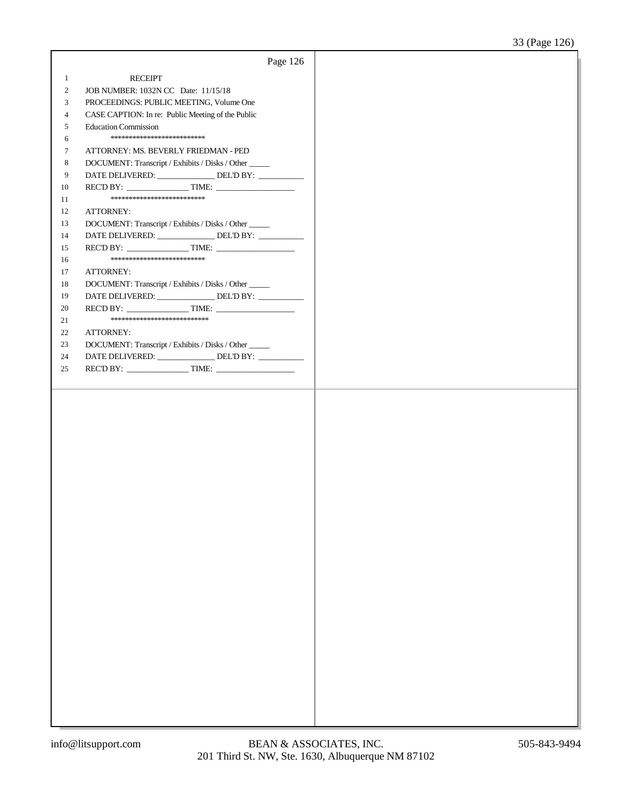|                |                                                        | Page 126 |  |
|----------------|--------------------------------------------------------|----------|--|
| $\mathbf{1}$   | <b>RECEIPT</b>                                         |          |  |
| $\overline{2}$ | JOB NUMBER: 1032N CC Date: 11/15/18                    |          |  |
| 3              | PROCEEDINGS: PUBLIC MEETING, Volume One                |          |  |
| $\overline{4}$ | CASE CAPTION: In re: Public Meeting of the Public      |          |  |
| 5              | <b>Education Commission</b>                            |          |  |
| 6              | **************************                             |          |  |
| $\tau$         | ATTORNEY: MS. BEVERLY FRIEDMAN - PED                   |          |  |
| $\,8\,$        | DOCUMENT: Transcript / Exhibits / Disks / Other        |          |  |
| 9              | DATE DELIVERED: _______________ DEL'D BY: ___________  |          |  |
| 10             |                                                        |          |  |
| 11             | **************************                             |          |  |
| 12             | ATTORNEY:                                              |          |  |
| 13             | DOCUMENT: Transcript / Exhibits / Disks / Other _____  |          |  |
| 14             | DATE DELIVERED: _______________ DEL'D BY: __________   |          |  |
| 15             |                                                        |          |  |
| 16             | **************************                             |          |  |
| 17             | ATTORNEY:                                              |          |  |
| 18             | DOCUMENT: Transcript / Exhibits / Disks / Other        |          |  |
| 19             | DATE DELIVERED: ________________ DEL'D BY: ___________ |          |  |
| 20             | REC'D BY: TIME:                                        |          |  |
| 21             | ***************************                            |          |  |
| 22             | ATTORNEY:                                              |          |  |
| 23             | DOCUMENT: Transcript / Exhibits / Disks / Other _____  |          |  |
| 24             | DATE DELIVERED: _______________DEL'D BY: ____________  |          |  |
| 25             |                                                        |          |  |
|                |                                                        |          |  |
|                |                                                        |          |  |
|                |                                                        |          |  |
|                |                                                        |          |  |
|                |                                                        |          |  |
|                |                                                        |          |  |
|                |                                                        |          |  |
|                |                                                        |          |  |
|                |                                                        |          |  |
|                |                                                        |          |  |
|                |                                                        |          |  |
|                |                                                        |          |  |
|                |                                                        |          |  |
|                |                                                        |          |  |
|                |                                                        |          |  |
|                |                                                        |          |  |
|                |                                                        |          |  |
|                |                                                        |          |  |
|                |                                                        |          |  |
|                |                                                        |          |  |
|                |                                                        |          |  |
|                |                                                        |          |  |
|                |                                                        |          |  |
|                |                                                        |          |  |
|                |                                                        |          |  |
|                |                                                        |          |  |
|                |                                                        |          |  |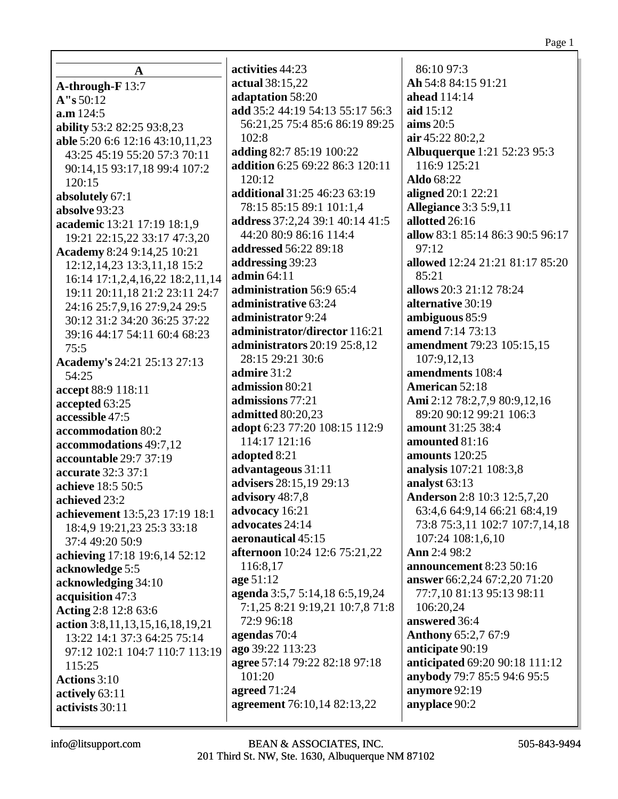**A A-through-F** 13:7 **A"s** 50:12 **a.m** 124:5 **ability** 53:2 82:25 93:8,23 **able** 5:20 6:6 12:16 43:10,11,23 43:25 45:19 55:20 57:3 70:11 90:14,15 93:17,18 99:4 107:2 120:15 **absolutely** 67:1 **absolve** 93:23 **academic** 13:21 17:19 18:1,9 19:21 22:15,22 33:17 47:3,20 **Academy** 8:24 9:14,25 10:21 12:12,14,23 13:3,11,18 15:2 16:14 17:1,2,4,16,22 18:2,11,14 19:11 20:11,18 21:2 23:11 24:7 24:16 25:7,9,16 27:9,24 29:5 30:12 31:2 34:20 36:25 37:22 39:16 44:17 54:11 60:4 68:23 75:5 **Academy's** 24:21 25:13 27:13 54:25 **accept** 88:9 118:11 **accepted** 63:25 **accessible** 47:5 **accommodation** 80:2 **accommodations** 49:7,12 **accountable** 29:7 37:19 **accurate** 32:3 37:1 **achieve** 18:5 50:5 **achieved** 23:2 **achievement** 13:5,23 17:19 18:1 18:4,9 19:21,23 25:3 33:18 37:4 49:20 50:9 **achieving** 17:18 19:6,14 52:12 **acknowledge** 5:5 **acknowledging** 34:10 **acquisition** 47:3 **Acting** 2:8 12:8 63:6 **action** 3:8,11,13,15,16,18,19,21 13:22 14:1 37:3 64:25 75:14 97:12 102:1 104:7 110:7 113:19 115:25 **Actions** 3:10 **actively** 63:11 **activists** 30:11

**activities** 44:23 **actual** 38:15,22 **adaptation** 58:20 **add** 35:2 44:19 54:13 55:17 56:3 56:21,25 75:4 85:6 86:19 89:25 102:8 **adding** 82:7 85:19 100:22 **addition** 6:25 69:22 86:3 120:11 120:12 **additional** 31:25 46:23 63:19 78:15 85:15 89:1 101:1,4 **address** 37:2,24 39:1 40:14 41:5 44:20 80:9 86:16 114:4 **addressed** 56:22 89:18 **addressing** 39:23 **admin** 64:11 **administration** 56:9 65:4 **administrative** 63:24 **administrator** 9:24 **administrator/director** 116:21 **administrators** 20:19 25:8,12 28:15 29:21 30:6 **admire** 31:2 **admission** 80:21 **admissions** 77:21 **admitted** 80:20,23 **adopt** 6:23 77:20 108:15 112:9 114:17 121:16 **adopted** 8:21 **advantageous** 31:11 **advisers** 28:15,19 29:13 **advisory** 48:7,8 **advocacy** 16:21 **advocates** 24:14 **aeronautical** 45:15 **afternoon** 10:24 12:6 75:21,22 116:8,17 **age** 51:12 **agenda** 3:5,7 5:14,18 6:5,19,24 7:1,25 8:21 9:19,21 10:7,8 71:8 72:9 96:18 **agendas** 70:4 **ago** 39:22 113:23 **agree** 57:14 79:22 82:18 97:18 101:20 **agreed** 71:24 **agreement** 76:10,14 82:13,22

86:10 97:3 **Ah** 54:8 84:15 91:21 **ahead** 114:14 **aid** 15:12 **aims** 20:5 **air** 45:22 80:2,2 **Albuquerque** 1:21 52:23 95:3 116:9 125:21 **Aldo** 68:22 **aligned** 20:1 22:21 **Allegiance** 3:3 5:9,11 **allotted** 26:16 **allow** 83:1 85:14 86:3 90:5 96:17 97:12 **allowed** 12:24 21:21 81:17 85:20 85:21 **allows** 20:3 21:12 78:24 **alternative** 30:19 **ambiguous** 85:9 **amend** 7:14 73:13 **amendment** 79:23 105:15,15 107:9,12,13 **amendments** 108:4 **American** 52:18 **Ami** 2:12 78:2,7,9 80:9,12,16 89:20 90:12 99:21 106:3 **amount** 31:25 38:4 **amounted** 81:16 **amounts** 120:25 **analysis** 107:21 108:3,8 **analyst** 63:13 **Anderson** 2:8 10:3 12:5,7,20 63:4,6 64:9,14 66:21 68:4,19 73:8 75:3,11 102:7 107:7,14,18 107:24 108:1,6,10 **Ann** 2:4 98:2 **announcement** 8:23 50:16 **answer** 66:2,24 67:2,20 71:20 77:7,10 81:13 95:13 98:11 106:20,24 **answered** 36:4 **Anthony** 65:2,7 67:9 **anticipate** 90:19 **anticipated** 69:20 90:18 111:12 **anybody** 79:7 85:5 94:6 95:5 **anymore** 92:19 **anyplace** 90:2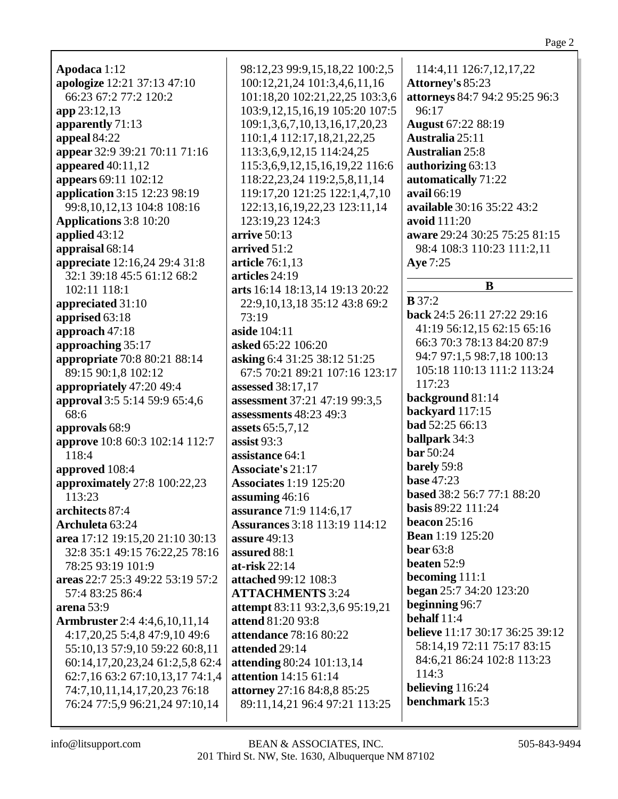| Apodaca 1:12                         | 98:12,23 99:9,15,18,22 100:2,5       | 114:4,11 126:7,12,17,22                |
|--------------------------------------|--------------------------------------|----------------------------------------|
| apologize 12:21 37:13 47:10          | 100:12,21,24 101:3,4,6,11,16         | <b>Attorney's 85:23</b>                |
| 66:23 67:2 77:2 120:2                |                                      |                                        |
|                                      | 101:18,20 102:21,22,25 103:3,6       | attorneys 84:7 94:2 95:25 96:3         |
| app 23:12,13                         | 103:9, 12, 15, 16, 19 105: 20 107: 5 | 96:17                                  |
| apparently 71:13                     | 109:1,3,6,7,10,13,16,17,20,23        | <b>August 67:22 88:19</b>              |
| appeal 84:22                         | 110:1,4 112:17,18,21,22,25           | Australia 25:11                        |
| appear 32:9 39:21 70:11 71:16        | 113:3,6,9,12,15 114:24,25            | <b>Australian 25:8</b>                 |
| appeared 40:11,12                    | 115:3,6,9,12,15,16,19,22 116:6       | authorizing 63:13                      |
| appears 69:11 102:12                 | 118:22,23,24 119:2,5,8,11,14         | automatically 71:22                    |
| application 3:15 12:23 98:19         | 119:17,20 121:25 122:1,4,7,10        | avail 66:19                            |
| 99:8, 10, 12, 13 104:8 108:16        | 122:13,16,19,22,23 123:11,14         | <b>available</b> 30:16 35:22 43:2      |
|                                      |                                      |                                        |
| <b>Applications</b> 3:8 10:20        | 123:19,23 124:3                      | avoid 111:20                           |
| applied 43:12                        | arrive 50:13                         | aware 29:24 30:25 75:25 81:15          |
| appraisal 68:14                      | arrived 51:2                         | 98:4 108:3 110:23 111:2,11             |
| appreciate 12:16,24 29:4 31:8        | article 76:1,13                      | Aye 7:25                               |
| 32:1 39:18 45:5 61:12 68:2           | articles 24:19                       |                                        |
| 102:11 118:1                         | arts 16:14 18:13,14 19:13 20:22      | B                                      |
| appreciated 31:10                    | 22:9,10,13,18 35:12 43:8 69:2        | $\mathbf{B} 37:2$                      |
| apprised 63:18                       | 73:19                                | back 24:5 26:11 27:22 29:16            |
| approach 47:18                       | aside 104:11                         | 41:19 56:12,15 62:15 65:16             |
|                                      |                                      | 66:3 70:3 78:13 84:20 87:9             |
| approaching 35:17                    | asked 65:22 106:20                   | 94:7 97:1,5 98:7,18 100:13             |
| appropriate 70:8 80:21 88:14         | asking 6:4 31:25 38:12 51:25         | 105:18 110:13 111:2 113:24             |
| 89:15 90:1,8 102:12                  | 67:5 70:21 89:21 107:16 123:17       |                                        |
| appropriately 47:20 49:4             | assessed 38:17,17                    | 117:23                                 |
| approval 3:5 5:14 59:9 65:4,6        | assessment 37:21 47:19 99:3,5        | background 81:14                       |
| 68:6                                 | assessments 48:23 49:3               | backyard 117:15                        |
| approvals 68:9                       | <b>assets</b> 65:5,7,12              | bad 52:25 66:13                        |
| approve 10:8 60:3 102:14 112:7       | assist 93:3                          | ballpark 34:3                          |
| 118:4                                | assistance 64:1                      | <b>bar</b> 50:24                       |
| approved 108:4                       | Associate's 21:17                    | barely 59:8                            |
|                                      |                                      | <b>base</b> 47:23                      |
| approximately 27:8 100:22,23         | <b>Associates</b> 1:19 125:20        | based 38:2 56:7 77:1 88:20             |
| 113:23                               | assuming 46:16                       | basis 89:22 111:24                     |
| architects 87:4                      | assurance 71:9 114:6,17              |                                        |
| Archuleta 63:24                      | <b>Assurances</b> 3:18 113:19 114:12 | beacon 25:16                           |
| area 17:12 19:15,20 21:10 30:13      | <b>assure</b> 49:13                  | <b>Bean</b> 1:19 125:20                |
| 32:8 35:1 49:15 76:22,25 78:16       | assured 88:1                         | bear $63:8$                            |
| 78:25 93:19 101:9                    | $at-risk 22:14$                      | beaten $52:9$                          |
| areas 22:7 25:3 49:22 53:19 57:2     | attached 99:12 108:3                 | becoming 111:1                         |
| 57:4 83:25 86:4                      |                                      |                                        |
| arena 53:9                           | <b>ATTACHMENTS 3:24</b>              | began 25:7 34:20 123:20                |
|                                      |                                      | beginning 96:7                         |
|                                      | attempt 83:11 93:2,3,6 95:19,21      | behalf 11:4                            |
| <b>Armbruster</b> 2:4 4:4,6,10,11,14 | attend 81:20 93:8                    |                                        |
| 4:17,20,25 5:4,8 47:9,10 49:6        | attendance 78:16 80:22               | <b>believe</b> 11:17 30:17 36:25 39:12 |
| 55:10,13 57:9,10 59:22 60:8,11       | attended 29:14                       | 58:14, 19 72:11 75:17 83:15            |
| 60:14,17,20,23,24 61:2,5,8 62:4      | attending 80:24 101:13,14            | 84:6,21 86:24 102:8 113:23             |
| 62:7,16 63:2 67:10,13,17 74:1,4      | attention 14:15 61:14                | 114:3                                  |
| 74:7,10,11,14,17,20,23 76:18         | attorney 27:16 84:8,8 85:25          | believing 116:24                       |
| 76:24 77:5,9 96:21,24 97:10,14       | 89:11,14,21 96:4 97:21 113:25        | benchmark 15:3                         |

Page 2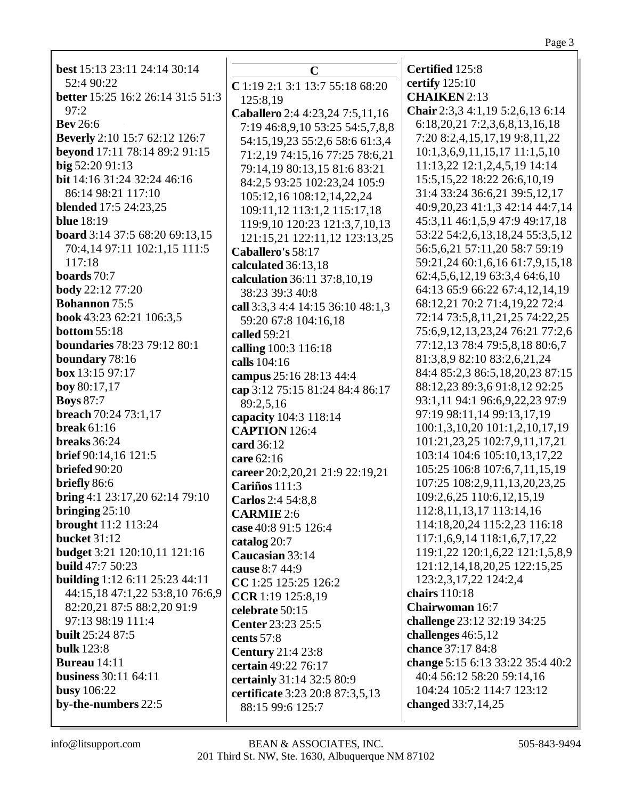Page 3

**best** 15:13 23:11 24:14 30:14 52:4 90:22 **better** 15:25 16:2 26:14 31:5 51:3  $97:2$ **Bev** 26:6 **Beverly** 2:10 15:7 62:12 126:7 **beyond** 17:11 78:14 89:2 91:15 **big** 52:20 91:13 **bit** 14:16 31:24 32:24 46:16 86:14 98:21 117:10 **blended** 17:5 24:23,25 **blue** 18:19 **board** 3:14 37:5 68:20 69:13,15 70:4,14 97:11 102:1,15 111:5 117:18 **boards** 70:7 **body** 22:12 77:20 **Bohannon** 75:5 **book** 43:23 62:21 106:3,5 **bottom** 55:18 **boundaries** 78:23 79:12 80:1 **boundary** 78:16 **box** 13:15 97:17 **boy** 80:17,17 **Boys** 87:7 **breach** 70:24 73:1,17 **break** 61:16 **breaks** 36:24 **brief** 90:14,16 121:5 **briefed** 90:20 **briefly** 86:6 **bring** 4:1 23:17,20 62:14 79:10 **bringing** 25:10 **brought** 11:2 113:24 **bucket** 31:12 **budget** 3:21 120:10,11 121:16 **build** 47:7 50:23 **building** 1:12 6:11 25:23 44:11 44:15,18 47:1,22 53:8,10 76:6,9 82:20,21 87:5 88:2,20 91:9 97:13 98:19 111:4 **built** 25:24 87:5 **bulk** 123:8 **Bureau** 14:11 **business** 30:11 64:11 **busy** 106:22 **by-the-numbers** 22:5

**C C** 1:19 2:1 3:1 13:7 55:18 68:20 125:8,19 **Caballero** 2:4 4:23,24 7:5,11,16 7:19 46:8,9,10 53:25 54:5,7,8,8 54:15,19,23 55:2,6 58:6 61:3,4 71:2,19 74:15,16 77:25 78:6,21 79:14,19 80:13,15 81:6 83:21 84:2,5 93:25 102:23,24 105:9 105:12,16 108:12,14,22,24 109:11,12 113:1,2 115:17,18 119:9,10 120:23 121:3,7,10,13 121:15,21 122:11,12 123:13,25 **Caballero's** 58:17 **calculated** 36:13,18 **calculation** 36:11 37:8,10,19 38:23 39:3 40:8 **call** 3:3,3 4:4 14:15 36:10 48:1,3 59:20 67:8 104:16,18 **called** 59:21 **calling** 100:3 116:18 **calls** 104:16 **campus** 25:16 28:13 44:4 **cap** 3:12 75:15 81:24 84:4 86:17 89:2,5,16 **capacity** 104:3 118:14 **CAPTION** 126:4 **card** 36:12 **care** 62:16 **career** 20:2,20,21 21:9 22:19,21 **Cariños** 111:3 **Carlos** 2:4 54:8,8 **CARMIE** 2:6 **case** 40:8 91:5 126:4 **catalog** 20:7 **Caucasian** 33:14 **cause** 8:7 44:9 **CC** 1:25 125:25 126:2 **CCR** 1:19 125:8,19 **celebrate** 50:15 **Center** 23:23 25:5 **cents** 57:8 **Century** 21:4 23:8 **certain** 49:22 76:17 **certainly** 31:14 32:5 80:9 **certificate** 3:23 20:8 87:3,5,13 88:15 99:6 125:7

**Certified** 125:8 **certify** 125:10 **CHAIKEN** 2:13 **Chair** 2:3,3 4:1,19 5:2,6,13 6:14 6:18,20,21 7:2,3,6,8,13,16,18 7:20 8:2,4,15,17,19 9:8,11,22 10:1,3,6,9,11,15,17 11:1,5,10 11:13,22 12:1,2,4,5,19 14:14 15:5,15,22 18:22 26:6,10,19 31:4 33:24 36:6,21 39:5,12,17 40:9,20,23 41:1,3 42:14 44:7,14 45:3,11 46:1,5,9 47:9 49:17,18 53:22 54:2,6,13,18,24 55:3,5,12 56:5,6,21 57:11,20 58:7 59:19 59:21,24 60:1,6,16 61:7,9,15,18 62:4,5,6,12,19 63:3,4 64:6,10 64:13 65:9 66:22 67:4,12,14,19 68:12,21 70:2 71:4,19,22 72:4 72:14 73:5,8,11,21,25 74:22,25 75:6,9,12,13,23,24 76:21 77:2,6 77:12,13 78:4 79:5,8,18 80:6,7 81:3,8,9 82:10 83:2,6,21,24 84:4 85:2,3 86:5,18,20,23 87:15 88:12,23 89:3,6 91:8,12 92:25 93:1,11 94:1 96:6,9,22,23 97:9 97:19 98:11,14 99:13,17,19 100:1,3,10,20 101:1,2,10,17,19 101:21,23,25 102:7,9,11,17,21 103:14 104:6 105:10,13,17,22 105:25 106:8 107:6,7,11,15,19 107:25 108:2,9,11,13,20,23,25 109:2,6,25 110:6,12,15,19 112:8,11,13,17 113:14,16 114:18,20,24 115:2,23 116:18 117:1,6,9,14 118:1,6,7,17,22 119:1,22 120:1,6,22 121:1,5,8,9 121:12,14,18,20,25 122:15,25 123:2,3,17,22 124:2,4 **chairs** 110:18 **Chairwoman** 16:7 **challenge** 23:12 32:19 34:25 **challenges** 46:5,12 **chance** 37:17 84:8 **change** 5:15 6:13 33:22 35:4 40:2 40:4 56:12 58:20 59:14,16 104:24 105:2 114:7 123:12 **changed** 33:7,14,25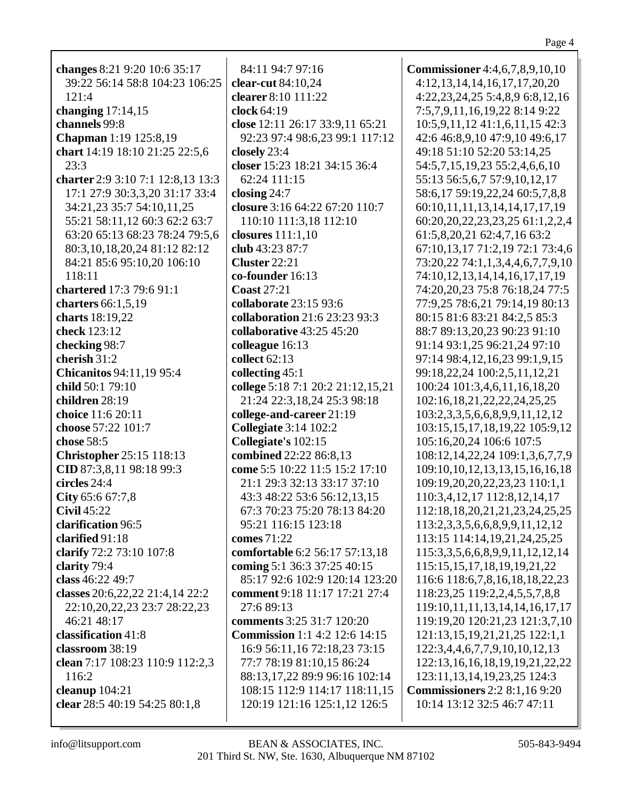| changes 8:21 9:20 10:6 35:17      | 84:11 94:7 97:16                     | <b>Commissioner</b> 4:4,6,7,8,9,10,10   |
|-----------------------------------|--------------------------------------|-----------------------------------------|
| 39:22 56:14 58:8 104:23 106:25    | clear-cut 84:10,24                   | 4:12,13,14,14,16,17,17,20,20            |
| 121:4                             | clearer 8:10 111:22                  | 4:22,23,24,25 5:4,8,9 6:8,12,16         |
| changing $17:14,15$               | clock 64:19                          | 7:5,7,9,11,16,19,22 8:14 9:22           |
| channels 99:8                     | close 12:11 26:17 33:9,11 65:21      | 10:5,9,11,12 41:1,6,11,15 42:3          |
| <b>Chapman</b> 1:19 125:8,19      | 92:23 97:4 98:6,23 99:1 117:12       | 42:6 46:8,9,10 47:9,10 49:6,17          |
| chart 14:19 18:10 21:25 22:5,6    | closely 23:4                         | 49:18 51:10 52:20 53:14,25              |
| 23:3                              | closer 15:23 18:21 34:15 36:4        | 54:5,7,15,19,23 55:2,4,6,6,10           |
| charter 2:9 3:10 7:1 12:8,13 13:3 | 62:24 111:15                         | 55:13 56:5,6,7 57:9,10,12,17            |
| 17:1 27:9 30:3,3,20 31:17 33:4    | closing $24:7$                       | 58:6,17 59:19,22,24 60:5,7,8,8          |
| 34:21,23 35:7 54:10,11,25         | closure 3:16 64:22 67:20 110:7       | 60:10,11,11,13,14,14,17,17,19           |
| 55:21 58:11,12 60:3 62:2 63:7     | 110:10 111:3,18 112:10               | 60:20, 20, 22, 23, 23, 25 61:1, 2, 2, 4 |
| 63:20 65:13 68:23 78:24 79:5,6    | closures $111:1,10$                  | 61:5,8,20,21 62:4,7,16 63:2             |
| 80:3,10,18,20,24 81:12 82:12      | club 43:23 87:7                      | 67:10,13,17 71:2,19 72:1 73:4,6         |
| 84:21 85:6 95:10,20 106:10        | Cluster 22:21                        | 73:20,22 74:1,1,3,4,4,6,7,7,9,10        |
| 118:11                            | co-founder 16:13                     | 74:10,12,13,14,14,16,17,17,19           |
| chartered 17:3 79:6 91:1          | <b>Coast 27:21</b>                   | 74:20,20,23 75:8 76:18,24 77:5          |
| charters 66:1,5,19                | collaborate 23:15 93:6               | 77:9,25 78:6,21 79:14,19 80:13          |
| charts 18:19,22                   | collaboration 21:6 23:23 93:3        | 80:15 81:6 83:21 84:2,5 85:3            |
| check 123:12                      | collaborative 43:25 45:20            | 88:7 89:13,20,23 90:23 91:10            |
| checking 98:7                     | colleague 16:13                      | 91:14 93:1,25 96:21,24 97:10            |
| cherish 31:2                      | collect 62:13                        | 97:14 98:4,12,16,23 99:1,9,15           |
| <b>Chicanitos 94:11,19 95:4</b>   | collecting 45:1                      | 99:18,22,24 100:2,5,11,12,21            |
| child 50:1 79:10                  | college 5:18 7:1 20:2 21:12,15,21    | 100:24 101:3,4,6,11,16,18,20            |
| children 28:19                    | 21:24 22:3,18,24 25:3 98:18          | 102:16,18,21,22,22,24,25,25             |
| choice 11:6 20:11                 | college-and-career 21:19             | 103:2,3,3,5,6,6,8,9,9,11,12,12          |
| choose 57:22 101:7                | <b>Collegiate 3:14 102:2</b>         | 103:15,15,17,18,19,22 105:9,12          |
| chose 58:5                        | Collegiate's 102:15                  | 105:16,20,24 106:6 107:5                |
| <b>Christopher 25:15 118:13</b>   | combined 22:22 86:8,13               | 108:12, 14, 22, 24 109:1, 3, 6, 7, 7, 9 |
| CID 87:3,8,11 98:18 99:3          | come 5:5 10:22 11:5 15:2 17:10       | 109:10, 10, 12, 13, 13, 15, 16, 16, 18  |
| circles 24:4                      | 21:1 29:3 32:13 33:17 37:10          | 109:19,20,20,22,23,23 110:1,1           |
| City 65:6 67:7,8                  | 43:3 48:22 53:6 56:12,13,15          | 110:3,4,12,17 112:8,12,14,17            |
| <b>Civil 45:22</b>                | 67:3 70:23 75:20 78:13 84:20         | 112:18,18,20,21,21,23,24,25,25          |
| clarification 96:5                | 95:21 116:15 123:18                  | 113:2,3,3,5,6,6,8,9,9,11,12,12          |
| clarified 91:18                   | comes 71:22                          | 113:15 114:14,19,21,24,25,25            |
| clarify 72:2 73:10 107:8          | comfortable 6:2 56:17 57:13,18       | 115:3,3,5,6,6,8,9,9,11,12,12,14         |
| clarity 79:4                      | coming 5:1 36:3 37:25 40:15          | 115:15, 15, 17, 18, 19, 19, 21, 22      |
| class 46:22 49:7                  | 85:17 92:6 102:9 120:14 123:20       | 116:6 118:6,7,8,16,18,18,22,23          |
| classes 20:6,22,22 21:4,14 22:2   | comment 9:18 11:17 17:21 27:4        | 118:23,25 119:2,2,4,5,5,7,8,8           |
| 22:10,20,22,23 23:7 28:22,23      | 27:6 89:13                           | 119:10, 11, 11, 13, 14, 14, 16, 17, 17  |
| 46:21 48:17                       | <b>comments</b> 3:25 31:7 120:20     | 119:19,20 120:21,23 121:3,7,10          |
| classification 41:8               | <b>Commission</b> 1:1 4:2 12:6 14:15 | 121:13,15,19,21,21,25 122:1,1           |
| classroom 38:19                   | 16:9 56:11,16 72:18,23 73:15         | 122:3,4,4,6,7,7,9,10,10,12,13           |
| clean 7:17 108:23 110:9 112:2,3   | 77:7 78:19 81:10,15 86:24            | 122:13, 16, 16, 18, 19, 19, 21, 22, 22  |
| 116:2                             | 88:13,17,22 89:9 96:16 102:14        | 123:11, 13, 14, 19, 23, 25 124: 3       |
| cleanup $104:21$                  | 108:15 112:9 114:17 118:11,15        | <b>Commissioners</b> 2:2 8:1,16 9:20    |
| clear 28:5 40:19 54:25 80:1,8     | 120:19 121:16 125:1,12 126:5         | 10:14 13:12 32:5 46:7 47:11             |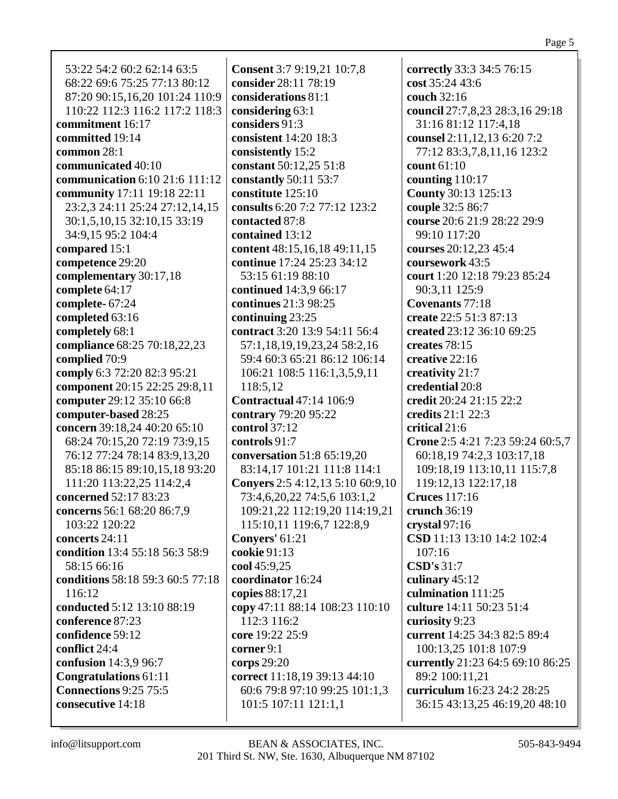53:22 54:2 60:2 62:14 63:5 68:22 69:6 75:25 77:13 80:12 87:20 90:15,16,20 101:24 110:9 110:22 112:3 116:2 117:2 118:3 **commitment** 16:17 **committed** 19:14 **common** 28:1 **communicated** 40:10 **communication** 6:10 21:6 111:12 **community** 17:11 19:18 22:11 23:2,3 24:11 25:24 27:12,14,15 30:1,5,10,15 32:10,15 33:19 34:9,15 95:2 104:4 **compared** 15:1 **competence** 29:20 **complementary** 30:17,18 **complete** 64:17 **complete-** 67:24 **completed** 63:16 **completely** 68:1 **compliance** 68:25 70:18,22,23 **complied** 70:9 **comply** 6:3 72:20 82:3 95:21 **component** 20:15 22:25 29:8,11 **computer** 29:12 35:10 66:8 **computer-based** 28:25 **concern** 39:18,24 40:20 65:10 68:24 70:15,20 72:19 73:9,15 76:12 77:24 78:14 83:9,13,20 85:18 86:15 89:10,15,18 93:20 111:20 113:22,25 114:2,4 **concerned** 52:17 83:23 **concerns** 56:1 68:20 86:7,9 103:22 120:22 **concerts** 24:11 **condition** 13:4 55:18 56:3 58:9 58:15 66:16 **conditions** 58:18 59:3 60:5 77:18 116:12 **conducted** 5:12 13:10 88:19 **conference** 87:23 **confidence** 59:12 **conflict** 24:4 **confusion** 14:3,9 96:7 **Congratulations** 61:11 **Connections** 9:25 75:5 **consecutive** 14:18

**Consent** 3:7 9:19,21 10:7,8 **consider** 28:11 78:19 **considerations** 81:1 **considering** 63:1 **considers** 91:3 **consistent** 14:20 18:3 **consistently** 15:2 **constant** 50:12,25 51:8 **constantly** 50:11 53:7 **constitute** 125:10 **consults** 6:20 7:2 77:12 123:2 **contacted** 87:8 **contained** 13:12 **content** 48:15,16,18 49:11,15 **continue** 17:24 25:23 34:12 53:15 61:19 88:10 **continued** 14:3,9 66:17 **continues** 21:3 98:25 **continuing** 23:25 **contract** 3:20 13:9 54:11 56:4 57:1,18,19,19,23,24 58:2,16 59:4 60:3 65:21 86:12 106:14 106:21 108:5 116:1,3,5,9,11 118:5,12 **Contractual** 47:14 106:9 **contrary** 79:20 95:22 **control** 37:12 **controls** 91:7 **conversation** 51:8 65:19,20 83:14,17 101:21 111:8 114:1 **Conyers** 2:5 4:12,13 5:10 60:9,10 73:4,6,20,22 74:5,6 103:1,2 109:21,22 112:19,20 114:19,21 115:10,11 119:6,7 122:8,9 **Conyers'** 61:21 **cookie** 91:13 **cool** 45:9,25 **coordinator** 16:24 **copies** 88:17,21 **copy** 47:11 88:14 108:23 110:10 112:3 116:2 **core** 19:22 25:9 **corner** 9:1 **corps** 29:20 **correct** 11:18,19 39:13 44:10 60:6 79:8 97:10 99:25 101:1,3 101:5 107:11 121:1,1

**correctly** 33:3 34:5 76:15 **cost** 35:24 43:6 **couch** 32:16 **council** 27:7,8,23 28:3,16 29:18 31:16 81:12 117:4,18 **counsel** 2:11,12,13 6:20 7:2 77:12 83:3,7,8,11,16 123:2 **count** 61:10 **counting** 110:17 **County** 30:13 125:13 **couple** 32:5 86:7 **course** 20:6 21:9 28:22 29:9 99:10 117:20 **courses** 20:12,23 45:4 **coursework** 43:5 **court** 1:20 12:18 79:23 85:24 90:3,11 125:9 **Covenants** 77:18 **create** 22:5 51:3 87:13 **created** 23:12 36:10 69:25 **creates** 78:15 **creative** 22:16 **creativity** 21:7 **credential** 20:8 **credit** 20:24 21:15 22:2 **credits** 21:1 22:3 **critical** 21:6 **Crone** 2:5 4:21 7:23 59:24 60:5,7 60:18,19 74:2,3 103:17,18 109:18,19 113:10,11 115:7,8 119:12,13 122:17,18 **Cruces** 117:16 **crunch** 36:19 **crystal** 97:16 **CSD** 11:13 13:10 14:2 102:4  $107.16$ **CSD's** 31:7 **culinary** 45:12 **culmination** 111:25 **culture** 14:11 50:23 51:4 **curiosity** 9:23 **current** 14:25 34:3 82:5 89:4 100:13,25 101:8 107:9 **currently** 21:23 64:5 69:10 86:25 89:2 100:11,21 **curriculum** 16:23 24:2 28:25 36:15 43:13,25 46:19,20 48:10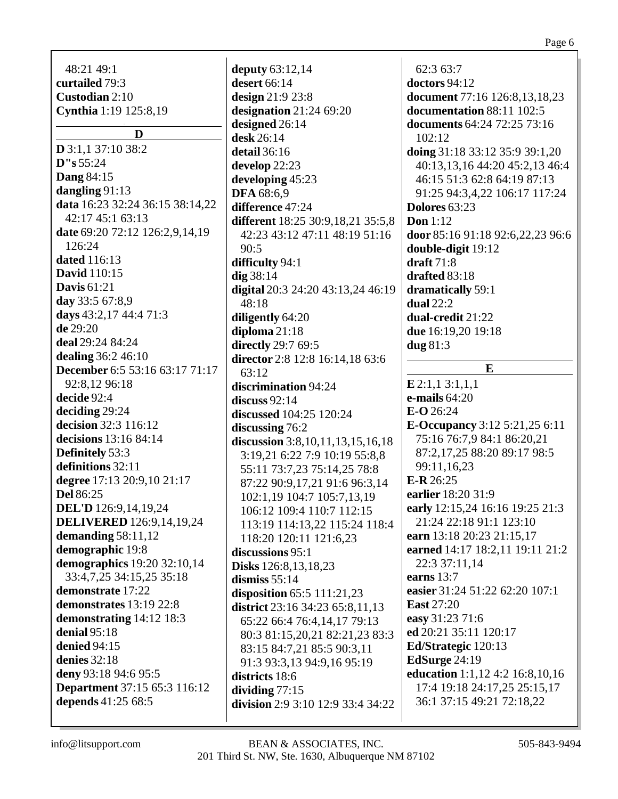| 48:21 49:1                            | deputy $63:12,14$                 |
|---------------------------------------|-----------------------------------|
| curtailed 79:3                        | desert 66:14                      |
| Custodian 2:10                        | design 21:9 23:8                  |
| Cynthia 1:19 125:8,19                 | designation $21:2469:20$          |
|                                       | designed 26:14                    |
| D                                     | desk 26:14                        |
| $D$ 3:1,1 37:10 38:2                  | detail 36:16                      |
| D''s 55:24                            |                                   |
| <b>Dang 84:15</b>                     | develop 22:23                     |
| dangling 91:13                        | developing 45:23                  |
| data 16:23 32:24 36:15 38:14,22       | <b>DFA</b> 68:6,9                 |
| 42:17 45:1 63:13                      | difference 47:24                  |
| date 69:20 72:12 126:2,9,14,19        | different 18:25 30:9,18,21 35:5,8 |
| 126:24                                | 42:23 43:12 47:11 48:19 51:16     |
| <b>dated</b> 116:13                   | 90:5                              |
| <b>David</b> 110:15                   | difficulty 94:1                   |
| <b>Davis</b> 61:21                    | $dig$ 38:14                       |
|                                       | digital 20:3 24:20 43:13,24 46:19 |
| day 33:5 67:8,9                       | 48:18                             |
| days 43:2,17 44:4 71:3                | diligently 64:20                  |
| de 29:20                              | diploma $21:18$                   |
| deal 29:24 84:24                      | directly 29:7 69:5                |
| <b>dealing</b> 36:2 46:10             | director 2:8 12:8 16:14,18 63:6   |
| <b>December</b> 6:5 53:16 63:17 71:17 | 63:12                             |
| 92:8,12 96:18                         | discrimination 94:24              |
| decide 92:4                           | discuss $92:14$                   |
| deciding 29:24                        | <b>discussed</b> 104:25 120:24    |
| decision 32:3 116:12                  | discussing 76:2                   |
| decisions 13:16 84:14                 | discussion 3:8,10,11,13,15,16,18  |
| Definitely 53:3                       | 3:19,21 6:22 7:9 10:19 55:8,8     |
| definitions 32:11                     | 55:11 73:7,23 75:14,25 78:8       |
| degree 17:13 20:9,10 21:17            | 87:22 90:9,17,21 91:6 96:3,14     |
| <b>Del</b> 86:25                      | 102:1,19 104:7 105:7,13,19        |
| <b>DEL'D</b> 126:9,14,19,24           | 106:12 109:4 110:7 112:15         |
| <b>DELIVERED</b> 126:9,14,19,24       | 113:19 114:13,22 115:24 118:4     |
| demanding $58:11,12$                  | 118:20 120:11 121:6,23            |
| demographic 19:8                      | discussions 95:1                  |
| demographics 19:20 32:10,14           | <b>Disks</b> 126:8, 13, 18, 23    |
| 33:4,7,25 34:15,25 35:18              | dismiss $55:14$                   |
| demonstrate 17:22                     | disposition $65:5$ 111:21,23      |
| demonstrates 13:19 22:8               | district 23:16 34:23 65:8,11,13   |
| demonstrating 14:12 18:3              | 65:22 66:4 76:4,14,17 79:13       |
| denial $95:18$                        | 80:3 81:15,20,21 82:21,23 83:3    |
| <b>denied</b> 94:15                   | 83:15 84:7,21 85:5 90:3,11        |
| denies 32:18                          | 91:3 93:3,13 94:9,16 95:19        |
| deny 93:18 94:6 95:5                  | districts 18:6                    |
| <b>Department</b> 37:15 65:3 116:12   | dividing $77:15$                  |
| depends 41:25 68:5                    | division 2:9 3:10 12:9 33:4 34:22 |
|                                       |                                   |

62:3 63:7 **doctors** 94:12 **document** 77:16 126:8,13,18,23 **documentation** 88:11 102:5 **documents** 64:24 72:25 73:16 102:12 **doing** 31:18 33:12 35:9 39:1,20 40:13,13,16 44:20 45:2,13 46:4 46:15 51:3 62:8 64:19 87:13 91:25 94:3,4,22 106:17 117:24 **Dolores** 63:23 **Don** 1:12 **door** 85:16 91:18 92:6,22,23 96:6 **double-digit** 19:12 **draft** 71:8 **drafted** 83:18 **dramatically** 59:1 **dual** 22:2 **dual-credit** 21:22 **due** 16:19,20 19:18 **dug** 81:3 **E**

**E** 2:1,1 3:1,1,1 **e-mails** 64:20 **E-O** 26:24 **E-Occupancy** 3:12 5:21,25 6:11 75:16 76:7,9 84:1 86:20,21 87:2,17,25 88:20 89:17 98:5 99:11,16,23 **E-R** 26:25 **earlier** 18:20 31:9 **early** 12:15,24 16:16 19:25 21:3 21:24 22:18 91:1 123:10 **earn** 13:18 20:23 21:15,17 **earned** 14:17 18:2,11 19:11 21:2 22:3 37:11,14 **earns** 13:7 **easier** 31:24 51:22 62:20 107:1 **East** 27:20 **easy** 31:23 71:6 **ed** 20:21 35:11 120:17 **Ed/Strategic** 120:13 **EdSurge** 24:19 **education** 1:1,12 4:2 16:8,10,16 17:4 19:18 24:17,25 25:15,17 36:1 37:15 49:21 72:18,22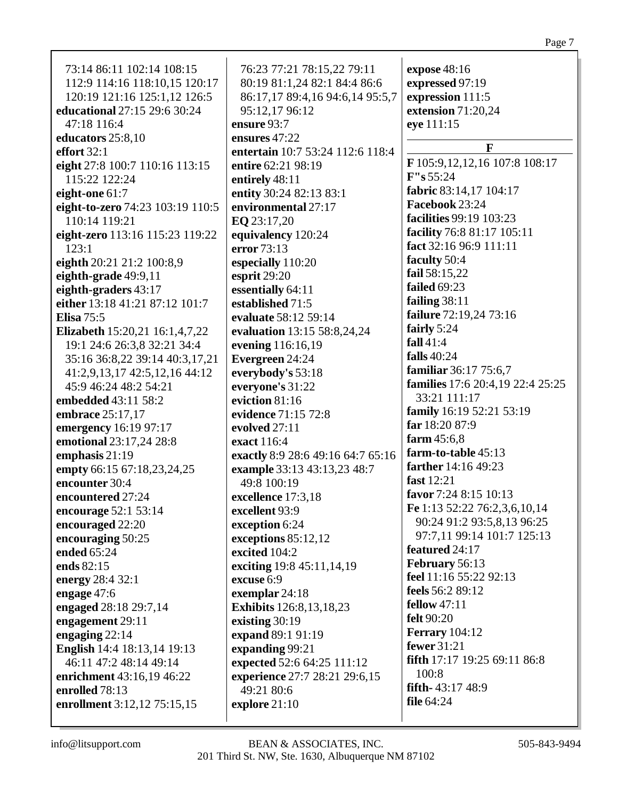| 73:14 86:11 102:14 108:15          | 76:23 77:21 78:15,22 79:11              | expose 48:16                     |
|------------------------------------|-----------------------------------------|----------------------------------|
| 112:9 114:16 118:10,15 120:17      | 80:19 81:1,24 82:1 84:4 86:6            | expressed 97:19                  |
| 120:19 121:16 125:1,12 126:5       | 86:17,17 89:4,16 94:6,14 95:5,7         | expression 111:5                 |
| educational 27:15 29:6 30:24       | 95:12,17 96:12                          | extension 71:20,24               |
| 47:18 116:4                        | ensure 93:7                             | eye 111:15                       |
| educators 25:8,10                  | ensures 47:22                           |                                  |
| effort 32:1                        | entertain 10:7 53:24 112:6 118:4        | $\mathbf{F}$                     |
| eight 27:8 100:7 110:16 113:15     | entire 62:21 98:19                      | F 105:9, 12, 12, 16 107:8 108:17 |
| 115:22 122:24                      | entirely 48:11                          | F''s 55:24                       |
| eight-one $61:7$                   | entity 30:24 82:13 83:1                 | fabric 83:14,17 104:17           |
| eight-to-zero 74:23 103:19 110:5   | environmental 27:17                     | Facebook 23:24                   |
| 110:14 119:21                      | EQ 23:17,20                             | facilities 99:19 103:23          |
| eight-zero 113:16 115:23 119:22    | equivalency 120:24                      | facility 76:8 81:17 105:11       |
| 123:1                              | error 73:13                             | fact 32:16 96:9 111:11           |
| eighth 20:21 21:2 100:8,9          | especially 110:20                       | faculty 50:4                     |
| eighth-grade 49:9,11               | esprit 29:20                            | fail 58:15,22                    |
| eighth-graders 43:17               | essentially 64:11                       | failed 69:23                     |
| either 13:18 41:21 87:12 101:7     | established 71:5                        | failing $38:11$                  |
| <b>Elisa</b> 75:5                  | evaluate 58:12 59:14                    | failure 72:19,24 73:16           |
| Elizabeth 15:20,21 16:1,4,7,22     | evaluation 13:15 58:8,24,24             | fairly 5:24                      |
| 19:1 24:6 26:3,8 32:21 34:4        | evening 116:16,19                       | fall $41:4$                      |
| 35:16 36:8,22 39:14 40:3,17,21     | Evergreen 24:24                         | falls 40:24                      |
| 41:2,9,13,17 42:5,12,16 44:12      | everybody's 53:18                       | familiar 36:17 75:6,7            |
| 45:9 46:24 48:2 54:21              | everyone's 31:22                        | families 17:6 20:4,19 22:4 25:25 |
| embedded 43:11 58:2                | eviction 81:16                          | 33:21 111:17                     |
| embrace 25:17,17                   | evidence 71:15 72:8                     | family 16:19 52:21 53:19         |
| emergency 16:19 97:17              | evolved 27:11                           | far 18:20 87:9                   |
| emotional 23:17,24 28:8            | exact 116:4                             | farm $45:6,8$                    |
| emphasis 21:19                     | exactly 8:9 28:6 49:16 64:7 65:16       | farm-to-table 45:13              |
| empty 66:15 67:18,23,24,25         | example 33:13 43:13,23 48:7             | farther 14:16 49:23              |
| encounter 30:4                     | 49:8 100:19                             | fast 12:21                       |
| encountered 27:24                  | excellence 17:3,18                      | favor 7:24 8:15 10:13            |
| encourage 52:1 53:14               | excellent 93:9                          | Fe 1:13 52:22 76:2,3,6,10,14     |
| encouraged 22:20                   | exception 6:24                          | 90:24 91:2 93:5,8,13 96:25       |
| encouraging 50:25                  | exceptions 85:12,12                     | 97:7,11 99:14 101:7 125:13       |
| ended 65:24                        | excited 104:2                           | featured 24:17                   |
| ends 82:15                         |                                         | February 56:13                   |
|                                    | exciting 19:8 45:11,14,19<br>excuse 6:9 | feel 11:16 55:22 92:13           |
| energy 28:4 32:1                   |                                         | feels 56:2 89:12                 |
| engage $47:6$                      | exemplar 24:18                          | <b>fellow</b> 47:11              |
| engaged 28:18 29:7,14              | <b>Exhibits</b> 126:8,13,18,23          | <b>felt</b> 90:20                |
| engagement 29:11                   | existing 30:19                          | <b>Ferrary</b> 104:12            |
| engaging $22:14$                   | expand 89:1 91:19                       | fewer 31:21                      |
| <b>English</b> 14:4 18:13,14 19:13 | expanding 99:21                         | fifth 17:17 19:25 69:11 86:8     |
| 46:11 47:2 48:14 49:14             | expected 52:6 64:25 111:12              | 100:8                            |
| enrichment 43:16,19 46:22          | experience 27:7 28:21 29:6,15           | fifth-43:17 48:9                 |
| enrolled 78:13                     | 49:21 80:6                              | file $64:24$                     |
| enrollment 3:12,12 75:15,15        | explore 21:10                           |                                  |
|                                    |                                         |                                  |

Page 7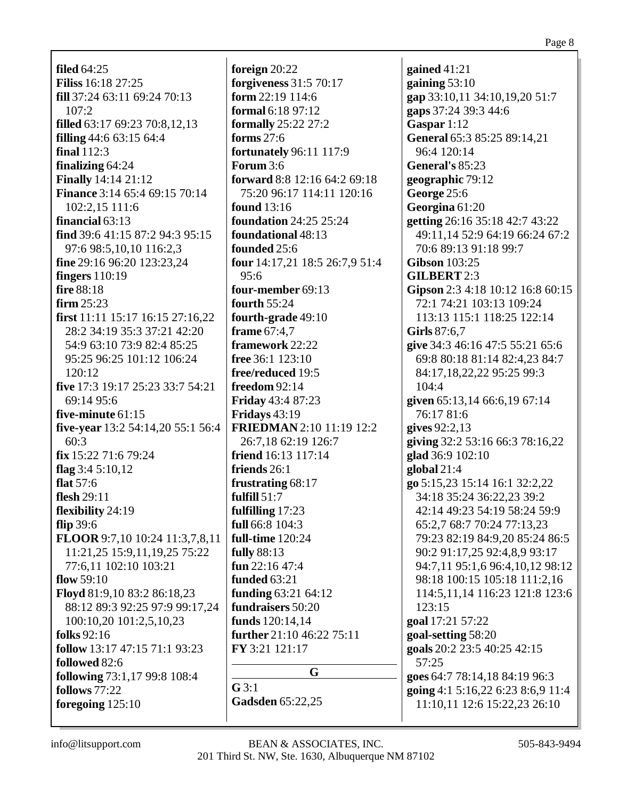**filed** 64:25 **Filiss** 16:18 27:25 **fill** 37:24 63:11 69:24 70:13  $107:2$ **filled** 63:17 69:23 70:8,12,13 **filling** 44:6 63:15 64:4 **final** 112:3 **finalizing** 64:24 **Finally** 14:14 21:12 **Finance** 3:14 65:4 69:15 70:14 102:2,15 111:6 **financial** 63:13 **find** 39:6 41:15 87:2 94:3 95:15 97:6 98:5,10,10 116:2,3 **fine** 29:16 96:20 123:23,24 **fingers** 110:19 **fire** 88:18 **firm** 25:23 **first** 11:11 15:17 16:15 27:16,22 28:2 34:19 35:3 37:21 42:20 54:9 63:10 73:9 82:4 85:25 95:25 96:25 101:12 106:24 120:12 **five** 17:3 19:17 25:23 33:7 54:21 69:14 95:6 **five-minute** 61:15 **five-year** 13:2 54:14,20 55:1 56:4 60:3 **fix** 15:22 71:6 79:24 **flag** 3:4 5:10,12 **flat** 57:6 **flesh** 29:11 **flexibility** 24:19 **flip** 39:6 **FLOOR** 9:7,10 10:24 11:3,7,8,11 11:21,25 15:9,11,19,25 75:22 77:6,11 102:10 103:21 **flow** 59:10 **Floyd** 81:9,10 83:2 86:18,23 88:12 89:3 92:25 97:9 99:17,24 100:10,20 101:2,5,10,23 **folks** 92:16 **follow** 13:17 47:15 71:1 93:23 **followed** 82:6 **following** 73:1,17 99:8 108:4 **follows** 77:22

**foreign** 20:22 **forgiveness** 31:5 70:17 **form** 22:19 114:6 **formal** 6:18 97:12 **formally** 25:22 27:2 **forms** 27:6 **fortunately** 96:11 117:9 **Forum** 3:6 **forward** 8:8 12:16 64:2 69:18 75:20 96:17 114:11 120:16 **found** 13:16 **foundation** 24:25 25:24 **foundational** 48:13 **founded** 25:6 **four** 14:17,21 18:5 26:7,9 51:4 95:6 **four-member** 69:13 **fourth** 55:24 **fourth-grade** 49:10 **frame** 67:4,7 **framework** 22:22 **free** 36:1 123:10 **free/reduced** 19:5 **freedom** 92:14 **Friday** 43:4 87:23 **Fridays** 43:19 **FRIEDMAN** 2:10 11:19 12:2 26:7,18 62:19 126:7 **friend** 16:13 117:14 **friends** 26:1 **frustrating** 68:17 **fulfill** 51:7 **fulfilling** 17:23 **full** 66:8 104:3 **full-time** 120:24 **fully** 88:13 **fun** 22:16 47:4 **funded** 63:21 **funding** 63:21 64:12 **fundraisers** 50:20 **funds** 120:14,14 **further** 21:10 46:22 75:11 **FY** 3:21 121:17 **G G** 3:1

## **gap** 33:10,11 34:10,19,20 51:7 **gaps** 37:24 39:3 44:6 **Gaspar** 1:12 **General** 65:3 85:25 89:14,21 96:4 120:14 **General's** 85:23 **geographic** 79:12 **George** 25:6 **Georgina** 61:20 **getting** 26:16 35:18 42:7 43:22 49:11,14 52:9 64:19 66:24 67:2 70:6 89:13 91:18 99:7 **Gibson** 103:25 **GILBERT** 2:3 **Gipson** 2:3 4:18 10:12 16:8 60:15 72:1 74:21 103:13 109:24 113:13 115:1 118:25 122:14 **Girls** 87:6,7 **give** 34:3 46:16 47:5 55:21 65:6 69:8 80:18 81:14 82:4,23 84:7 84:17,18,22,22 95:25 99:3 104:4 **given** 65:13,14 66:6,19 67:14 76:17 81:6 **gives** 92:2,13 **giving** 32:2 53:16 66:3 78:16,22 **glad** 36:9 102:10 **global** 21:4 **go** 5:15,23 15:14 16:1 32:2,22 34:18 35:24 36:22,23 39:2 42:14 49:23 54:19 58:24 59:9 65:2,7 68:7 70:24 77:13,23 79:23 82:19 84:9,20 85:24 86:5 90:2 91:17,25 92:4,8,9 93:17 94:7,11 95:1,6 96:4,10,12 98:12 98:18 100:15 105:18 111:2,16 114:5,11,14 116:23 121:8 123:6 123:15 **goal** 17:21 57:22 **goal-setting** 58:20 **goals** 20:2 23:5 40:25 42:15 57:25 **goes** 64:7 78:14,18 84:19 96:3 **going** 4:1 5:16,22 6:23 8:6,9 11:4 11:10,11 12:6 15:22,23 26:10

**gained** 41:21 **gaining** 53:10

**foregoing** 125:10

**Gadsden** 65:22,25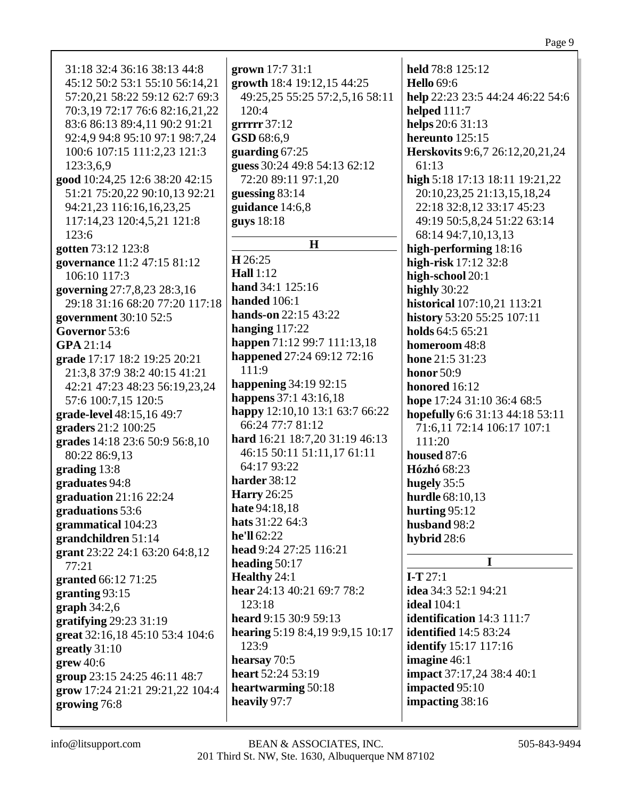31:18 32:4 36:16 38:13 44:8 45:12 50:2 53:1 55:10 56:14,21 57:20,21 58:22 59:12 62:7 69:3 70:3,19 72:17 76:6 82:16,21,22 83:6 86:13 89:4,11 90:2 91:21 92:4,9 94:8 95:10 97:1 98:7,24 100:6 107:15 111:2,23 121:3 123:3,6,9 **good** 10:24,25 12:6 38:20 42:15 51:21 75:20,22 90:10,13 92:21 94:21,23 116:16,16,23,25 117:14,23 120:4,5,21 121:8 123:6 **gotten** 73:12 123:8 **governance** 11:2 47:15 81:12 106:10 117:3 **governing** 27:7,8,23 28:3,16 29:18 31:16 68:20 77:20 117:18 **government** 30:10 52:5 **Governor** 53:6 **GPA** 21:14 **grade** 17:17 18:2 19:25 20:21 21:3,8 37:9 38:2 40:15 41:21 42:21 47:23 48:23 56:19,23,24 57:6 100:7,15 120:5 **grade-level** 48:15,16 49:7 **graders** 21:2 100:25 **grades** 14:18 23:6 50:9 56:8,10 80:22 86:9,13 **grading** 13:8 **graduates** 94:8 **graduation** 21:16 22:24 **graduations** 53:6 **grammatical** 104:23 **grandchildren** 51:14 **grant** 23:22 24:1 63:20 64:8,12 77:21 **granted** 66:12 71:25 **granting** 93:15 **graph** 34:2,6 **gratifying** 29:23 31:19 **great** 32:16,18 45:10 53:4 104:6 **greatly** 31:10 **grew** 40:6 **group** 23:15 24:25 46:11 48:7 **grow** 17:24 21:21 29:21,22 104:4 **growing** 76:8

**grown** 17:7 31:1 **growth** 18:4 19:12,15 44:25 49:25,25 55:25 57:2,5,16 58:11  $120:4$ **grrrrr** 37:12 **GSD** 68:6,9 **guarding** 67:25 **guess** 30:24 49:8 54:13 62:12 72:20 89:11 97:1,20 **guessing** 83:14 **guidance** 14:6,8 **guys** 18:18 **H H** 26:25 **Hall** 1:12 **hand** 34:1 125:16 **handed** 106:1 **hands-on** 22:15 43:22 **hanging** 117:22 **happen** 71:12 99:7 111:13,18 **happened** 27:24 69:12 72:16  $11:9$ **happening** 34:19 92:15 **happens** 37:1 43:16,18 **happy** 12:10,10 13:1 63:7 66:22 66:24 77:7 81:12 **hard** 16:21 18:7,20 31:19 46:13 46:15 50:11 51:11,17 61:11 64:17 93:22 **harder** 38:12 **Harry** 26:25 **hate** 94:18,18 **hats** 31:22 64:3 **he'll** 62:22 **head** 9:24 27:25 116:21 **heading** 50:17 **Healthy** 24:1 **hear** 24:13 40:21 69:7 78:2 123:18 **heard** 9:15 30:9 59:13 **hearing** 5:19 8:4,19 9:9,15 10:17 123:9 **hearsay** 70:5 **heart** 52:24 53:19 **heartwarming** 50:18 **heavily** 97:7

**held** 78:8 125:12 **Hello** 69:6 **help** 22:23 23:5 44:24 46:22 54:6 **helped** 111:7 **helps** 20:6 31:13 **hereunto** 125:15 **Herskovits** 9:6,7 26:12,20,21,24 61:13 **high** 5:18 17:13 18:11 19:21,22 20:10,23,25 21:13,15,18,24 22:18 32:8,12 33:17 45:23 49:19 50:5,8,24 51:22 63:14 68:14 94:7,10,13,13 **high-performing** 18:16 **high-risk** 17:12 32:8 **high-school** 20:1 **highly** 30:22 **historical** 107:10,21 113:21 **history** 53:20 55:25 107:11 **holds** 64:5 65:21 **homeroom** 48:8 **hone** 21:5 31:23 **honor** 50:9 **honored** 16:12 **hope** 17:24 31:10 36:4 68:5 **hopefully** 6:6 31:13 44:18 53:11 71:6,11 72:14 106:17 107:1 111:20 **housed** 87:6 **Hózhó** 68:23 **hugely** 35:5 **hurdle** 68:10,13 **hurting** 95:12 **husband** 98:2 **hybrid** 28:6 **I I-T** 27:1 **idea** 34:3 52:1 94:21 **ideal** 104:1 **identification** 14:3 111:7 **identified** 14:5 83:24 **identify** 15:17 117:16 **imagine** 46:1 **impact** 37:17,24 38:4 40:1 **impacted** 95:10 **impacting** 38:16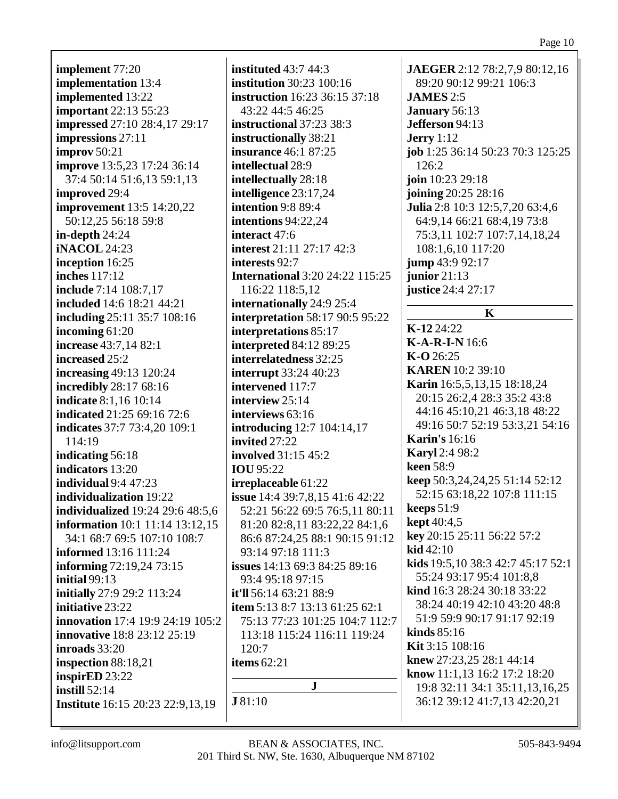**implement** 77:20 **implementation** 13:4 **implemented** 13:22 **important** 22:13 55:23 **impressed** 27:10 28:4,17 29:17 **impressions** 27:11 **improv** 50:21 **improve** 13:5,23 17:24 36:14 37:4 50:14 51:6,13 59:1,13 **improved** 29:4 **improvement** 13:5 14:20,22 50:12,25 56:18 59:8 **in-depth** 24:24 **iNACOL** 24:23 **inception** 16:25 **inches** 117:12 **include** 7:14 108:7,17 **included** 14:6 18:21 44:21 **including** 25:11 35:7 108:16 **incoming** 61:20 **increase** 43:7,14 82:1 **increased** 25:2 **increasing** 49:13 120:24 **incredibly** 28:17 68:16 **indicate** 8:1,16 10:14 **indicated** 21:25 69:16 72:6 **indicates** 37:7 73:4,20 109:1 114:19 **indicating** 56:18 **indicators** 13:20 **individual** 9:4 47:23 **individualization** 19:22 **individualized** 19:24 29:6 48:5,6 **information** 10:1 11:14 13:12,15 34:1 68:7 69:5 107:10 108:7 **informed** 13:16 111:24 **informing** 72:19,24 73:15 **initial** 99:13 **initially** 27:9 29:2 113:24 **initiative** 23:22 **innovation** 17:4 19:9 24:19 105:2 **innovative** 18:8 23:12 25:19 **inroads** 33:20 **inspection** 88:18,21 **inspirED** 23:22 **instill** 52:14 **Institute** 16:15 20:23 22:9,13,19

**instituted** 43:7 44:3 **institution** 30:23 100:16 **instruction** 16:23 36:15 37:18 43:22 44:5 46:25 **instructional** 37:23 38:3 **instructionally** 38:21 **insurance** 46:1 87:25 **intellectual** 28:9 **intellectually** 28:18 **intelligence** 23:17,24 **intention** 9:8 89:4 **intentions** 94:22,24 **interact** 47:6 **interest** 21:11 27:17 42:3 **interests** 92:7 **International** 3:20 24:22 115:25 116:22 118:5,12 **internationally** 24:9 25:4 **interpretation** 58:17 90:5 95:22 **interpretations** 85:17 **interpreted** 84:12 89:25 **interrelatedness** 32:25 **interrupt** 33:24 40:23 **intervened** 117:7 **interview** 25:14 **interviews** 63:16 **introducing** 12:7 104:14,17 **invited** 27:22 **involved** 31:15 45:2 **IOU** 95:22 **irreplaceable** 61:22 **issue** 14:4 39:7,8,15 41:6 42:22 52:21 56:22 69:5 76:5,11 80:11 81:20 82:8,11 83:22,22 84:1,6 86:6 87:24,25 88:1 90:15 91:12 93:14 97:18 111:3 **issues** 14:13 69:3 84:25 89:16 93:4 95:18 97:15 **it'll** 56:14 63:21 88:9 **item** 5:13 8:7 13:13 61:25 62:1 75:13 77:23 101:25 104:7 112:7 113:18 115:24 116:11 119:24 120:7 **items** 62:21 **J**

89:20 90:12 99:21 106:3 **JAMES** 2:5 **January** 56:13 **Jefferson** 94:13 **Jerry** 1:12 **job** 1:25 36:14 50:23 70:3 125:25  $126:2$ **join** 10:23 29:18 **joining** 20:25 28:16 **Julia** 2:8 10:3 12:5,7,20 63:4,6 64:9,14 66:21 68:4,19 73:8 75:3,11 102:7 107:7,14,18,24 108:1,6,10 117:20 **jump** 43:9 92:17 **junior** 21:13 **justice** 24:4 27:17 **K K-12** 24:22 **K-A-R-I-N** 16:6 **K-O** 26:25 **KAREN** 10:2 39:10 **Karin** 16:5,5,13,15 18:18,24 20:15 26:2,4 28:3 35:2 43:8 44:16 45:10,21 46:3,18 48:22 49:16 50:7 52:19 53:3,21 54:16 **Karin's** 16:16 **Karyl** 2:4 98:2 **keen** 58:9 **keep** 50:3,24,24,25 51:14 52:12 52:15 63:18,22 107:8 111:15 **keeps** 51:9 **kept** 40:4,5 **key** 20:15 25:11 56:22 57:2 **kid** 42:10 **kids** 19:5,10 38:3 42:7 45:17 52:1 55:24 93:17 95:4 101:8,8 **kind** 16:3 28:24 30:18 33:22 38:24 40:19 42:10 43:20 48:8 51:9 59:9 90:17 91:17 92:19 **kinds** 85:16 **Kit** 3:15 108:16 **knew** 27:23,25 28:1 44:14 **know** 11:1,13 16:2 17:2 18:20 19:8 32:11 34:1 35:11,13,16,25 36:12 39:12 41:7,13 42:20,21

**JAEGER** 2:12 78:2,7,9 80:12,16

**J** 81:10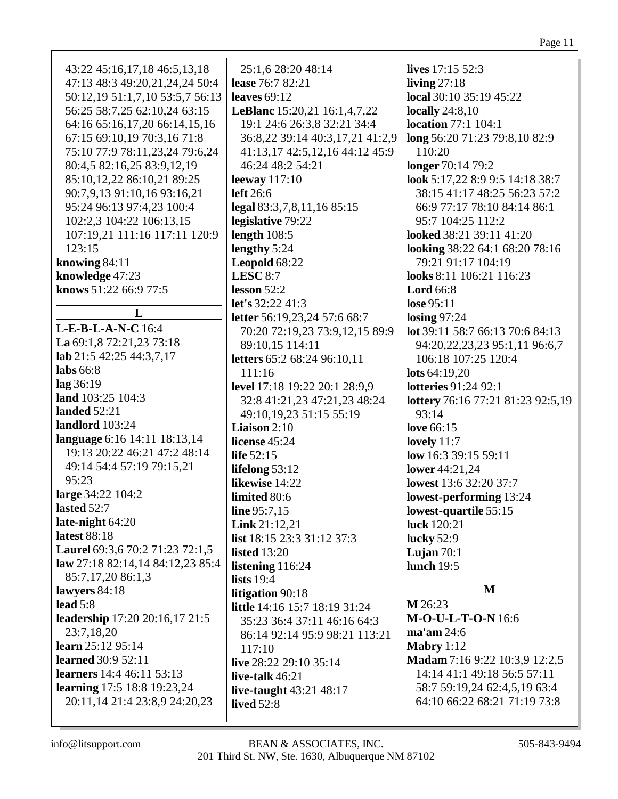| 43:22 45:16,17,18 46:5,13,18        | 25:1,6 28:20 48:14                  | lives 17:15 52:3                  |
|-------------------------------------|-------------------------------------|-----------------------------------|
| 47:13 48:3 49:20,21,24,24 50:4      | lease 76:7 82:21                    | living $27:18$                    |
| 50:12, 19 51:1, 7, 10 53:5, 7 56:13 | leaves $69:12$                      | local 30:10 35:19 45:22           |
| 56:25 58:7,25 62:10,24 63:15        | <b>LeBlanc</b> 15:20,21 16:1,4,7,22 | <b>locally</b> 24:8,10            |
| 64:16 65:16,17,20 66:14,15,16       | 19:1 24:6 26:3,8 32:21 34:4         | <b>location</b> 77:1 104:1        |
| 67:15 69:10,19 70:3,16 71:8         | 36:8,22 39:14 40:3,17,21 41:2,9     | long 56:20 71:23 79:8,10 82:9     |
| 75:10 77:9 78:11,23,24 79:6,24      | 41:13,17 42:5,12,16 44:12 45:9      | 110:20                            |
| 80:4,5 82:16,25 83:9,12,19          | 46:24 48:2 54:21                    | longer 70:14 79:2                 |
| 85:10,12,22 86:10,21 89:25          |                                     | look 5:17,22 8:9 9:5 14:18 38:7   |
|                                     | leeway $117:10$<br>left 26:6        | 38:15 41:17 48:25 56:23 57:2      |
| 90:7,9,13 91:10,16 93:16,21         |                                     |                                   |
| 95:24 96:13 97:4,23 100:4           | legal 83:3,7,8,11,16 85:15          | 66:9 77:17 78:10 84:14 86:1       |
| 102:2,3 104:22 106:13,15            | legislative 79:22                   | 95:7 104:25 112:2                 |
| 107:19,21 111:16 117:11 120:9       | length $108:5$                      | looked 38:21 39:11 41:20          |
| 123:15                              | lengthy 5:24                        | looking 38:22 64:1 68:20 78:16    |
| knowing 84:11                       | Leopold 68:22                       | 79:21 91:17 104:19                |
| knowledge 47:23                     | LESC $8:7$                          | looks 8:11 106:21 116:23          |
| knows 51:22 66:9 77:5               | lesson $52:2$                       | <b>Lord</b> 66:8                  |
| L                                   | let's 32:22 41:3                    | lose 95:11                        |
| L-E-B-L-A-N-C 16:4                  | letter 56:19,23,24 57:6 68:7        | $\log_{10} 97:24$                 |
|                                     | 70:20 72:19,23 73:9,12,15 89:9      | lot 39:11 58:7 66:13 70:6 84:13   |
| La 69:1,8 72:21,23 73:18            | 89:10,15 114:11                     | 94:20,22,23,23 95:1,11 96:6,7     |
| lab $21:5$ 42:25 44:3,7,17          | letters 65:2 68:24 96:10,11         | 106:18 107:25 120:4               |
| labs $66:8$                         | 111:16                              | lots $64:19,20$                   |
| lag 36:19                           | level 17:18 19:22 20:1 28:9,9       | <b>lotteries</b> 91:24 92:1       |
| land 103:25 104:3                   | 32:8 41:21,23 47:21,23 48:24        | lottery 76:16 77:21 81:23 92:5,19 |
| <b>landed</b> 52:21                 | 49:10,19,23 51:15 55:19             | 93:14                             |
| landlord 103:24                     | <b>Liaison</b> $2:10$               | love 66:15                        |
| language 6:16 14:11 18:13,14        | license $45:24$                     | lovely $11:7$                     |
| 19:13 20:22 46:21 47:2 48:14        | life 52:15                          | low 16:3 39:15 59:11              |
| 49:14 54:4 57:19 79:15,21           | lifelong $53:12$                    | lower 44:21,24                    |
| 95:23                               | likewise 14:22                      | lowest 13:6 32:20 37:7            |
| large 34:22 104:2                   | limited 80:6                        | lowest-performing 13:24           |
| lasted 52:7                         | line 95:7,15                        | lowest-quartile 55:15             |
| late-night $64:20$                  | Link 21:12,21                       | luck 120:21                       |
| latest 88:18                        | list $18:15$ 23:3 31:12 37:3        | lucky $52:9$                      |
| Laurel 69:3,6 70:2 71:23 72:1,5     | <b>listed</b> 13:20                 | Lujan $70:1$                      |
| law 27:18 82:14,14 84:12,23 85:4    | listening 116:24                    | <b>lunch</b> 19:5                 |
| 85:7,17,20 86:1,3                   | lists $19:4$                        |                                   |
| lawyers 84:18                       | litigation 90:18                    | M                                 |
| lead $5:8$                          | little 14:16 15:7 18:19 31:24       | M 26:23                           |
| leadership 17:20 20:16,17 21:5      | 35:23 36:4 37:11 46:16 64:3         | <b>M-O-U-L-T-O-N16:6</b>          |
| 23:7,18,20                          | 86:14 92:14 95:9 98:21 113:21       | $ma'$ am 24:6                     |
| learn 25:12 95:14                   | 117:10                              | Mabry $1:12$                      |
| <b>learned</b> 30:9 52:11           | live 28:22 29:10 35:14              | Madam 7:16 9:22 10:3,9 12:2,5     |
| learners 14:4 46:11 53:13           | live-talk $46:21$                   | 14:14 41:1 49:18 56:5 57:11       |
| learning 17:5 18:8 19:23,24         | live-taught $43:21$ $48:17$         | 58:7 59:19,24 62:4,5,19 63:4      |
| 20:11,14 21:4 23:8,9 24:20,23       | <b>lived</b> 52:8                   | 64:10 66:22 68:21 71:19 73:8      |
|                                     |                                     |                                   |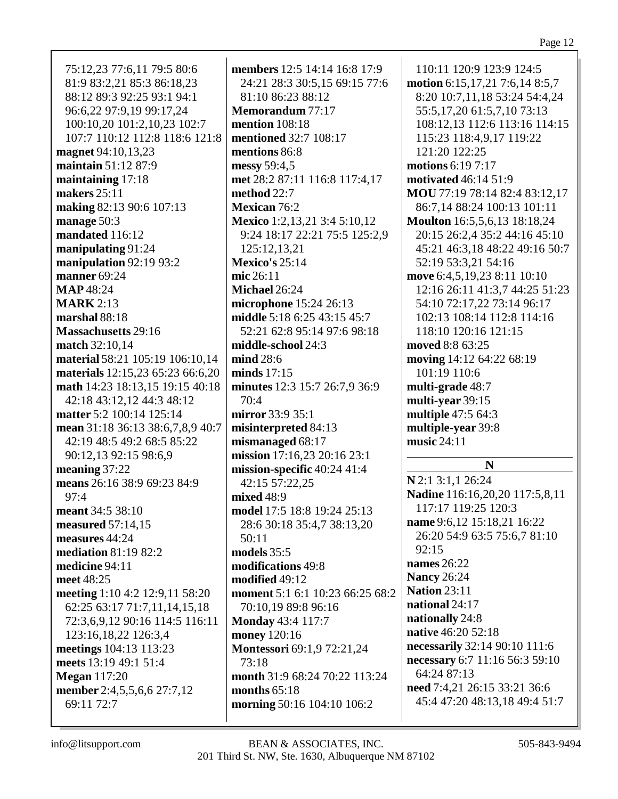| 75:12,23 77:6,11 79:5 80:6                        |        |
|---------------------------------------------------|--------|
| 81:9 83:2,21 85:3 86:18,23                        |        |
| 88:12 89:3 92:25 93:1 94:1                        |        |
| 96:6,22 97:9,19 99:17,24                          | I      |
| 100:10,20 101:2,10,23 102:7                       | Ī      |
| 107:7 110:12 112:8 118:6 121:8                    | I      |
| magnet 94:10,13,23                                | I      |
| maintain 51:12 87:9                               | I      |
| maintaining 17:18                                 | I      |
| makers 25:11                                      | I      |
| making 82:13 90:6 107:13                          | I      |
| manage 50:3                                       | I      |
| mandated 116:12                                   |        |
| manipulating 91:24                                |        |
| manipulation 92:19 93:2                           | I      |
| manner 69:24                                      | I      |
| <b>MAP</b> 48:24                                  | I      |
| <b>MARK</b> 2:13                                  | I      |
| marshal 88:18                                     |        |
| <b>Massachusetts</b> 29:16                        |        |
| match 32:10,14<br>material 58:21 105:19 106:10,14 | I<br>I |
| materials 12:15,23 65:23 66:6,20                  |        |
| math 14:23 18:13,15 19:15 40:18                   | I<br>I |
| 42:18 43:12,12 44:3 48:12                         |        |
| matter 5:2 100:14 125:14                          | I      |
| mean 31:18 36:13 38:6,7,8,9 40:7                  | I      |
| 42:19 48:5 49:2 68:5 85:22                        | I      |
| 90:12,13 92:15 98:6,9                             |        |
| meaning $37:22$                                   |        |
| means 26:16 38:9 69:23 84:9                       |        |
| 97:4                                              | I      |
| meant 34:5 38:10                                  |        |
| measured 57:14,15                                 |        |
| measures 44:24                                    |        |
| <b>mediation 81:19 82:2</b>                       |        |
| medicine 94:11                                    |        |
| meet 48:25                                        |        |
| meeting 1:10 4:2 12:9,11 58:20                    | I      |
| 62:25 63:17 71:7,11,14,15,18                      |        |
| 72:3,6,9,12 90:16 114:5 116:11                    | I      |
| 123:16,18,22 126:3,4                              |        |
| meetings 104:13 113:23                            |        |
| meets 13:19 49:1 51:4                             |        |
| <b>Megan</b> 117:20                               |        |
| member 2:4,5,5,6,6 27:7,12                        |        |
| 69:11 72:7                                        |        |

**members** 12:5 14:14 16:8 17:9 24:21 28:3 30:5,15 69:15 77:6 81:10 86:23 88:12 **Memorandum** 77:17 **mention** 108:18 **mentioned** 32:7 108:17 **mentions** 86:8 **messy** 59:4,5 **met** 28:2 87:11 116:8 117:4,17 **method** 22:7 **Mexican** 76:2 **Mexico** 1:2,13,21 3:4 5:10,12 9:24 18:17 22:21 75:5 125:2,9 125:12,13,21 **Mexico's** 25:14 **mic** 26:11 **Michael** 26:24 **microphone** 15:24 26:13 **middle** 5:18 6:25 43:15 45:7 52:21 62:8 95:14 97:6 98:18 **middle-school** 24:3 **mind** 28:6 **minds** 17:15 **minutes** 12:3 15:7 26:7,9 36:9  $70:4$ **mirror** 33:9 35:1 **misinterpreted** 84:13 **mismanaged** 68:17 **mission** 17:16,23 20:16 23:1 **mission-specific** 40:24 41:4 42:15 57:22,25 **mixed** 48:9 **model** 17:5 18:8 19:24 25:13 28:6 30:18 35:4,7 38:13,20 50:11 **models** 35:5 **modifications** 49:8 **modified** 49:12 **moment** 5:1 6:1 10:23 66:25 68:2 70:10,19 89:8 96:16 **Monday** 43:4 117:7 **money** 120:16 **Montessori** 69:1,9 72:21,24 73:18 **month** 31:9 68:24 70:22 113:24 **months** 65:18 **morning** 50:16 104:10 106:2

110:11 120:9 123:9 124:5 **motion** 6:15,17,21 7:6,14 8:5,7 8:20 10:7,11,18 53:24 54:4,24 55:5,17,20 61:5,7,10 73:13 108:12,13 112:6 113:16 114:15 115:23 118:4,9,17 119:22 121:20 122:25 **motions** 6:19 7:17 **motivated** 46:14 51:9 **MOU** 77:19 78:14 82:4 83:12,17 86:7,14 88:24 100:13 101:11 **Moulton** 16:5,5,6,13 18:18,24 20:15 26:2,4 35:2 44:16 45:10 45:21 46:3,18 48:22 49:16 50:7 52:19 53:3,21 54:16 **move** 6:4,5,19,23 8:11 10:10 12:16 26:11 41:3,7 44:25 51:23 54:10 72:17,22 73:14 96:17 102:13 108:14 112:8 114:16 118:10 120:16 121:15 **moved** 8:8 63:25 **moving** 14:12 64:22 68:19 101:19 110:6 **multi-grade** 48:7 **multi-year** 39:15 **multiple** 47:5 64:3 **multiple-year** 39:8 **music** 24:11 **N N** 2:1 3:1,1 26:24 **Nadine** 116:16,20,20 117:5,8,11 117:17 119:25 120:3 **name** 9:6,12 15:18,21 16:22 26:20 54:9 63:5 75:6,7 81:10 92:15 **names** 26:22 **Nancy** 26:24 **Nation** 23:11 **national** 24:17 **nationally** 24:8 **native** 46:20 52:18 **necessarily** 32:14 90:10 111:6 **necessary** 6:7 11:16 56:3 59:10 64:24 87:13 **need** 7:4,21 26:15 33:21 36:6 45:4 47:20 48:13,18 49:4 51:7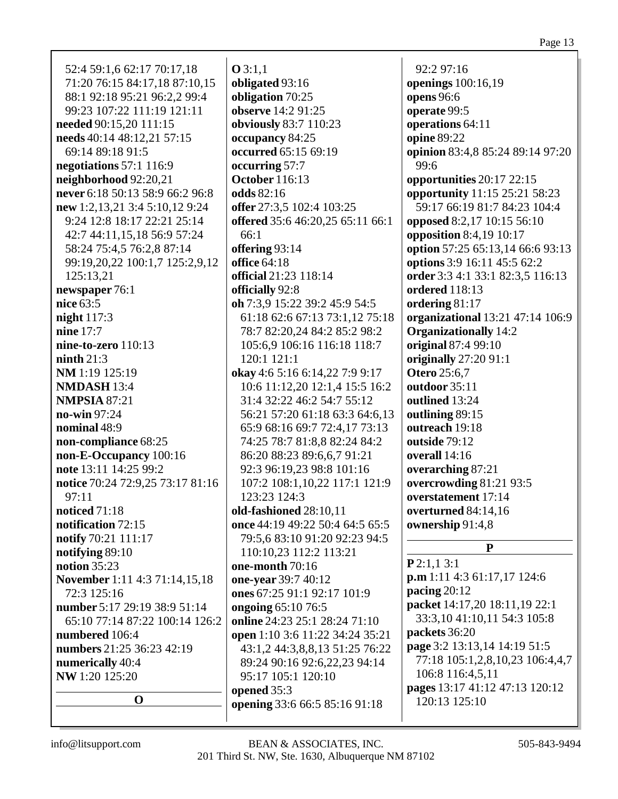| 99:23 107:22 111:19 121:11<br>needed 90:15,20 111:15<br>needs 40:14 48:12,21 57:15 | observe 14:2 91:25<br>obviously 83:7 110:23<br>occupancy 84:25 |
|------------------------------------------------------------------------------------|----------------------------------------------------------------|
| 69:14 89:18 91:5                                                                   | occurred 65:15 69:19                                           |
| negotiations 57:1 116:9                                                            | occurring 57:7                                                 |
| neighborhood 92:20,21                                                              | <b>October</b> 116:13                                          |
| never 6:18 50:13 58:9 66:2 96:8                                                    | odds 82:16                                                     |
| new 1:2,13,21 3:4 5:10,12 9:24                                                     | offer 27:3,5 102:4 103:25                                      |
| 9:24 12:8 18:17 22:21 25:14                                                        | offered 35:6 46:20,25 65:11 66:1                               |
| 42:7 44:11,15,18 56:9 57:24                                                        | 66:1                                                           |
| 58:24 75:4,5 76:2,8 87:14                                                          | offering 93:14                                                 |
| 99:19,20,22 100:1,7 125:2,9,12<br>125:13,21                                        | <b>office</b> 64:18<br>official 21:23 118:14                   |
| newspaper 76:1                                                                     | officially 92:8                                                |
| nice 63:5                                                                          | oh 7:3,9 15:22 39:2 45:9 54:5                                  |
| night $117:3$                                                                      | 61:18 62:6 67:13 73:1,12 75:18                                 |
| nine 17:7                                                                          | 78:7 82:20,24 84:2 85:2 98:2                                   |
| nine-to-zero $110:13$                                                              | 105:6,9 106:16 116:18 118:7                                    |
| n <sub>in</sub> th <sub>21:3</sub>                                                 | 120:1 121:1                                                    |
| NM 1:19 125:19                                                                     | okay 4:6 5:16 6:14,22 7:9 9:17                                 |
| <b>NMDASH 13:4</b>                                                                 | 10:6 11:12,20 12:1,4 15:5 16:2                                 |
| <b>NMPSIA 87:21</b>                                                                | 31:4 32:22 46:2 54:7 55:12                                     |
| no-win 97:24                                                                       | 56:21 57:20 61:18 63:3 64:6,13                                 |
| nominal 48:9                                                                       | 65:9 68:16 69:7 72:4,17 73:13                                  |
| non-compliance 68:25                                                               | 74:25 78:7 81:8,8 82:24 84:2                                   |
| non-E-Occupancy 100:16                                                             | 86:20 88:23 89:6,6,7 91:21                                     |
| note 13:11 14:25 99:2                                                              | 92:3 96:19,23 98:8 101:16                                      |
| notice 70:24 72:9,25 73:17 81:16<br>97:11                                          | 107:2 108:1,10,22 117:1 121:9<br>123:23 124:3                  |
| noticed 71:18                                                                      | old-fashioned 28:10,11                                         |
| notification 72:15                                                                 | once 44:19 49:22 50:4 64:5 65:5                                |
| notify 70:21 111:17                                                                | 79:5,6 83:10 91:20 92:23 94:5                                  |
| notifying 89:10                                                                    | 110:10,23 112:2 113:21                                         |
| notion $35:23$                                                                     | one-month 70:16                                                |
| November 1:11 4:3 71:14,15,18                                                      | one-year 39:7 40:12                                            |
| 72:3 125:16                                                                        | ones 67:25 91:1 92:17 101:9                                    |
| number 5:17 29:19 38:9 51:14                                                       | ongoing 65:10 76:5                                             |
| 65:10 77:14 87:22 100:14 126:2                                                     | online 24:23 25:1 28:24 71:10                                  |
| numbered 106:4                                                                     | open 1:10 3:6 11:22 34:24 35:21                                |
| numbers 21:25 36:23 42:19                                                          | 43:1,2 44:3,8,8,13 51:25 76:22                                 |
| numerically 40:4                                                                   | 89:24 90:16 92:6,22,23 94:14                                   |
| NW 1:20 125:20                                                                     | 95:17 105:1 120:10                                             |
| O                                                                                  | opened 35:3                                                    |
|                                                                                    | opening 33:6 66:5 85:16 91:18                                  |

201 Third St. NW, Ste. 1630, Albuquerque NM 87102 info@litsupport.com BEAN & ASSOCIATES, INC. 505-843-9494 **opening** 33:6 66:5 85:16 91:18

92:2 97:16 **openings** 100:16,19 **opens** 96:6 **operate** 99:5 **operations** 64:11 **opine** 89:22 **opinion** 83:4,8 85:24 89:14 97:20 99:6 **opportunities** 20:17 22:15 **opportunity** 11:15 25:21 58:23 59:17 66:19 81:7 84:23 104:4 **opposed** 8:2,17 10:15 56:10 **opposition** 8:4,19 10:17 **option** 57:25 65:13,14 66:6 93:13 **options** 3:9 16:11 45:5 62:2 **order** 3:3 4:1 33:1 82:3,5 116:13 **ordered** 118:13 **ordering** 81:17 **organizational** 13:21 47:14 106:9 **Organizationally** 14:2 **original** 87:4 99:10 **originally** 27:20 91:1 **Otero** 25:6,7 **outdoor** 35:11 **outlined** 13:24 **outlining** 89:15 **outreach** 19:18 **outside** 79:12 **overall** 14:16 **overarching** 87:21 **overcrowding** 81:21 93:5 **overstatement** 17:14 **overturned** 84:14,16 **ownership** 91:4,8 **P P** 2:1,1 3:1

**p.m** 1:11 4:3 61:17,17 124:6 **pacing** 20:12 **packet** 14:17,20 18:11,19 22:1 33:3,10 41:10,11 54:3 105:8 **packets** 36:20 **page** 3:2 13:13,14 14:19 51:5 77:18 105:1,2,8,10,23 106:4,4,7 106:8 116:4,5,11 **pages** 13:17 41:12 47:13 120:12 120:13 125:10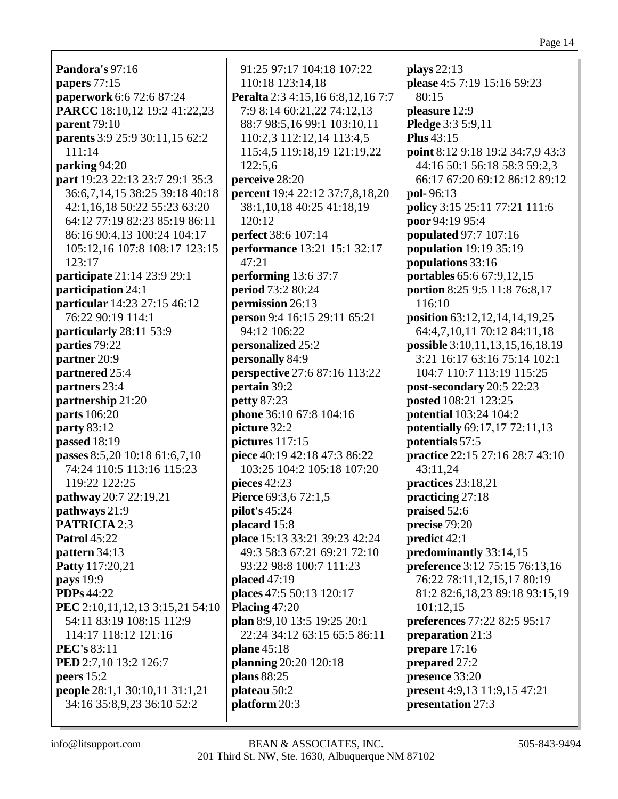**Pandora's** 97:16 **papers** 77:15 **paperwork** 6:6 72:6 87:24 **PARCC** 18:10,12 19:2 41:22,23 **parent** 79:10 **parents** 3:9 25:9 30:11,15 62:2 111:14 **parking** 94:20 **part** 19:23 22:13 23:7 29:1 35:3 36:6,7,14,15 38:25 39:18 40:18 42:1,16,18 50:22 55:23 63:20 64:12 77:19 82:23 85:19 86:11 86:16 90:4,13 100:24 104:17 105:12,16 107:8 108:17 123:15 123:17 **participate** 21:14 23:9 29:1 **participation** 24:1 **particular** 14:23 27:15 46:12 76:22 90:19 114:1 **particularly** 28:11 53:9 **parties** 79:22 **partner** 20:9 **partnered** 25:4 **partners** 23:4 **partnership** 21:20 **parts** 106:20 **party** 83:12 **passed** 18:19 **passes** 8:5,20 10:18 61:6,7,10 74:24 110:5 113:16 115:23 119:22 122:25 **pathway** 20:7 22:19,21 **pathways** 21:9 **PATRICIA** 2:3 **Patrol** 45:22 **pattern** 34:13 **Patty** 117:20,21 **pays** 19:9 **PDPs** 44:22 **PEC** 2:10,11,12,13 3:15,21 54:10 54:11 83:19 108:15 112:9 114:17 118:12 121:16 **PEC's** 83:11 **PED** 2:7,10 13:2 126:7 **peers** 15:2 **people** 28:1,1 30:10,11 31:1,21 34:16 35:8,9,23 36:10 52:2

91:25 97:17 104:18 107:22 110:18 123:14,18 **Peralta** 2:3 4:15,16 6:8,12,16 7:7 7:9 8:14 60:21,22 74:12,13 88:7 98:5,16 99:1 103:10,11 110:2,3 112:12,14 113:4,5 115:4,5 119:18,19 121:19,22 122:5,6 **perceive** 28:20 **percent** 19:4 22:12 37:7,8,18,20 38:1,10,18 40:25 41:18,19  $120:12$ **perfect** 38:6 107:14 **performance** 13:21 15:1 32:17 47:21 **performing** 13:6 37:7 **period** 73:2 80:24 **permission** 26:13 **person** 9:4 16:15 29:11 65:21 94:12 106:22 **personalized** 25:2 **personally** 84:9 **perspective** 27:6 87:16 113:22 **pertain** 39:2 **petty** 87:23 **phone** 36:10 67:8 104:16 **picture** 32:2 **pictures** 117:15 **piece** 40:19 42:18 47:3 86:22 103:25 104:2 105:18 107:20 **pieces** 42:23 **Pierce** 69:3,6 72:1,5 **pilot's** 45:24 **placard** 15:8 **place** 15:13 33:21 39:23 42:24 49:3 58:3 67:21 69:21 72:10 93:22 98:8 100:7 111:23 **placed** 47:19 **places** 47:5 50:13 120:17 **Placing** 47:20 **plan** 8:9,10 13:5 19:25 20:1 22:24 34:12 63:15 65:5 86:11 **plane** 45:18 **planning** 20:20 120:18 **plans** 88:25 **plateau** 50:2 **platform** 20:3

**plays** 22:13 **please** 4:5 7:19 15:16 59:23 80:15 **pleasure** 12:9 **Pledge** 3:3 5:9,11 **Plus** 43:15 **point** 8:12 9:18 19:2 34:7,9 43:3 44:16 50:1 56:18 58:3 59:2,3 66:17 67:20 69:12 86:12 89:12 **pol-** 96:13 **policy** 3:15 25:11 77:21 111:6 **poor** 94:19 95:4 **populated** 97:7 107:16 **population** 19:19 35:19 **populations** 33:16 **portables** 65:6 67:9,12,15 **portion** 8:25 9:5 11:8 76:8,17 116:10 **position** 63:12,12,14,14,19,25 64:4,7,10,11 70:12 84:11,18 **possible** 3:10,11,13,15,16,18,19 3:21 16:17 63:16 75:14 102:1 104:7 110:7 113:19 115:25 **post-secondary** 20:5 22:23 **posted** 108:21 123:25 **potential** 103:24 104:2 **potentially** 69:17,17 72:11,13 **potentials** 57:5 **practice** 22:15 27:16 28:7 43:10 43:11,24 **practices** 23:18,21 **practicing** 27:18 **praised** 52:6 **precise** 79:20 **predict** 42:1 **predominantly** 33:14,15 **preference** 3:12 75:15 76:13,16 76:22 78:11,12,15,17 80:19 81:2 82:6,18,23 89:18 93:15,19 101:12,15 **preferences** 77:22 82:5 95:17 **preparation** 21:3 **prepare** 17:16 **prepared** 27:2 **presence** 33:20 **present** 4:9,13 11:9,15 47:21 **presentation** 27:3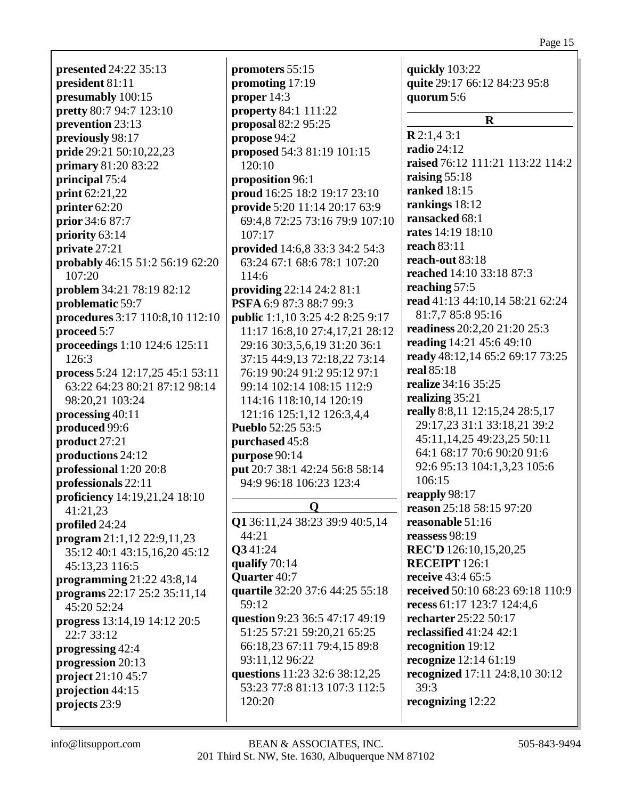**presented** 24:22 35:13 **president** 81:11 **presumably** 100:15 **pretty** 80:7 94:7 123:10 **prevention** 23:13 **previously** 98:17 **pride** 29:21 50:10,22,23 **primary** 81:20 83:22 **principal** 75:4 **print** 62:21,22 **printer** 62:20 **prior** 34:6 87:7 **priority** 63:14 **private** 27:21 **probably** 46:15 51:2 56:19 62:20 107:20 **problem** 34:21 78:19 82:12 **problematic** 59:7 **procedures** 3:17 110:8,10 112:10 **proceed** 5:7 **proceedings** 1:10 124:6 125:11 126:3 **process** 5:24 12:17,25 45:1 53:11 63:22 64:23 80:21 87:12 98:14 98:20,21 103:24 **processing** 40:11 **produced** 99:6 **product** 27:21 **productions** 24:12 **professional** 1:20 20:8 **professionals** 22:11 **proficiency** 14:19,21,24 18:10 41:21,23 **profiled** 24:24 **program** 21:1,12 22:9,11,23 35:12 40:1 43:15,16,20 45:12 45:13,23 116:5 **programming** 21:22 43:8,14 **programs** 22:17 25:2 35:11,14 45:20 52:24 **progress** 13:14,19 14:12 20:5 22:7 33:12 **progressing** 42:4 **progression** 20:13 **project** 21:10 45:7 **projection** 44:15 **projects** 23:9

**promoters** 55:15 **promoting** 17:19 **proper** 14:3 **property** 84:1 111:22 **proposal** 82:2 95:25 **propose** 94:2 **proposed** 54:3 81:19 101:15 120:10 **proposition** 96:1 **proud** 16:25 18:2 19:17 23:10 **provide** 5:20 11:14 20:17 63:9 69:4,8 72:25 73:16 79:9 107:10 107:17 **provided** 14:6,8 33:3 34:2 54:3 63:24 67:1 68:6 78:1 107:20 114:6 **providing** 22:14 24:2 81:1 **PSFA** 6:9 87:3 88:7 99:3 **public** 1:1,10 3:25 4:2 8:25 9:17 11:17 16:8,10 27:4,17,21 28:12 29:16 30:3,5,6,19 31:20 36:1 37:15 44:9,13 72:18,22 73:14 76:19 90:24 91:2 95:12 97:1 99:14 102:14 108:15 112:9 114:16 118:10,14 120:19 121:16 125:1,12 126:3,4,4 **Pueblo** 52:25 53:5 **purchased** 45:8 **purpose** 90:14 **put** 20:7 38:1 42:24 56:8 58:14 94:9 96:18 106:23 123:4 **Q Q1** 36:11,24 38:23 39:9 40:5,14  $44:21$ **Q3** 41:24 **qualify** 70:14 **Quarter** 40:7 **quartile** 32:20 37:6 44:25 55:18  $59:12$ **question** 9:23 36:5 47:17 49:19 51:25 57:21 59:20,21 65:25 66:18,23 67:11 79:4,15 89:8 93:11,12 96:22 **questions** 11:23 32:6 38:12,25 53:23 77:8 81:13 107:3 112:5 120:20

**quickly** 103:22 **quite** 29:17 66:12 84:23 95:8 **quorum** 5:6 **R R** 2:1,4 3:1 **radio** 24:12 **raised** 76:12 111:21 113:22 114:2 **raising** 55:18 **ranked** 18:15 **rankings** 18:12 **ransacked** 68:1 **rates** 14:19 18:10 **reach** 83:11 **reach-out** 83:18 **reached** 14:10 33:18 87:3 **reaching** 57:5 **read** 41:13 44:10,14 58:21 62:24 81:7,7 85:8 95:16 **readiness** 20:2,20 21:20 25:3 **reading** 14:21 45:6 49:10 **ready** 48:12,14 65:2 69:17 73:25 **real** 85:18 **realize** 34:16 35:25 **realizing** 35:21 **really** 8:8,11 12:15,24 28:5,17 29:17,23 31:1 33:18,21 39:2 45:11,14,25 49:23,25 50:11 64:1 68:17 70:6 90:20 91:6 92:6 95:13 104:1,3,23 105:6 106:15 **reapply** 98:17 **reason** 25:18 58:15 97:20 **reasonable** 51:16 **reassess** 98:19 **REC'D** 126:10,15,20,25 **RECEIPT** 126:1 **receive** 43:4 65:5 **received** 50:10 68:23 69:18 110:9 **recess** 61:17 123:7 124:4,6 **recharter** 25:22 50:17 **reclassified** 41:24 42:1 **recognition** 19:12 **recognize** 12:14 61:19 **recognized** 17:11 24:8,10 30:12 39:3 **recognizing** 12:22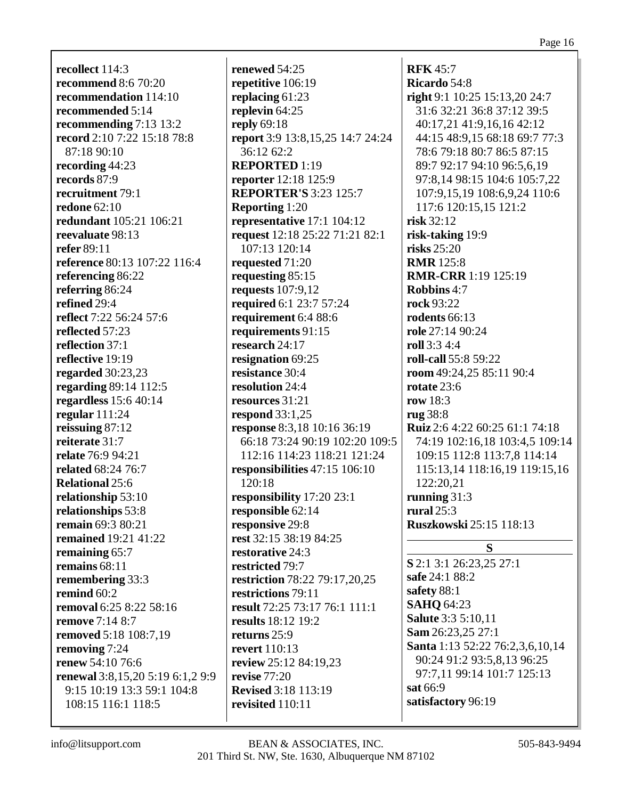**recollect** 114:3 **recommend** 8:6 70:20 **recommendation** 114:10 **recommended** 5:14 **recommending** 7:13 13:2 **record** 2:10 7:22 15:18 78:8 87:18 90:10 **recording** 44:23 **records** 87:9 **recruitment** 79:1 **redone** 62:10 **redundant** 105:21 106:21 **reevaluate** 98:13 **refer** 89:11 **reference** 80:13 107:22 116:4 **referencing** 86:22 **referring** 86:24 **refined** 29:4 **reflect** 7:22 56:24 57:6 **reflected** 57:23 **reflection** 37:1 **reflective** 19:19 **regarded** 30:23,23 **regarding** 89:14 112:5 **regardless** 15:6 40:14 **regular** 111:24 **reissuing** 87:12 **reiterate** 31:7 **relate** 76:9 94:21 **related** 68:24 76:7 **Relational** 25:6 **relationship** 53:10 **relationships** 53:8 **remain** 69:3 80:21 **remained** 19:21 41:22 **remaining** 65:7 **remains** 68:11 **remembering** 33:3 **remind** 60:2 **removal** 6:25 8:22 58:16 **remove** 7:14 8:7 **removed** 5:18 108:7,19 **removing** 7:24 **renew** 54:10 76:6 **renewal** 3:8,15,20 5:19 6:1,2 9:9 9:15 10:19 13:3 59:1 104:8 108:15 116:1 118:5

**renewed** 54:25 **repetitive** 106:19 **replacing** 61:23 **replevin** 64:25 **reply** 69:18 **report** 3:9 13:8,15,25 14:7 24:24 36:12 62:2 **REPORTED** 1:19 **reporter** 12:18 125:9 **REPORTER'S** 3:23 125:7 **Reporting** 1:20 **representative** 17:1 104:12 **request** 12:18 25:22 71:21 82:1 107:13 120:14 **requested** 71:20 **requesting** 85:15 **requests** 107:9,12 **required** 6:1 23:7 57:24 **requirement** 6:4 88:6 **requirements** 91:15 **research** 24:17 **resignation** 69:25 **resistance** 30:4 **resolution** 24:4 **resources** 31:21 **respond** 33:1,25 **response** 8:3,18 10:16 36:19 66:18 73:24 90:19 102:20 109:5 112:16 114:23 118:21 121:24 **responsibilities** 47:15 106:10 120:18 **responsibility** 17:20 23:1 **responsible** 62:14 **responsive** 29:8 **rest** 32:15 38:19 84:25 **restorative** 24:3 **restricted** 79:7 **restriction** 78:22 79:17,20,25 **restrictions** 79:11 **result** 72:25 73:17 76:1 111:1 **results** 18:12 19:2 **returns** 25:9 **revert** 110:13 **review** 25:12 84:19,23 **revise** 77:20 **Revised** 3:18 113:19 **revisited** 110:11

**RFK** 45:7 **Ricardo** 54:8 **right** 9:1 10:25 15:13,20 24:7 31:6 32:21 36:8 37:12 39:5 40:17,21 41:9,16,16 42:12 44:15 48:9,15 68:18 69:7 77:3 78:6 79:18 80:7 86:5 87:15 89:7 92:17 94:10 96:5,6,19 97:8,14 98:15 104:6 105:7,22 107:9,15,19 108:6,9,24 110:6 117:6 120:15,15 121:2 **risk** 32:12 **risk-taking** 19:9 **risks** 25:20 **RMR** 125:8 **RMR-CRR** 1:19 125:19 **Robbins** 4:7 **rock** 93:22 **rodents** 66:13 **role** 27:14 90:24 **roll** 3:3 4:4 **roll-call** 55:8 59:22 **room** 49:24,25 85:11 90:4 **rotate** 23:6 **row** 18:3 **rug** 38:8 **Ruiz** 2:6 4:22 60:25 61:1 74:18 74:19 102:16,18 103:4,5 109:14 109:15 112:8 113:7,8 114:14 115:13,14 118:16,19 119:15,16 122:20,21 **running** 31:3 **rural** 25:3 **Ruszkowski** 25:15 118:13 **S S** 2:1 3:1 26:23,25 27:1 **safe** 24:1 88:2 **safety** 88:1 **SAHQ** 64:23 **Salute** 3:3 5:10,11 **Sam** 26:23,25 27:1 **Santa** 1:13 52:22 76:2,3,6,10,14 90:24 91:2 93:5,8,13 96:25 97:7,11 99:14 101:7 125:13 **sat** 66:9

**satisfactory** 96:19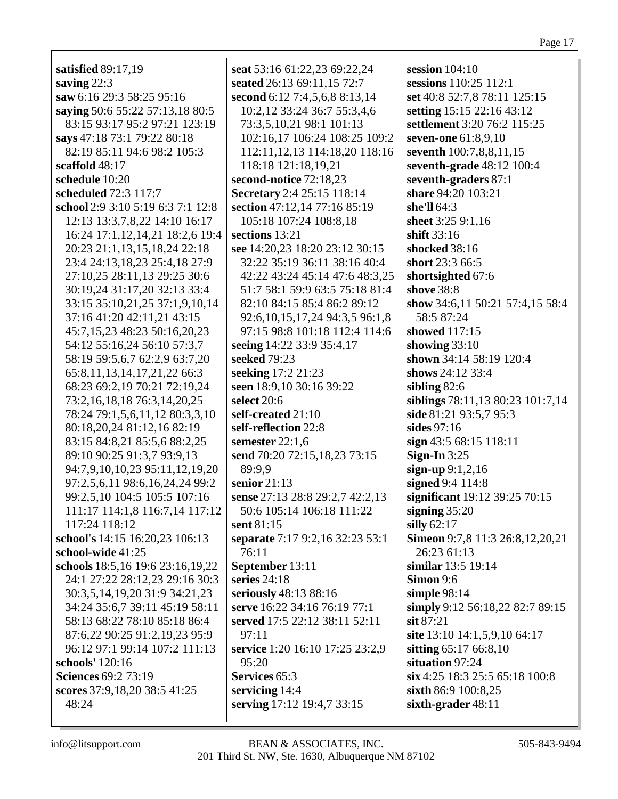**satisfied** 89:17,19 **saving** 22:3 **saw** 6:16 29:3 58:25 95:16 **saying** 50:6 55:22 57:13,18 80:5 83:15 93:17 95:2 97:21 123:19 **says** 47:18 73:1 79:22 80:18 82:19 85:11 94:6 98:2 105:3 **scaffold** 48:17 **schedule** 10:20 **scheduled** 72:3 117:7 **school** 2:9 3:10 5:19 6:3 7:1 12:8 12:13 13:3,7,8,22 14:10 16:17 16:24 17:1,12,14,21 18:2,6 19:4 20:23 21:1,13,15,18,24 22:18 23:4 24:13,18,23 25:4,18 27:9 27:10,25 28:11,13 29:25 30:6 30:19,24 31:17,20 32:13 33:4 33:15 35:10,21,25 37:1,9,10,14 37:16 41:20 42:11,21 43:15 45:7,15,23 48:23 50:16,20,23 54:12 55:16,24 56:10 57:3,7 58:19 59:5,6,7 62:2,9 63:7,20 65:8,11,13,14,17,21,22 66:3 68:23 69:2,19 70:21 72:19,24 73:2,16,18,18 76:3,14,20,25 78:24 79:1,5,6,11,12 80:3,3,10 80:18,20,24 81:12,16 82:19 83:15 84:8,21 85:5,6 88:2,25 89:10 90:25 91:3,7 93:9,13 94:7,9,10,10,23 95:11,12,19,20 97:2,5,6,11 98:6,16,24,24 99:2 99:2,5,10 104:5 105:5 107:16 111:17 114:1,8 116:7,14 117:12 117:24 118:12 **school's** 14:15 16:20,23 106:13 **school-wide** 41:25 **schools** 18:5,16 19:6 23:16,19,22 24:1 27:22 28:12,23 29:16 30:3 30:3,5,14,19,20 31:9 34:21,23 34:24 35:6,7 39:11 45:19 58:11 58:13 68:22 78:10 85:18 86:4 87:6,22 90:25 91:2,19,23 95:9 96:12 97:1 99:14 107:2 111:13 **schools'** 120:16 **Sciences** 69:2 73:19 **scores** 37:9,18,20 38:5 41:25 48:24

**seat** 53:16 61:22,23 69:22,24 **seated** 26:13 69:11,15 72:7 **second** 6:12 7:4,5,6,8 8:13,14 10:2,12 33:24 36:7 55:3,4,6 73:3,5,10,21 98:1 101:13 102:16,17 106:24 108:25 109:2 112:11,12,13 114:18,20 118:16 118:18 121:18,19,21 **second-notice** 72:18,23 **Secretary** 2:4 25:15 118:14 **section** 47:12,14 77:16 85:19 105:18 107:24 108:8,18 **sections** 13:21 **see** 14:20,23 18:20 23:12 30:15 32:22 35:19 36:11 38:16 40:4 42:22 43:24 45:14 47:6 48:3,25 51:7 58:1 59:9 63:5 75:18 81:4 82:10 84:15 85:4 86:2 89:12 92:6,10,15,17,24 94:3,5 96:1,8 97:15 98:8 101:18 112:4 114:6 **seeing** 14:22 33:9 35:4,17 **seeked** 79:23 **seeking** 17:2 21:23 **seen** 18:9,10 30:16 39:22 **select** 20:6 **self-created** 21:10 **self-reflection** 22:8 **semester** 22:1,6 **send** 70:20 72:15,18,23 73:15 89:9,9 **senior** 21:13 **sense** 27:13 28:8 29:2,7 42:2,13 50:6 105:14 106:18 111:22 **sent** 81:15 **separate** 7:17 9:2,16 32:23 53:1 76:11 **September** 13:11 **series** 24:18 **seriously** 48:13 88:16 **serve** 16:22 34:16 76:19 77:1 **served** 17:5 22:12 38:11 52:11  $97:11$ **service** 1:20 16:10 17:25 23:2,9 95:20 **Services** 65:3 **servicing** 14:4 **serving** 17:12 19:4,7 33:15

**session** 104:10 **sessions** 110:25 112:1 **set** 40:8 52:7,8 78:11 125:15 **setting** 15:15 22:16 43:12 **settlement** 3:20 76:2 115:25 **seven-one** 61:8,9,10 **seventh** 100:7,8,8,11,15 **seventh-grade** 48:12 100:4 **seventh-graders** 87:1 **share** 94:20 103:21 **she'll** 64:3 **sheet** 3:25 9:1,16 **shift** 33:16 **shocked** 38:16 **short** 23:3 66:5 **shortsighted** 67:6 **shove** 38:8 **show** 34:6,11 50:21 57:4,15 58:4 58:5 87:24 **showed** 117:15 **showing** 33:10 **shown** 34:14 58:19 120:4 **shows** 24:12 33:4 **sibling** 82:6 **siblings** 78:11,13 80:23 101:7,14 **side** 81:21 93:5,7 95:3 **sides** 97:16 **sign** 43:5 68:15 118:11 **Sign-In** 3:25 **sign-up** 9:1,2,16 **signed** 9:4 114:8 **significant** 19:12 39:25 70:15 **signing** 35:20 **silly** 62:17 **Simeon** 9:7,8 11:3 26:8,12,20,21 26:23 61:13 **similar** 13:5 19:14 **Simon** 9:6 **simple** 98:14 **simply** 9:12 56:18,22 82:7 89:15 **sit** 87:21 **site** 13:10 14:1,5,9,10 64:17 **sitting** 65:17 66:8,10 **situation** 97:24 **six** 4:25 18:3 25:5 65:18 100:8 **sixth** 86:9 100:8,25 **sixth-grader** 48:11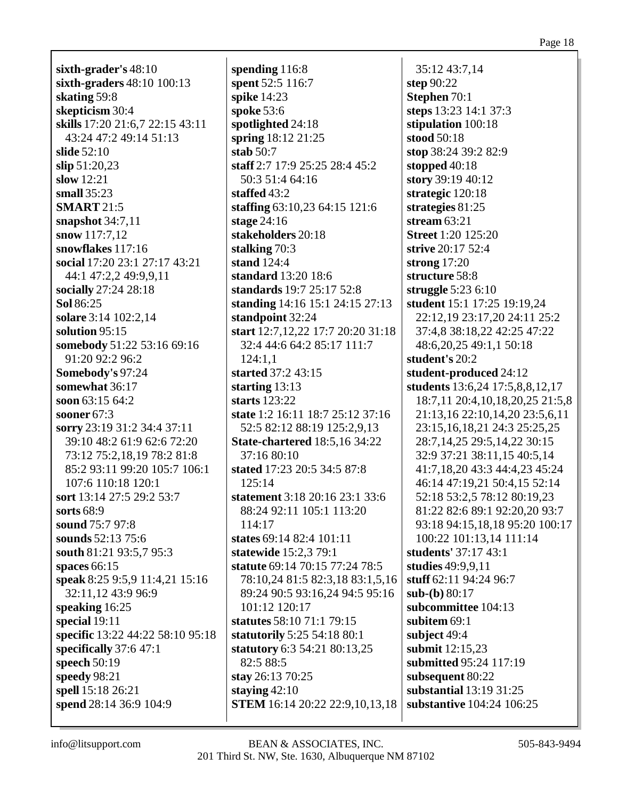**sixth-grader's** 48:10 **sixth-graders** 48:10 100:13 **skating** 59:8 **skepticism** 30:4 **skills** 17:20 21:6,7 22:15 43:11 43:24 47:2 49:14 51:13 **slide** 52:10 **slip** 51:20,23 **slow** 12:21 **small** 35:23 **SMART** 21:5 **snapshot** 34:7,11 **snow** 117:7,12 **snowflakes** 117:16 **social** 17:20 23:1 27:17 43:21 44:1 47:2,2 49:9,9,11 **socially** 27:24 28:18 **Sol** 86:25 **solare** 3:14 102:2,14 **solution** 95:15 **somebody** 51:22 53:16 69:16 91:20 92:2 96:2 **Somebody's** 97:24 **somewhat** 36:17 **soon** 63:15 64:2 **sooner** 67:3 **sorry** 23:19 31:2 34:4 37:11 39:10 48:2 61:9 62:6 72:20 73:12 75:2,18,19 78:2 81:8 85:2 93:11 99:20 105:7 106:1 107:6 110:18 120:1 **sort** 13:14 27:5 29:2 53:7 **sorts** 68:9 **sound** 75:7 97:8 **sounds** 52:13 75:6 **south** 81:21 93:5,7 95:3 **spaces** 66:15 **speak** 8:25 9:5,9 11:4,21 15:16 32:11,12 43:9 96:9 **speaking** 16:25 **special** 19:11 **specific** 13:22 44:22 58:10 95:18 **specifically** 37:6 47:1 **speech** 50:19 **speedy** 98:21 **spell** 15:18 26:21 **spend** 28:14 36:9 104:9

**spending** 116:8 **spent** 52:5 116:7 **spike** 14:23 **spoke** 53:6 **spotlighted** 24:18 **spring** 18:12 21:25 **stab** 50:7 **staff** 2:7 17:9 25:25 28:4 45:2 50:3 51:4 64:16 **staffed** 43:2 **staffing** 63:10,23 64:15 121:6 **stage** 24:16 **stakeholders** 20:18 **stalking** 70:3 **stand** 124:4 **standard** 13:20 18:6 **standards** 19:7 25:17 52:8 **standing** 14:16 15:1 24:15 27:13 **standpoint** 32:24 **start** 12:7,12,22 17:7 20:20 31:18 32:4 44:6 64:2 85:17 111:7 124:1,1 **started** 37:2 43:15 **starting** 13:13 **starts** 123:22 **state** 1:2 16:11 18:7 25:12 37:16 52:5 82:12 88:19 125:2,9,13 **State-chartered** 18:5,16 34:22 37:16 80:10 **stated** 17:23 20:5 34:5 87:8 125:14 **statement** 3:18 20:16 23:1 33:6 88:24 92:11 105:1 113:20 114:17 **states** 69:14 82:4 101:11 **statewide** 15:2,3 79:1 **statute** 69:14 70:15 77:24 78:5 78:10,24 81:5 82:3,18 83:1,5,16 89:24 90:5 93:16,24 94:5 95:16 101:12 120:17 **statutes** 58:10 71:1 79:15 **statutorily** 5:25 54:18 80:1 **statutory** 6:3 54:21 80:13,25 82:5 88:5 **stay** 26:13 70:25 **staying** 42:10 **STEM** 16:14 20:22 22:9,10,13,18

35:12 43:7,14 **step** 90:22 **Stephen** 70:1 **steps** 13:23 14:1 37:3 **stipulation** 100:18 **stood** 50:18 **stop** 38:24 39:2 82:9 **stopped** 40:18 **story** 39:19 40:12 **strategic** 120:18 **strategies** 81:25 **stream** 63:21 **Street** 1:20 125:20 **strive** 20:17 52:4 **strong** 17:20 **structure** 58:8 **struggle** 5:23 6:10 **student** 15:1 17:25 19:19,24 22:12,19 23:17,20 24:11 25:2 37:4,8 38:18,22 42:25 47:22 48:6,20,25 49:1,1 50:18 **student's** 20:2 **student-produced** 24:12 **students** 13:6,24 17:5,8,8,12,17 18:7,11 20:4,10,18,20,25 21:5,8 21:13,16 22:10,14,20 23:5,6,11 23:15,16,18,21 24:3 25:25,25 28:7,14,25 29:5,14,22 30:15 32:9 37:21 38:11,15 40:5,14 41:7,18,20 43:3 44:4,23 45:24 46:14 47:19,21 50:4,15 52:14 52:18 53:2,5 78:12 80:19,23 81:22 82:6 89:1 92:20,20 93:7 93:18 94:15,18,18 95:20 100:17 100:22 101:13,14 111:14 **students'** 37:17 43:1 **studies** 49:9,9,11 **stuff** 62:11 94:24 96:7 **sub-(b)** 80:17 **subcommittee** 104:13 **subitem** 69:1 **subject** 49:4 **submit** 12:15,23 **submitted** 95:24 117:19 **subsequent** 80:22 **substantial** 13:19 31:25 **substantive** 104:24 106:25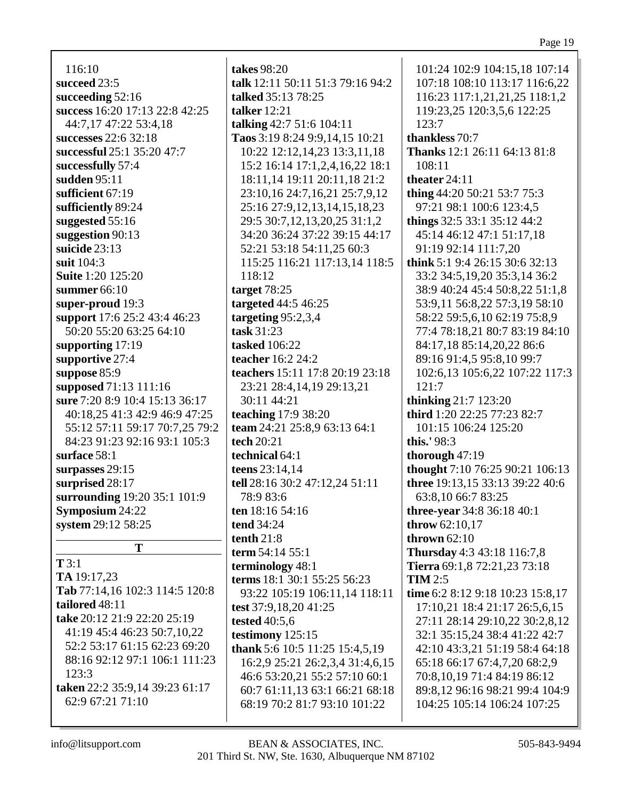#### Page 19

116:10 **succeed** 23:5 **succeeding** 52:16 **success** 16:20 17:13 22:8 42:25 44:7,17 47:22 53:4,18 **successes** 22:6 32:18 **successful** 25:1 35:20 47:7 **successfully** 57:4 **sudden** 95:11 **sufficient** 67:19 **sufficiently** 89:24 **suggested** 55:16 **suggestion** 90:13 **suicide** 23:13 **suit** 104:3 **Suite** 1:20 125:20 **summer** 66:10 **super-proud** 19:3 **support** 17:6 25:2 43:4 46:23 50:20 55:20 63:25 64:10 **supporting** 17:19 **supportive** 27:4 **suppose** 85:9 **supposed** 71:13 111:16 **sure** 7:20 8:9 10:4 15:13 36:17 40:18,25 41:3 42:9 46:9 47:25 55:12 57:11 59:17 70:7,25 79:2 84:23 91:23 92:16 93:1 105:3 **surface** 58:1 **surpasses** 29:15 **surprised** 28:17 **surrounding** 19:20 35:1 101:9 **Symposium** 24:22 **system** 29:12 58:25 **T T** 3:1

**TA** 19:17,23 **Tab** 77:14,16 102:3 114:5 120:8 **tailored** 48:11 **take** 20:12 21:9 22:20 25:19 41:19 45:4 46:23 50:7,10,22 52:2 53:17 61:15 62:23 69:20 88:16 92:12 97:1 106:1 111:23 123:3 **taken** 22:2 35:9,14 39:23 61:17 62:9 67:21 71:10

**takes** 98:20 **talk** 12:11 50:11 51:3 79:16 94:2 **talked** 35:13 78:25 **talker** 12:21 **talking** 42:7 51:6 104:11 **Taos** 3:19 8:24 9:9,14,15 10:21 10:22 12:12,14,23 13:3,11,18 15:2 16:14 17:1,2,4,16,22 18:1 18:11,14 19:11 20:11,18 21:2 23:10,16 24:7,16,21 25:7,9,12 25:16 27:9,12,13,14,15,18,23 29:5 30:7,12,13,20,25 31:1,2 34:20 36:24 37:22 39:15 44:17 52:21 53:18 54:11,25 60:3 115:25 116:21 117:13,14 118:5 118:12 **target** 78:25 **targeted** 44:5 46:25 **targeting** 95:2,3,4 **task** 31:23 **tasked** 106:22 **teacher** 16:2 24:2 **teachers** 15:11 17:8 20:19 23:18 23:21 28:4,14,19 29:13,21 30:11 44:21 **teaching** 17:9 38:20 **team** 24:21 25:8,9 63:13 64:1 **tech** 20:21 **technical** 64:1 **teens** 23:14,14 **tell** 28:16 30:2 47:12,24 51:11 78:9 83:6 **ten** 18:16 54:16 **tend** 34:24 **tenth** 21:8 **term** 54:14 55:1 **terminology** 48:1 **terms** 18:1 30:1 55:25 56:23 93:22 105:19 106:11,14 118:11 **test** 37:9,18,20 41:25 **tested** 40:5,6 **testimony** 125:15 **thank** 5:6 10:5 11:25 15:4,5,19 16:2,9 25:21 26:2,3,4 31:4,6,15 46:6 53:20,21 55:2 57:10 60:1 60:7 61:11,13 63:1 66:21 68:18 68:19 70:2 81:7 93:10 101:22

101:24 102:9 104:15,18 107:14 107:18 108:10 113:17 116:6,22 116:23 117:1,21,21,25 118:1,2 119:23,25 120:3,5,6 122:25 123:7 **thankless** 70:7 **Thanks** 12:1 26:11 64:13 81:8 108:11 **theater** 24:11 **thing** 44:20 50:21 53:7 75:3 97:21 98:1 100:6 123:4,5 **things** 32:5 33:1 35:12 44:2 45:14 46:12 47:1 51:17,18 91:19 92:14 111:7,20 **think** 5:1 9:4 26:15 30:6 32:13 33:2 34:5,19,20 35:3,14 36:2 38:9 40:24 45:4 50:8,22 51:1,8 53:9,11 56:8,22 57:3,19 58:10 58:22 59:5,6,10 62:19 75:8,9 77:4 78:18,21 80:7 83:19 84:10 84:17,18 85:14,20,22 86:6 89:16 91:4,5 95:8,10 99:7 102:6,13 105:6,22 107:22 117:3 121:7 **thinking** 21:7 123:20 **third** 1:20 22:25 77:23 82:7 101:15 106:24 125:20 **this.'** 98:3 **thorough** 47:19 **thought** 7:10 76:25 90:21 106:13 **three** 19:13,15 33:13 39:22 40:6 63:8,10 66:7 83:25 **three-year** 34:8 36:18 40:1 **throw** 62:10,17 **thrown** 62:10 **Thursday** 4:3 43:18 116:7,8 **Tierra** 69:1,8 72:21,23 73:18 **TIM** 2:5 **time** 6:2 8:12 9:18 10:23 15:8,17 17:10,21 18:4 21:17 26:5,6,15 27:11 28:14 29:10,22 30:2,8,12 32:1 35:15,24 38:4 41:22 42:7 42:10 43:3,21 51:19 58:4 64:18 65:18 66:17 67:4,7,20 68:2,9 70:8,10,19 71:4 84:19 86:12 89:8,12 96:16 98:21 99:4 104:9 104:25 105:14 106:24 107:25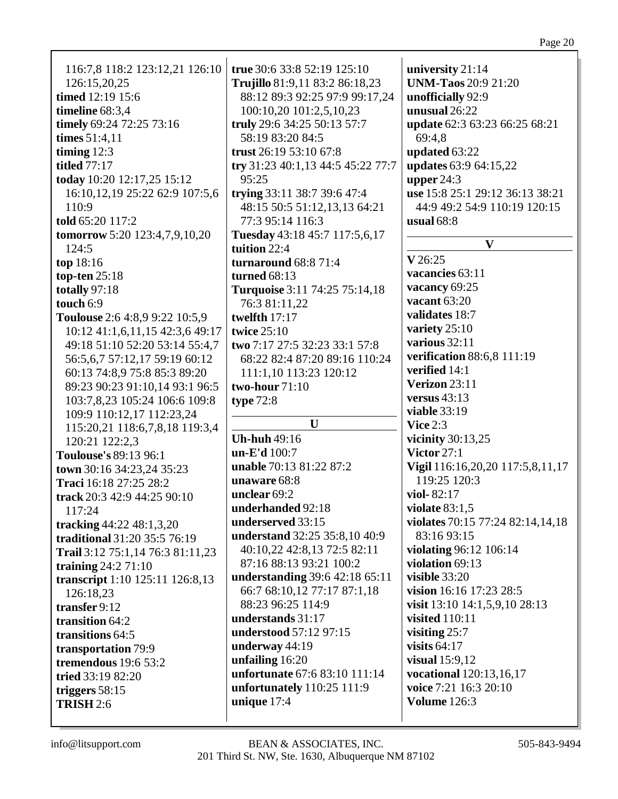| 116:7,8 118:2 123:12,21 126:10       | true 30:6 33:8 52:19 125:10                      | university 21:14                                             |
|--------------------------------------|--------------------------------------------------|--------------------------------------------------------------|
|                                      |                                                  | <b>UNM-Taos</b> 20:9 21:20                                   |
| 126:15,20,25                         | Trujillo 81:9,11 83:2 86:18,23                   |                                                              |
| timed 12:19 15:6                     | 88:12 89:3 92:25 97:9 99:17,24                   | unofficially 92:9                                            |
| timeline 68:3,4                      | 100:10,20 101:2,5,10,23                          | unusual 26:22                                                |
| timely 69:24 72:25 73:16             | truly 29:6 34:25 50:13 57:7                      | update 62:3 63:23 66:25 68:21                                |
| times $51:4,11$                      | 58:19 83:20 84:5                                 | 69:4,8                                                       |
| timing $12:3$                        | trust 26:19 53:10 67:8                           | updated 63:22                                                |
| <b>titled</b> 77:17                  | try 31:23 40:1,13 44:5 45:22 77:7                | updates 63:9 64:15,22                                        |
| today 10:20 12:17,25 15:12           | 95:25                                            | upper $24:3$                                                 |
| 16:10,12,19 25:22 62:9 107:5,6       | trying 33:11 38:7 39:6 47:4                      | use 15:8 25:1 29:12 36:13 38:21                              |
| 110:9                                | 48:15 50:5 51:12,13,13 64:21                     | 44:9 49:2 54:9 110:19 120:15                                 |
| told 65:20 117:2                     | 77:3 95:14 116:3                                 | usual $68:8$                                                 |
| <b>tomorrow</b> 5:20 123:4,7,9,10,20 | Tuesday 43:18 45:7 117:5,6,17                    |                                                              |
| 124:5                                | tuition 22:4                                     | $\mathbf{V}$                                                 |
| top 18:16                            | turnaround 68:8 71:4                             | V 26:25                                                      |
| top-ten 25:18                        | turned $68:13$                                   | vacancies 63:11                                              |
| totally 97:18                        | Turquoise 3:11 74:25 75:14,18                    | vacancy 69:25                                                |
| touch 6:9                            | 76:3 81:11,22                                    | vacant 63:20                                                 |
| Toulouse 2:6 4:8,9 9:22 10:5,9       | twelfth 17:17                                    | validates 18:7                                               |
| 10:12 41:1,6,11,15 42:3,6 49:17      | twice $25:10$                                    | variety 25:10                                                |
| 49:18 51:10 52:20 53:14 55:4,7       | two 7:17 27:5 32:23 33:1 57:8                    | various 32:11                                                |
|                                      |                                                  | verification 88:6,8 111:19                                   |
| 56:5,6,7 57:12,17 59:19 60:12        | 68:22 82:4 87:20 89:16 110:24                    | verified 14:1                                                |
| 60:13 74:8,9 75:8 85:3 89:20         | 111:1,10 113:23 120:12                           | Verizon 23:11                                                |
| 89:23 90:23 91:10,14 93:1 96:5       | two-hour 71:10                                   |                                                              |
|                                      |                                                  |                                                              |
| 103:7,8,23 105:24 106:6 109:8        | type $72:8$                                      | versus $43:13$                                               |
| 109:9 110:12,17 112:23,24            |                                                  | <b>viable</b> 33:19                                          |
| 115:20,21 118:6,7,8,18 119:3,4       | U                                                | Vice $2:3$                                                   |
| 120:21 122:2,3                       | <b>Uh-huh</b> 49:16                              | vicinity $30:13,25$                                          |
| Toulouse's 89:13 96:1                | un-E'd 100:7                                     | Victor $27:1$                                                |
| town 30:16 34:23,24 35:23            | unable 70:13 81:22 87:2                          | Vigil 116:16,20,20 117:5,8,11,17                             |
| Traci 16:18 27:25 28:2               | unaware 68:8                                     | 119:25 120:3                                                 |
| track 20:3 42:9 44:25 90:10          | unclear 69:2                                     | viol- $82:17$                                                |
| 117:24                               | underhanded 92:18                                | violate $83:1,5$                                             |
|                                      | underserved 33:15                                | violates 70:15 77:24 82:14,14,18                             |
| tracking 44:22 48:1,3,20             | understand 32:25 35:8,10 40:9                    | 83:16 93:15                                                  |
| traditional 31:20 35:5 76:19         | 40:10,22 42:8,13 72:5 82:11                      | violating 96:12 106:14                                       |
| Trail 3:12 75:1,14 76:3 81:11,23     | 87:16 88:13 93:21 100:2                          | violation 69:13                                              |
| training $24:271:10$                 |                                                  | visible $33:20$                                              |
| transcript 1:10 125:11 126:8,13      | understanding 39:6 42:18 65:11                   |                                                              |
| 126:18,23                            | 66:7 68:10,12 77:17 87:1,18<br>88:23 96:25 114:9 | vision 16:16 17:23 28:5                                      |
| transfer 9:12                        |                                                  | visit $13:10$ $14:1,5,9,10$ $28:13$<br><b>visited</b> 110:11 |
| transition 64:2                      | understands 31:17                                |                                                              |
| transitions 64:5                     | understood 57:12 97:15                           | visiting $25:7$                                              |
| transportation 79:9                  | underway 44:19                                   | visits $64:17$                                               |
| tremendous 19:6 53:2                 | unfailing 16:20                                  | visual $15:9,12$                                             |
| tried 33:19 82:20                    | unfortunate 67:6 83:10 111:14                    | vocational 120:13,16,17                                      |
| triggers $58:15$                     | unfortunately $110:25$ 111:9                     | voice 7:21 16:3 20:10                                        |
| <b>TRISH 2:6</b>                     | unique 17:4                                      | <b>Volume</b> 126:3                                          |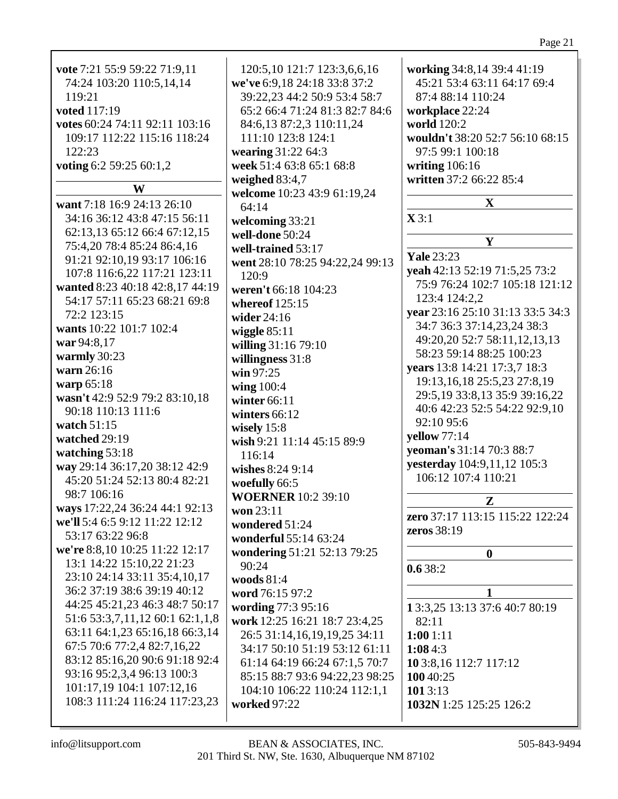| 120:5,10 121:7 123:3,6,6,16     | working 34:8,14 39:4 41:19       |
|---------------------------------|----------------------------------|
| we've 6:9,18 24:18 33:8 37:2    | 45:21 53:4 63:11 64:17 69:4      |
| 39:22,23 44:2 50:9 53:4 58:7    | 87:4 88:14 110:24                |
| 65:2 66:4 71:24 81:3 82:7 84:6  | workplace 22:24                  |
| 84:6,13 87:2,3 110:11,24        | world 120:2                      |
| 111:10 123:8 124:1              | wouldn't 38:20 52:7 56:10 68:15  |
| wearing 31:22 64:3              | 97:5 99:1 100:18                 |
| week 51:4 63:8 65:1 68:8        | writing $106:16$                 |
| weighed 83:4,7                  | written 37:2 66:22 85:4          |
| welcome 10:23 43:9 61:19,24     |                                  |
| 64:14                           | $\mathbf{X}$                     |
| welcoming 33:21                 | $\mathbf{X}$ 3:1                 |
| well-done 50:24                 |                                  |
| well-trained 53:17              | Y                                |
| went 28:10 78:25 94:22,24 99:13 | <b>Yale</b> 23:23                |
| 120:9                           | yeah 42:13 52:19 71:5,25 73:2    |
| weren't 66:18 104:23            | 75:9 76:24 102:7 105:18 121:12   |
| whereof $125:15$                | 123:4 124:2,2                    |
| wider $24:16$                   | year 23:16 25:10 31:13 33:5 34:3 |
| wiggle $85:11$                  | 34:7 36:3 37:14,23,24 38:3       |
| willing 31:16 79:10             | 49:20,20 52:7 58:11,12,13,13     |
| willingness 31:8                | 58:23 59:14 88:25 100:23         |
| win 97:25                       | years 13:8 14:21 17:3,7 18:3     |
| wing 100:4                      | 19:13, 16, 18 25:5, 23 27:8, 19  |
| winter $66:11$                  | 29:5,19 33:8,13 35:9 39:16,22    |
| winters 66:12                   | 40:6 42:23 52:5 54:22 92:9,10    |
| wisely $15:8$                   | 92:10 95:6                       |
| wish 9:21 11:14 45:15 89:9      | yellow 77:14                     |
| 116:14                          | yeoman's 31:14 70:3 88:7         |
| wishes 8:24 9:14                | yesterday 104:9,11,12 105:3      |
| woefully 66:5                   | 106:12 107:4 110:21              |
| <b>WOERNER</b> 10:2 39:10       |                                  |
| won 23:11                       | ${\bf z}$                        |
| wondered 51:24                  | zero 37:17 113:15 115:22 122:24  |
| wonderful 55:14 63:24           | zeros 38:19                      |
| wondering 51:21 52:13 79:25     | 0                                |
|                                 |                                  |

Page 21

**0.6** 38:2

**1 1** 3:3,25 13:13 37:6 40:7 80:19 82:11 **1:00** 1:11 **1:08** 4:3 **10** 3:8,16 112:7 117:12 **100** 40:25 **101** 3:13 **1032N** 1:25 125:25 126:2

**vote** 7:21 55:9 59:22 71:9,11 74:24 103:20 110:5,14,14

**votes** 60:24 74:11 92:11 103:16 109:17 112:22 115:16 118:24

**W**

**want** 7:18 16:9 24:13 26:10 34:16 36:12 43:8 47:15 56:11 62:13,13 65:12 66:4 67:12,15 75:4,20 78:4 85:24 86:4,16 91:21 92:10,19 93:17 106:16 107:8 116:6,22 117:21 123:11 **wanted** 8:23 40:18 42:8,17 44:19 54:17 57:11 65:23 68:21 69:8

**voting** 6:2 59:25 60:1,2

119:21 **voted** 117:19

122:23

72:2 123:15

**war** 94:8,17 **warmly** 30:23 **warn** 26:16 **warp** 65:18

**watch** 51:15 **watched** 29:19 **watching** 53:18

98:7 106:16

53:17 63:22 96:8

**wants** 10:22 101:7 102:4

90:18 110:13 111:6

**wasn't** 42:9 52:9 79:2 83:10,18

**way** 29:14 36:17,20 38:12 42:9 45:20 51:24 52:13 80:4 82:21

**ways** 17:22,24 36:24 44:1 92:13 **we'll** 5:4 6:5 9:12 11:22 12:12

**we're** 8:8,10 10:25 11:22 12:17 13:1 14:22 15:10,22 21:23 23:10 24:14 33:11 35:4,10,17 36:2 37:19 38:6 39:19 40:12 44:25 45:21,23 46:3 48:7 50:17 51:6 53:3,7,11,12 60:1 62:1,1,8 63:11 64:1,23 65:16,18 66:3,14 67:5 70:6 77:2,4 82:7,16,22 83:12 85:16,20 90:6 91:18 92:4 93:16 95:2,3,4 96:13 100:3 101:17,19 104:1 107:12,16 108:3 111:24 116:24 117:23,23

**work** 12:25 16:21 18:7 23:4,25 26:5 31:14,16,19,19,25 34:11 34:17 50:10 51:19 53:12 61:11 61:14 64:19 66:24 67:1,5 70:7 85:15 88:7 93:6 94:22,23 98:25 104:10 106:22 110:24 112:1,1

90:24 **woods** 81:4 **word** 76:15 97:2 **wording** 77:3 95:16

**worked** 97:22